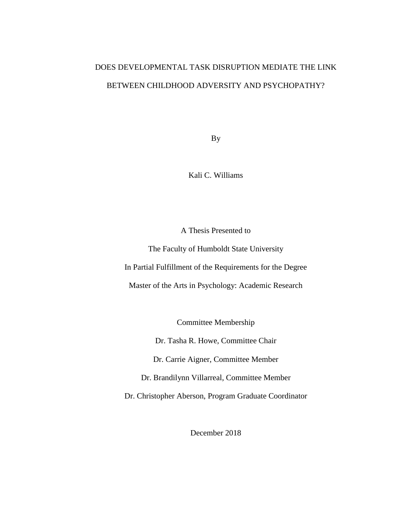# DOES DEVELOPMENTAL TASK DISRUPTION MEDIATE THE LINK BETWEEN CHILDHOOD ADVERSITY AND PSYCHOPATHY?

By

Kali C. Williams

A Thesis Presented to

The Faculty of Humboldt State University In Partial Fulfillment of the Requirements for the Degree Master of the Arts in Psychology: Academic Research

Committee Membership

Dr. Tasha R. Howe, Committee Chair

Dr. Carrie Aigner, Committee Member

Dr. Brandilynn Villarreal, Committee Member

Dr. Christopher Aberson, Program Graduate Coordinator

December 2018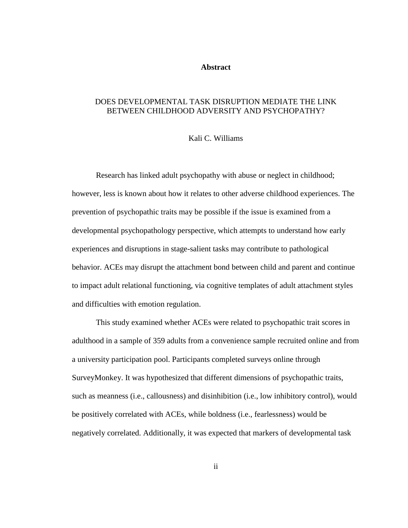#### **Abstract**

# <span id="page-1-0"></span>DOES DEVELOPMENTAL TASK DISRUPTION MEDIATE THE LINK BETWEEN CHILDHOOD ADVERSITY AND PSYCHOPATHY?

#### Kali C. Williams

Research has linked adult psychopathy with abuse or neglect in childhood; however, less is known about how it relates to other adverse childhood experiences. The prevention of psychopathic traits may be possible if the issue is examined from a developmental psychopathology perspective, which attempts to understand how early experiences and disruptions in stage-salient tasks may contribute to pathological behavior. ACEs may disrupt the attachment bond between child and parent and continue to impact adult relational functioning, via cognitive templates of adult attachment styles and difficulties with emotion regulation.

This study examined whether ACEs were related to psychopathic trait scores in adulthood in a sample of 359 adults from a convenience sample recruited online and from a university participation pool. Participants completed surveys online through SurveyMonkey. It was hypothesized that different dimensions of psychopathic traits, such as meanness (i.e., callousness) and disinhibition (i.e., low inhibitory control), would be positively correlated with ACEs, while boldness (i.e., fearlessness) would be negatively correlated. Additionally, it was expected that markers of developmental task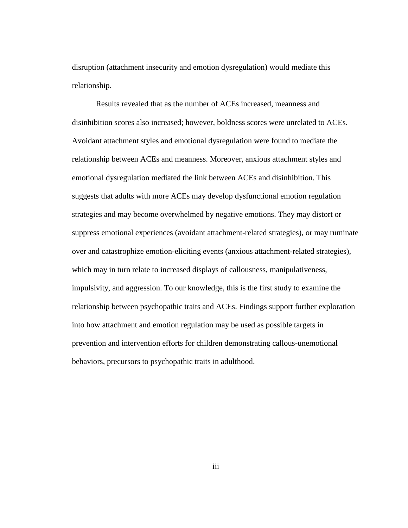disruption (attachment insecurity and emotion dysregulation) would mediate this relationship.

Results revealed that as the number of ACEs increased, meanness and disinhibition scores also increased; however, boldness scores were unrelated to ACEs. Avoidant attachment styles and emotional dysregulation were found to mediate the relationship between ACEs and meanness. Moreover, anxious attachment styles and emotional dysregulation mediated the link between ACEs and disinhibition. This suggests that adults with more ACEs may develop dysfunctional emotion regulation strategies and may become overwhelmed by negative emotions. They may distort or suppress emotional experiences (avoidant attachment-related strategies), or may ruminate over and catastrophize emotion-eliciting events (anxious attachment-related strategies), which may in turn relate to increased displays of callousness, manipulativeness, impulsivity, and aggression. To our knowledge, this is the first study to examine the relationship between psychopathic traits and ACEs. Findings support further exploration into how attachment and emotion regulation may be used as possible targets in prevention and intervention efforts for children demonstrating callous-unemotional behaviors, precursors to psychopathic traits in adulthood.

iii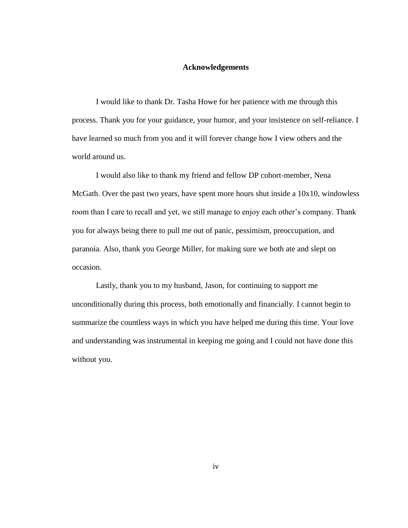#### **Acknowledgements**

<span id="page-3-0"></span>I would like to thank Dr. Tasha Howe for her patience with me through this process. Thank you for your guidance, your humor, and your insistence on self-reliance. I have learned so much from you and it will forever change how I view others and the world around us.

I would also like to thank my friend and fellow DP cohort-member, Nena McGath. Over the past two years, have spent more hours shut inside a 10x10, windowless room than I care to recall and yet, we still manage to enjoy each other's company. Thank you for always being there to pull me out of panic, pessimism, preoccupation, and paranoia. Also, thank you George Miller, for making sure we both ate and slept on occasion.

Lastly, thank you to my husband, Jason, for continuing to support me unconditionally during this process, both emotionally and financially. I cannot begin to summarize the countless ways in which you have helped me during this time. Your love and understanding was instrumental in keeping me going and I could not have done this without you.

iv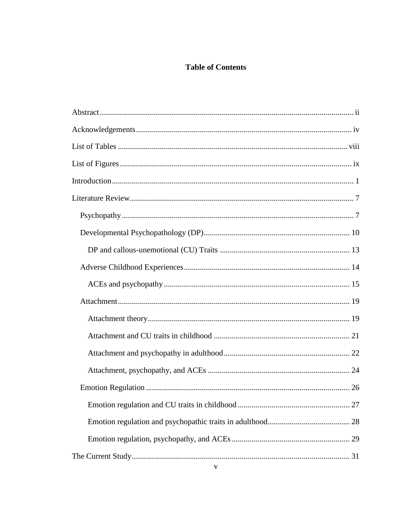# **Table of Contents**

| 27 |
|----|
|    |
|    |
|    |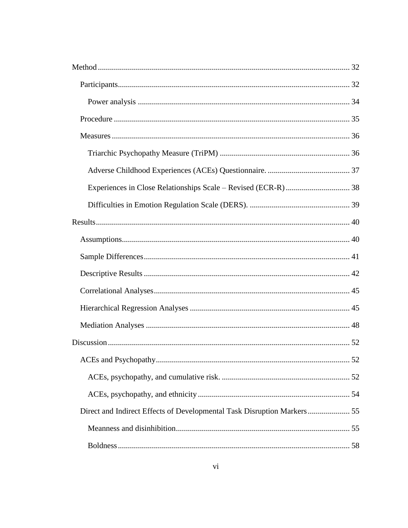| Direct and Indirect Effects of Developmental Task Disruption Markers 55 |  |
|-------------------------------------------------------------------------|--|
|                                                                         |  |
|                                                                         |  |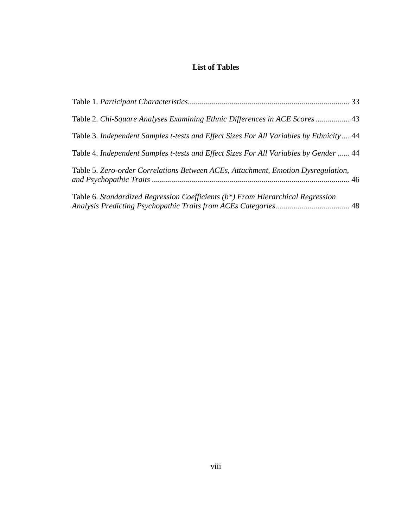# **List of Tables**

<span id="page-7-0"></span>

| Table 2. Chi-Square Analyses Examining Ethnic Differences in ACE Scores  43             |  |
|-----------------------------------------------------------------------------------------|--|
| Table 3. Independent Samples t-tests and Effect Sizes For All Variables by Ethnicity 44 |  |
| Table 4. Independent Samples t-tests and Effect Sizes For All Variables by Gender  44   |  |
| Table 5. Zero-order Correlations Between ACEs, Attachment, Emotion Dysregulation,       |  |
| Table 6. Standardized Regression Coefficients (b*) From Hierarchical Regression         |  |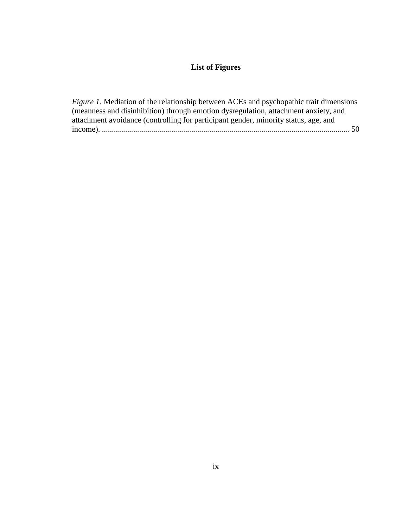# **List of Figures**

<span id="page-8-0"></span>

| <i>Figure 1.</i> Mediation of the relationship between ACEs and psychopathic trait dimensions |  |
|-----------------------------------------------------------------------------------------------|--|
| (meanness and disinhibition) through emotion dysregulation, attachment anxiety, and           |  |
| attachment avoidance (controlling for participant gender, minority status, age, and           |  |
|                                                                                               |  |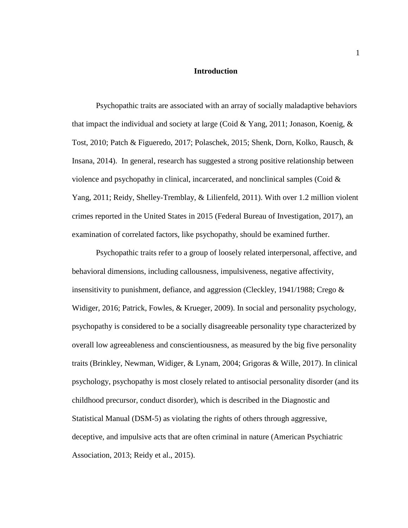#### **Introduction**

<span id="page-9-0"></span>Psychopathic traits are associated with an array of socially maladaptive behaviors that impact the individual and society at large (Coid & Yang, 2011; Jonason, Koenig,  $\&$ Tost, 2010; Patch & Figueredo, 2017; Polaschek, 2015; Shenk, Dorn, Kolko, Rausch, & Insana, 2014). In general, research has suggested a strong positive relationship between violence and psychopathy in clinical, incarcerated, and nonclinical samples (Coid  $\&$ Yang, 2011; Reidy, Shelley-Tremblay, & Lilienfeld, 2011). With over 1.2 million violent crimes reported in the United States in 2015 (Federal Bureau of Investigation, 2017), an examination of correlated factors, like psychopathy, should be examined further.

Psychopathic traits refer to a group of loosely related interpersonal, affective, and behavioral dimensions, including callousness, impulsiveness, negative affectivity, insensitivity to punishment, defiance, and aggression (Cleckley, 1941/1988; Crego & Widiger, 2016; Patrick, Fowles, & Krueger, 2009). In social and personality psychology, psychopathy is considered to be a socially disagreeable personality type characterized by overall low agreeableness and conscientiousness, as measured by the big five personality traits (Brinkley, Newman, Widiger, & Lynam, 2004; Grigoras & Wille, 2017). In clinical psychology, psychopathy is most closely related to antisocial personality disorder (and its childhood precursor, conduct disorder), which is described in the Diagnostic and Statistical Manual (DSM-5) as violating the rights of others through aggressive, deceptive, and impulsive acts that are often criminal in nature (American Psychiatric Association, 2013; Reidy et al., 2015).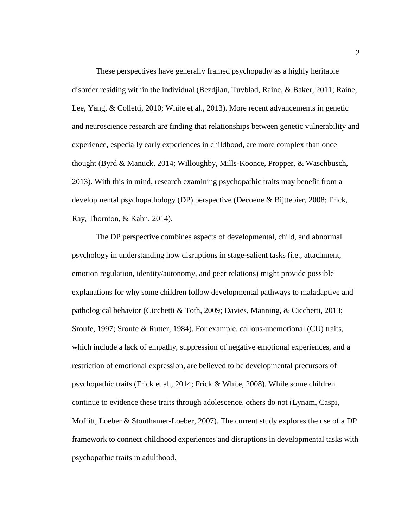These perspectives have generally framed psychopathy as a highly heritable disorder residing within the individual (Bezdjian, Tuvblad, Raine, & Baker, 2011; Raine, Lee, Yang, & Colletti, 2010; White et al., 2013). More recent advancements in genetic and neuroscience research are finding that relationships between genetic vulnerability and experience, especially early experiences in childhood, are more complex than once thought (Byrd & Manuck, 2014; Willoughby, Mills-Koonce, Propper, & Waschbusch, 2013). With this in mind, research examining psychopathic traits may benefit from a developmental psychopathology (DP) perspective (Decoene & Bijttebier, 2008; Frick, Ray, Thornton, & Kahn, 2014).

The DP perspective combines aspects of developmental, child, and abnormal psychology in understanding how disruptions in stage-salient tasks (i.e., attachment, emotion regulation, identity/autonomy, and peer relations) might provide possible explanations for why some children follow developmental pathways to maladaptive and pathological behavior (Cicchetti & Toth, 2009; Davies, Manning, & Cicchetti, 2013; Sroufe, 1997; Sroufe & Rutter, 1984). For example, callous-unemotional (CU) traits, which include a lack of empathy, suppression of negative emotional experiences, and a restriction of emotional expression, are believed to be developmental precursors of psychopathic traits (Frick et al., 2014; Frick & White, 2008). While some children continue to evidence these traits through adolescence, others do not (Lynam, Caspi, Moffitt, Loeber & Stouthamer-Loeber, 2007). The current study explores the use of a DP framework to connect childhood experiences and disruptions in developmental tasks with psychopathic traits in adulthood.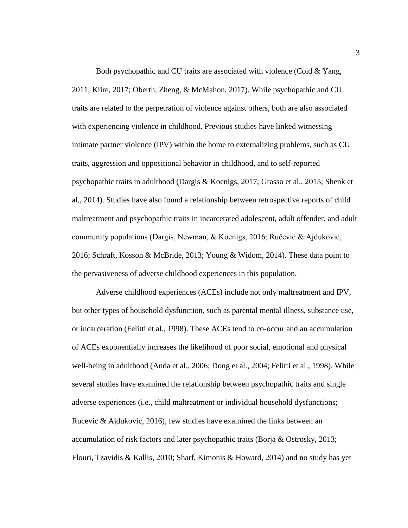Both psychopathic and CU traits are associated with violence (Coid & Yang, 2011; Kiire, 2017; Oberth, Zheng, & McMahon, 2017). While psychopathic and CU traits are related to the perpetration of violence against others, both are also associated with experiencing violence in childhood. Previous studies have linked witnessing intimate partner violence (IPV) within the home to externalizing problems, such as CU traits, aggression and oppositional behavior in childhood, and to self-reported psychopathic traits in adulthood (Dargis & Koenigs, 2017; Grasso et al., 2015; Shenk et al., 2014). Studies have also found a relationship between retrospective reports of child maltreatment and psychopathic traits in incarcerated adolescent, adult offender, and adult community populations (Dargis, Newman, & Koenigs, 2016; Ručević & Ajduković, 2016; Schraft, Kosson & McBride, 2013; Young & Widom, 2014). These data point to the pervasiveness of adverse childhood experiences in this population.

Adverse childhood experiences (ACEs) include not only maltreatment and IPV, but other types of household dysfunction, such as parental mental illness, substance use, or incarceration (Felitti et al., 1998). These ACEs tend to co-occur and an accumulation of ACEs exponentially increases the likelihood of poor social, emotional and physical well-being in adulthood (Anda et al., 2006; Dong et al., 2004; Felitti et al., 1998). While several studies have examined the relationship between psychopathic traits and single adverse experiences (i.e., child maltreatment or individual household dysfunctions; Rucevic & Ajdukovic, 2016), few studies have examined the links between an accumulation of risk factors and later psychopathic traits (Borja & Ostrosky, 2013; Flouri, Tzavidis & Kallis, 2010; Sharf, Kimonis & Howard, 2014) and no study has yet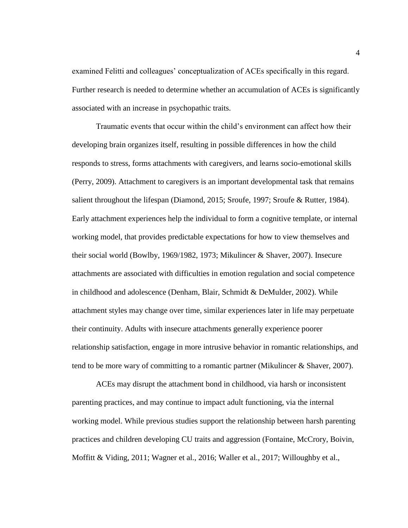examined Felitti and colleagues' conceptualization of ACEs specifically in this regard. Further research is needed to determine whether an accumulation of ACEs is significantly associated with an increase in psychopathic traits.

Traumatic events that occur within the child's environment can affect how their developing brain organizes itself, resulting in possible differences in how the child responds to stress, forms attachments with caregivers, and learns socio-emotional skills (Perry, 2009). Attachment to caregivers is an important developmental task that remains salient throughout the lifespan (Diamond, 2015; Sroufe, 1997; Sroufe & Rutter, 1984). Early attachment experiences help the individual to form a cognitive template, or internal working model, that provides predictable expectations for how to view themselves and their social world (Bowlby, 1969/1982, 1973; Mikulincer & Shaver, 2007). Insecure attachments are associated with difficulties in emotion regulation and social competence in childhood and adolescence (Denham, Blair, Schmidt & DeMulder, 2002). While attachment styles may change over time, similar experiences later in life may perpetuate their continuity. Adults with insecure attachments generally experience poorer relationship satisfaction, engage in more intrusive behavior in romantic relationships, and tend to be more wary of committing to a romantic partner (Mikulincer & Shaver, 2007).

ACEs may disrupt the attachment bond in childhood, via harsh or inconsistent parenting practices, and may continue to impact adult functioning, via the internal working model. While previous studies support the relationship between harsh parenting practices and children developing CU traits and aggression (Fontaine, McCrory, Boivin, Moffitt & Viding, 2011; Wagner et al., 2016; Waller et al., 2017; Willoughby et al.,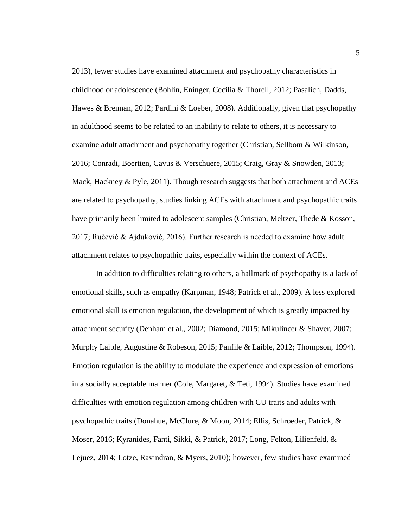2013), fewer studies have examined attachment and psychopathy characteristics in childhood or adolescence (Bohlin, Eninger, Cecilia & Thorell, 2012; Pasalich, Dadds, Hawes & Brennan, 2012; Pardini & Loeber, 2008). Additionally, given that psychopathy in adulthood seems to be related to an inability to relate to others, it is necessary to examine adult attachment and psychopathy together (Christian, Sellbom & Wilkinson, 2016; Conradi, Boertien, Cavus & Verschuere, 2015; Craig, Gray & Snowden, 2013; Mack, Hackney & Pyle, 2011). Though research suggests that both attachment and ACEs are related to psychopathy, studies linking ACEs with attachment and psychopathic traits have primarily been limited to adolescent samples (Christian, Meltzer, Thede & Kosson, 2017; Ručević & Ajduković, 2016). Further research is needed to examine how adult attachment relates to psychopathic traits, especially within the context of ACEs.

In addition to difficulties relating to others, a hallmark of psychopathy is a lack of emotional skills, such as empathy (Karpman, 1948; Patrick et al., 2009). A less explored emotional skill is emotion regulation, the development of which is greatly impacted by attachment security (Denham et al., 2002; Diamond, 2015; Mikulincer & Shaver, 2007; Murphy Laible, Augustine & Robeson, 2015; Panfile & Laible, 2012; Thompson, 1994). Emotion regulation is the ability to modulate the experience and expression of emotions in a socially acceptable manner (Cole, Margaret, & Teti, 1994). Studies have examined difficulties with emotion regulation among children with CU traits and adults with psychopathic traits (Donahue, McClure, & Moon, 2014; Ellis, Schroeder, Patrick, & Moser, 2016; Kyranides, Fanti, Sikki, & Patrick, 2017; Long, Felton, Lilienfeld, & Lejuez, 2014; Lotze, Ravindran, & Myers, 2010); however, few studies have examined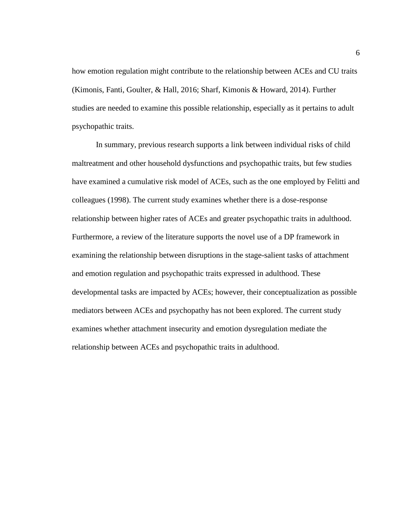how emotion regulation might contribute to the relationship between ACEs and CU traits (Kimonis, Fanti, Goulter, & Hall, 2016; Sharf, Kimonis & Howard, 2014). Further studies are needed to examine this possible relationship, especially as it pertains to adult psychopathic traits.

In summary, previous research supports a link between individual risks of child maltreatment and other household dysfunctions and psychopathic traits, but few studies have examined a cumulative risk model of ACEs, such as the one employed by Felitti and colleagues (1998). The current study examines whether there is a dose-response relationship between higher rates of ACEs and greater psychopathic traits in adulthood. Furthermore, a review of the literature supports the novel use of a DP framework in examining the relationship between disruptions in the stage-salient tasks of attachment and emotion regulation and psychopathic traits expressed in adulthood. These developmental tasks are impacted by ACEs; however, their conceptualization as possible mediators between ACEs and psychopathy has not been explored. The current study examines whether attachment insecurity and emotion dysregulation mediate the relationship between ACEs and psychopathic traits in adulthood.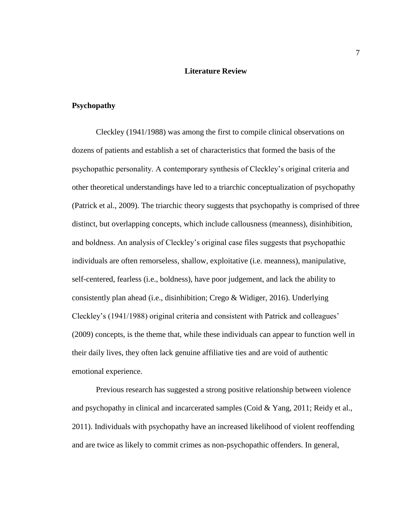# **Literature Review**

## <span id="page-15-1"></span><span id="page-15-0"></span>**Psychopathy**

Cleckley (1941/1988) was among the first to compile clinical observations on dozens of patients and establish a set of characteristics that formed the basis of the psychopathic personality. A contemporary synthesis of Cleckley's original criteria and other theoretical understandings have led to a triarchic conceptualization of psychopathy (Patrick et al., 2009). The triarchic theory suggests that psychopathy is comprised of three distinct, but overlapping concepts, which include callousness (meanness), disinhibition, and boldness. An analysis of Cleckley's original case files suggests that psychopathic individuals are often remorseless, shallow, exploitative (i.e. meanness), manipulative, self-centered, fearless (i.e., boldness), have poor judgement, and lack the ability to consistently plan ahead (i.e., disinhibition; Crego & Widiger, 2016). Underlying Cleckley's (1941/1988) original criteria and consistent with Patrick and colleagues' (2009) concepts, is the theme that, while these individuals can appear to function well in their daily lives, they often lack genuine affiliative ties and are void of authentic emotional experience.

Previous research has suggested a strong positive relationship between violence and psychopathy in clinical and incarcerated samples (Coid & Yang, 2011; Reidy et al., 2011). Individuals with psychopathy have an increased likelihood of violent reoffending and are twice as likely to commit crimes as non-psychopathic offenders. In general,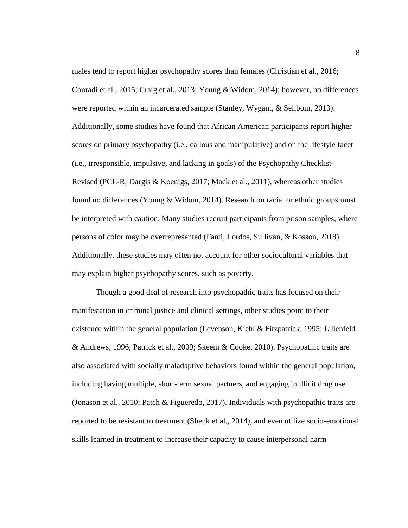males tend to report higher psychopathy scores than females (Christian et al., 2016; Conradi et al., 2015; Craig et al., 2013; Young & Widom, 2014); however, no differences were reported within an incarcerated sample (Stanley, Wygant, & Sellbom, 2013). Additionally, some studies have found that African American participants report higher scores on primary psychopathy (i.e., callous and manipulative) and on the lifestyle facet (i.e., irresponsible, impulsive, and lacking in goals) of the Psychopathy Checklist-Revised (PCL-R; Dargis & Koenigs, 2017; Mack et al., 2011), whereas other studies found no differences (Young & Widom, 2014). Research on racial or ethnic groups must be interpreted with caution. Many studies recruit participants from prison samples, where persons of color may be overrepresented (Fanti, Lordos, Sullivan, & Kosson, 2018). Additionally, these studies may often not account for other sociocultural variables that may explain higher psychopathy scores, such as poverty.

Though a good deal of research into psychopathic traits has focused on their manifestation in criminal justice and clinical settings, other studies point to their existence within the general population (Levenson, Kiehl & Fitzpatrick, 1995; Lilienfeld & Andrews, 1996; Patrick et al., 2009; Skeem & Cooke, 2010). Psychopathic traits are also associated with socially maladaptive behaviors found within the general population, including having multiple, short-term sexual partners, and engaging in illicit drug use (Jonason et al., 2010; Patch & Figueredo, 2017). Individuals with psychopathic traits are reported to be resistant to treatment (Shenk et al., 2014), and even utilize socio-emotional skills learned in treatment to increase their capacity to cause interpersonal harm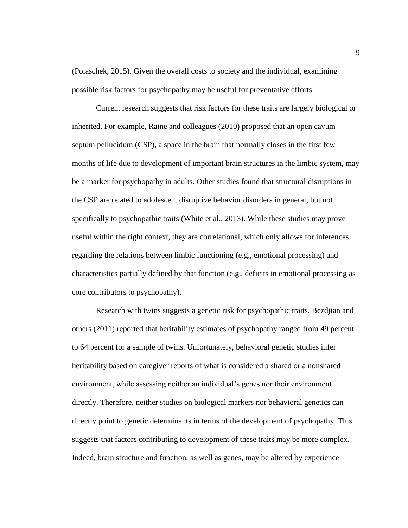(Polaschek, 2015). Given the overall costs to society and the individual, examining possible risk factors for psychopathy may be useful for preventative efforts.

Current research suggests that risk factors for these traits are largely biological or inherited. For example, Raine and colleagues (2010) proposed that an open cavum septum pellucidum (CSP), a space in the brain that normally closes in the first few months of life due to development of important brain structures in the limbic system, may be a marker for psychopathy in adults. Other studies found that structural disruptions in the CSP are related to adolescent disruptive behavior disorders in general, but not specifically to psychopathic traits (White et al., 2013). While these studies may prove useful within the right context, they are correlational, which only allows for inferences regarding the relations between limbic functioning (e.g., emotional processing) and characteristics partially defined by that function (e.g., deficits in emotional processing as core contributors to psychopathy).

Research with twins suggests a genetic risk for psychopathic traits. Bezdjian and others (2011) reported that heritability estimates of psychopathy ranged from 49 percent to 64 percent for a sample of twins. Unfortunately, behavioral genetic studies infer heritability based on caregiver reports of what is considered a shared or a nonshared environment, while assessing neither an individual's genes nor their environment directly. Therefore, neither studies on biological markers nor behavioral genetics can directly point to genetic determinants in terms of the development of psychopathy. This suggests that factors contributing to development of these traits may be more complex. Indeed, brain structure and function, as well as genes, may be altered by experience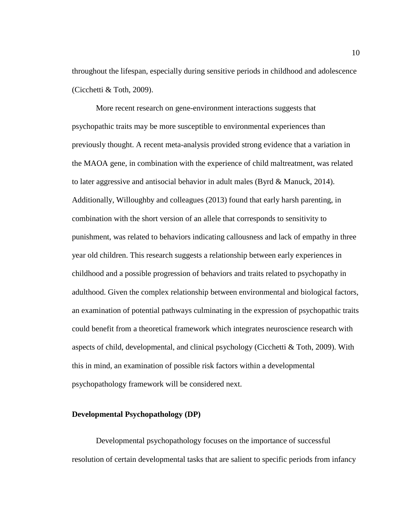throughout the lifespan, especially during sensitive periods in childhood and adolescence (Cicchetti & Toth, 2009).

More recent research on gene-environment interactions suggests that psychopathic traits may be more susceptible to environmental experiences than previously thought. A recent meta-analysis provided strong evidence that a variation in the MAOA gene, in combination with the experience of child maltreatment, was related to later aggressive and antisocial behavior in adult males (Byrd  $\&$  Manuck, 2014). Additionally, Willoughby and colleagues (2013) found that early harsh parenting, in combination with the short version of an allele that corresponds to sensitivity to punishment, was related to behaviors indicating callousness and lack of empathy in three year old children. This research suggests a relationship between early experiences in childhood and a possible progression of behaviors and traits related to psychopathy in adulthood. Given the complex relationship between environmental and biological factors, an examination of potential pathways culminating in the expression of psychopathic traits could benefit from a theoretical framework which integrates neuroscience research with aspects of child, developmental, and clinical psychology (Cicchetti  $&$  Toth, 2009). With this in mind, an examination of possible risk factors within a developmental psychopathology framework will be considered next.

### <span id="page-18-0"></span>**Developmental Psychopathology (DP)**

Developmental psychopathology focuses on the importance of successful resolution of certain developmental tasks that are salient to specific periods from infancy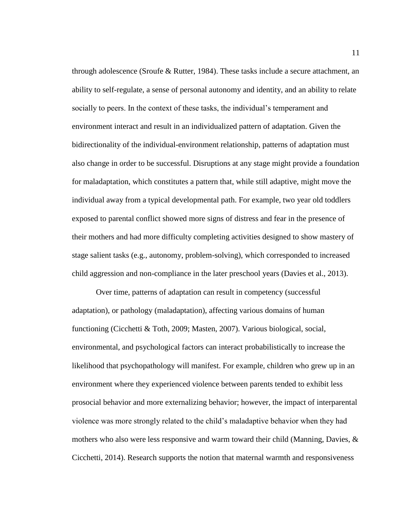through adolescence (Sroufe & Rutter, 1984). These tasks include a secure attachment, an ability to self-regulate, a sense of personal autonomy and identity, and an ability to relate socially to peers. In the context of these tasks, the individual's temperament and environment interact and result in an individualized pattern of adaptation. Given the bidirectionality of the individual-environment relationship, patterns of adaptation must also change in order to be successful. Disruptions at any stage might provide a foundation for maladaptation, which constitutes a pattern that, while still adaptive, might move the individual away from a typical developmental path. For example, two year old toddlers exposed to parental conflict showed more signs of distress and fear in the presence of their mothers and had more difficulty completing activities designed to show mastery of stage salient tasks (e.g., autonomy, problem-solving), which corresponded to increased child aggression and non-compliance in the later preschool years (Davies et al., 2013).

Over time, patterns of adaptation can result in competency (successful adaptation), or pathology (maladaptation), affecting various domains of human functioning (Cicchetti & Toth, 2009; Masten, 2007). Various biological, social, environmental, and psychological factors can interact probabilistically to increase the likelihood that psychopathology will manifest. For example, children who grew up in an environment where they experienced violence between parents tended to exhibit less prosocial behavior and more externalizing behavior; however, the impact of interparental violence was more strongly related to the child's maladaptive behavior when they had mothers who also were less responsive and warm toward their child (Manning, Davies, & Cicchetti, 2014). Research supports the notion that maternal warmth and responsiveness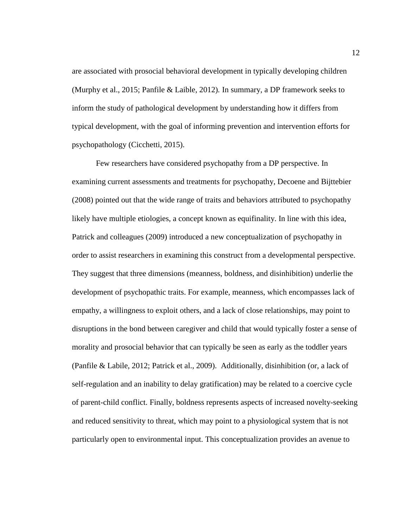are associated with prosocial behavioral development in typically developing children (Murphy et al., 2015; Panfile & Laible, 2012)*.* In summary, a DP framework seeks to inform the study of pathological development by understanding how it differs from typical development, with the goal of informing prevention and intervention efforts for psychopathology (Cicchetti, 2015).

Few researchers have considered psychopathy from a DP perspective. In examining current assessments and treatments for psychopathy, Decoene and Bijttebier (2008) pointed out that the wide range of traits and behaviors attributed to psychopathy likely have multiple etiologies, a concept known as equifinality. In line with this idea, Patrick and colleagues (2009) introduced a new conceptualization of psychopathy in order to assist researchers in examining this construct from a developmental perspective. They suggest that three dimensions (meanness, boldness, and disinhibition) underlie the development of psychopathic traits. For example, meanness, which encompasses lack of empathy, a willingness to exploit others, and a lack of close relationships, may point to disruptions in the bond between caregiver and child that would typically foster a sense of morality and prosocial behavior that can typically be seen as early as the toddler years (Panfile & Labile, 2012; Patrick et al., 2009). Additionally, disinhibition (or, a lack of self-regulation and an inability to delay gratification) may be related to a coercive cycle of parent-child conflict. Finally, boldness represents aspects of increased novelty-seeking and reduced sensitivity to threat, which may point to a physiological system that is not particularly open to environmental input. This conceptualization provides an avenue to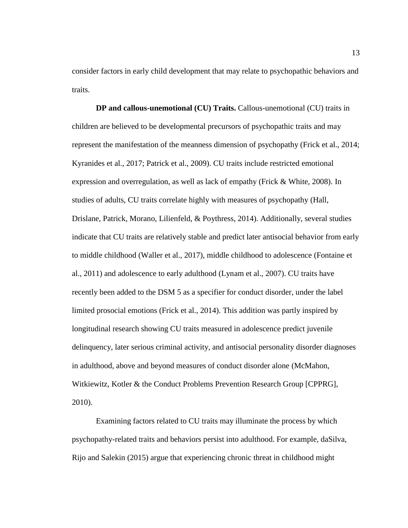consider factors in early child development that may relate to psychopathic behaviors and traits.

<span id="page-21-0"></span>**DP and callous-unemotional (CU) Traits.** Callous-unemotional (CU) traits in children are believed to be developmental precursors of psychopathic traits and may represent the manifestation of the meanness dimension of psychopathy (Frick et al., 2014; Kyranides et al., 2017; Patrick et al., 2009). CU traits include restricted emotional expression and overregulation, as well as lack of empathy (Frick & White, 2008). In studies of adults, CU traits correlate highly with measures of psychopathy (Hall, Drislane, Patrick, Morano, Lilienfeld, & Poythress, 2014). Additionally, several studies indicate that CU traits are relatively stable and predict later antisocial behavior from early to middle childhood (Waller et al., 2017), middle childhood to adolescence (Fontaine et al., 2011) and adolescence to early adulthood (Lynam et al., 2007). CU traits have recently been added to the DSM 5 as a specifier for conduct disorder, under the label limited prosocial emotions (Frick et al., 2014). This addition was partly inspired by longitudinal research showing CU traits measured in adolescence predict juvenile delinquency, later serious criminal activity, and antisocial personality disorder diagnoses in adulthood, above and beyond measures of conduct disorder alone (McMahon, Witkiewitz, Kotler & the Conduct Problems Prevention Research Group [CPPRG], 2010).

Examining factors related to CU traits may illuminate the process by which psychopathy-related traits and behaviors persist into adulthood. For example, daSilva, Rijo and Salekin (2015) argue that experiencing chronic threat in childhood might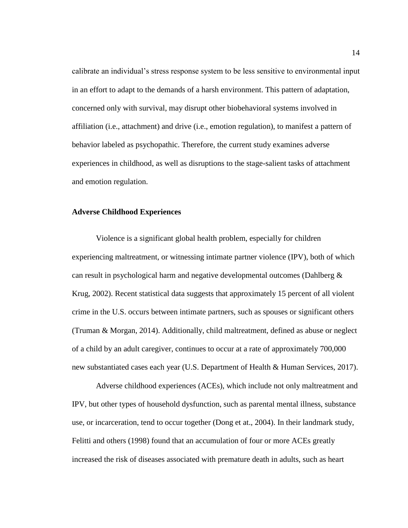calibrate an individual's stress response system to be less sensitive to environmental input in an effort to adapt to the demands of a harsh environment. This pattern of adaptation, concerned only with survival, may disrupt other biobehavioral systems involved in affiliation (i.e., attachment) and drive (i.e., emotion regulation), to manifest a pattern of behavior labeled as psychopathic. Therefore, the current study examines adverse experiences in childhood, as well as disruptions to the stage-salient tasks of attachment and emotion regulation.

#### <span id="page-22-0"></span>**Adverse Childhood Experiences**

Violence is a significant global health problem, especially for children experiencing maltreatment, or witnessing intimate partner violence (IPV), both of which can result in psychological harm and negative developmental outcomes (Dahlberg & Krug, 2002). Recent statistical data suggests that approximately 15 percent of all violent crime in the U.S. occurs between intimate partners, such as spouses or significant others (Truman & Morgan, 2014). Additionally, child maltreatment, defined as abuse or neglect of a child by an adult caregiver, continues to occur at a rate of approximately 700,000 new substantiated cases each year (U.S. Department of Health & Human Services, 2017).

Adverse childhood experiences (ACEs), which include not only maltreatment and IPV, but other types of household dysfunction, such as parental mental illness, substance use, or incarceration, tend to occur together (Dong et at., 2004). In their landmark study, Felitti and others (1998) found that an accumulation of four or more ACEs greatly increased the risk of diseases associated with premature death in adults, such as heart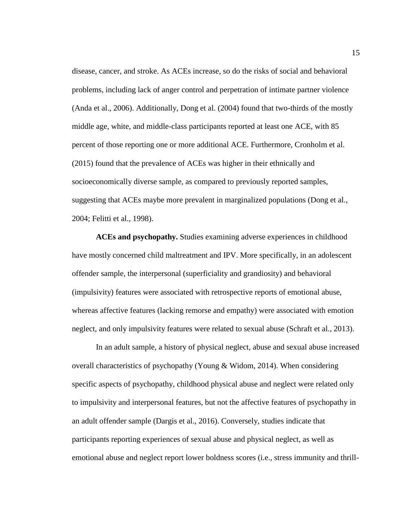disease, cancer, and stroke. As ACEs increase, so do the risks of social and behavioral problems, including lack of anger control and perpetration of intimate partner violence (Anda et al., 2006). Additionally, Dong et al. (2004) found that two-thirds of the mostly middle age, white, and middle-class participants reported at least one ACE, with 85 percent of those reporting one or more additional ACE. Furthermore, Cronholm et al. (2015) found that the prevalence of ACEs was higher in their ethnically and socioeconomically diverse sample, as compared to previously reported samples, suggesting that ACEs maybe more prevalent in marginalized populations (Dong et al., 2004; Felitti et al., 1998).

<span id="page-23-0"></span>**ACEs and psychopathy.** Studies examining adverse experiences in childhood have mostly concerned child maltreatment and IPV. More specifically, in an adolescent offender sample, the interpersonal (superficiality and grandiosity) and behavioral (impulsivity) features were associated with retrospective reports of emotional abuse, whereas affective features (lacking remorse and empathy) were associated with emotion neglect, and only impulsivity features were related to sexual abuse (Schraft et al., 2013).

In an adult sample, a history of physical neglect, abuse and sexual abuse increased overall characteristics of psychopathy (Young & Widom, 2014). When considering specific aspects of psychopathy, childhood physical abuse and neglect were related only to impulsivity and interpersonal features, but not the affective features of psychopathy in an adult offender sample (Dargis et al., 2016). Conversely, studies indicate that participants reporting experiences of sexual abuse and physical neglect, as well as emotional abuse and neglect report lower boldness scores (i.e., stress immunity and thrill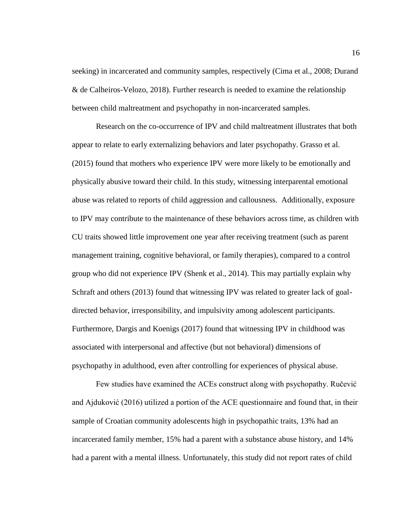seeking) in incarcerated and community samples, respectively (Cima et al., 2008; Durand & de Calheiros-Velozo, 2018). Further research is needed to examine the relationship between child maltreatment and psychopathy in non-incarcerated samples.

Research on the co-occurrence of IPV and child maltreatment illustrates that both appear to relate to early externalizing behaviors and later psychopathy. Grasso et al. (2015) found that mothers who experience IPV were more likely to be emotionally and physically abusive toward their child. In this study, witnessing interparental emotional abuse was related to reports of child aggression and callousness. Additionally, exposure to IPV may contribute to the maintenance of these behaviors across time, as children with CU traits showed little improvement one year after receiving treatment (such as parent management training, cognitive behavioral, or family therapies), compared to a control group who did not experience IPV (Shenk et al., 2014). This may partially explain why Schraft and others (2013) found that witnessing IPV was related to greater lack of goaldirected behavior, irresponsibility, and impulsivity among adolescent participants. Furthermore, Dargis and Koenigs (2017) found that witnessing IPV in childhood was associated with interpersonal and affective (but not behavioral) dimensions of psychopathy in adulthood, even after controlling for experiences of physical abuse.

Few studies have examined the ACEs construct along with psychopathy. Ručević and Ajduković (2016) utilized a portion of the ACE questionnaire and found that, in their sample of Croatian community adolescents high in psychopathic traits, 13% had an incarcerated family member, 15% had a parent with a substance abuse history, and 14% had a parent with a mental illness. Unfortunately, this study did not report rates of child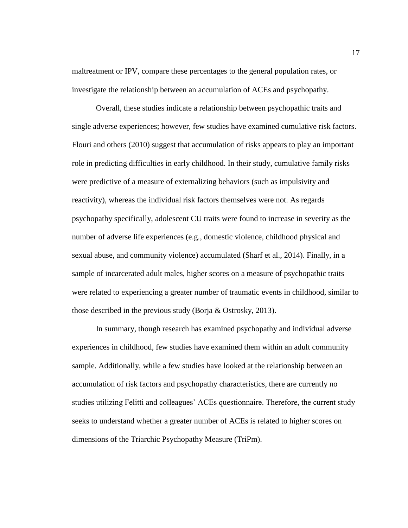maltreatment or IPV, compare these percentages to the general population rates, or investigate the relationship between an accumulation of ACEs and psychopathy.

Overall, these studies indicate a relationship between psychopathic traits and single adverse experiences; however, few studies have examined cumulative risk factors. Flouri and others (2010) suggest that accumulation of risks appears to play an important role in predicting difficulties in early childhood. In their study, cumulative family risks were predictive of a measure of externalizing behaviors (such as impulsivity and reactivity), whereas the individual risk factors themselves were not. As regards psychopathy specifically, adolescent CU traits were found to increase in severity as the number of adverse life experiences (e.g., domestic violence, childhood physical and sexual abuse, and community violence) accumulated (Sharf et al., 2014). Finally, in a sample of incarcerated adult males, higher scores on a measure of psychopathic traits were related to experiencing a greater number of traumatic events in childhood, similar to those described in the previous study (Borja & Ostrosky, 2013).

In summary, though research has examined psychopathy and individual adverse experiences in childhood, few studies have examined them within an adult community sample. Additionally, while a few studies have looked at the relationship between an accumulation of risk factors and psychopathy characteristics, there are currently no studies utilizing Felitti and colleagues' ACEs questionnaire. Therefore, the current study seeks to understand whether a greater number of ACEs is related to higher scores on dimensions of the Triarchic Psychopathy Measure (TriPm).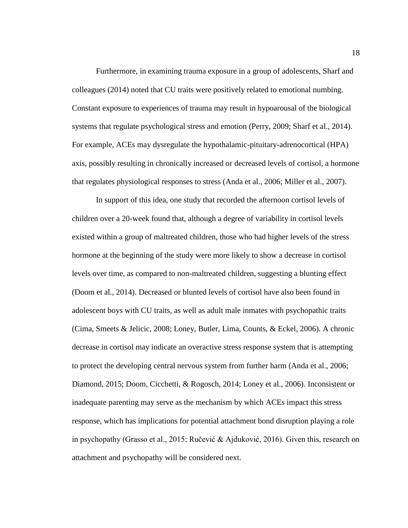Furthermore, in examining trauma exposure in a group of adolescents, Sharf and colleagues (2014) noted that CU traits were positively related to emotional numbing. Constant exposure to experiences of trauma may result in hypoarousal of the biological systems that regulate psychological stress and emotion (Perry, 2009; Sharf et al., 2014). For example, ACEs may dysregulate the hypothalamic-pituitary-adrenocortical (HPA) axis, possibly resulting in chronically increased or decreased levels of cortisol, a hormone that regulates physiological responses to stress (Anda et al., 2006; Miller et al., 2007).

In support of this idea, one study that recorded the afternoon cortisol levels of children over a 20-week found that, although a degree of variability in cortisol levels existed within a group of maltreated children, those who had higher levels of the stress hormone at the beginning of the study were more likely to show a decrease in cortisol levels over time, as compared to non-maltreated children, suggesting a blunting effect (Doom et al., 2014). Decreased or blunted levels of cortisol have also been found in adolescent boys with CU traits, as well as adult male inmates with psychopathic traits (Cima, Smeets & Jelicic, 2008; Loney, Butler, Lima, Counts, & Eckel, 2006). A chronic decrease in cortisol may indicate an overactive stress response system that is attempting to protect the developing central nervous system from further harm (Anda et al., 2006; Diamond, 2015; Doom, Cicchetti, & Rogosch, 2014; Loney et al., 2006). Inconsistent or inadequate parenting may serve as the mechanism by which ACEs impact this stress response, which has implications for potential attachment bond disruption playing a role in psychopathy (Grasso et al., 2015; Ručević & Ajduković, 2016). Given this, research on attachment and psychopathy will be considered next.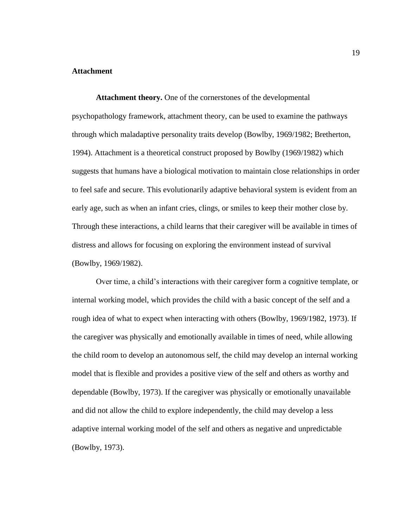### <span id="page-27-0"></span>**Attachment**

<span id="page-27-1"></span>**Attachment theory.** One of the cornerstones of the developmental psychopathology framework, attachment theory, can be used to examine the pathways through which maladaptive personality traits develop (Bowlby, 1969/1982; Bretherton, 1994). Attachment is a theoretical construct proposed by Bowlby (1969/1982) which suggests that humans have a biological motivation to maintain close relationships in order to feel safe and secure. This evolutionarily adaptive behavioral system is evident from an early age, such as when an infant cries, clings, or smiles to keep their mother close by. Through these interactions, a child learns that their caregiver will be available in times of distress and allows for focusing on exploring the environment instead of survival (Bowlby, 1969/1982).

Over time, a child's interactions with their caregiver form a cognitive template, or internal working model, which provides the child with a basic concept of the self and a rough idea of what to expect when interacting with others (Bowlby, 1969/1982, 1973). If the caregiver was physically and emotionally available in times of need, while allowing the child room to develop an autonomous self, the child may develop an internal working model that is flexible and provides a positive view of the self and others as worthy and dependable (Bowlby, 1973). If the caregiver was physically or emotionally unavailable and did not allow the child to explore independently, the child may develop a less adaptive internal working model of the self and others as negative and unpredictable (Bowlby, 1973).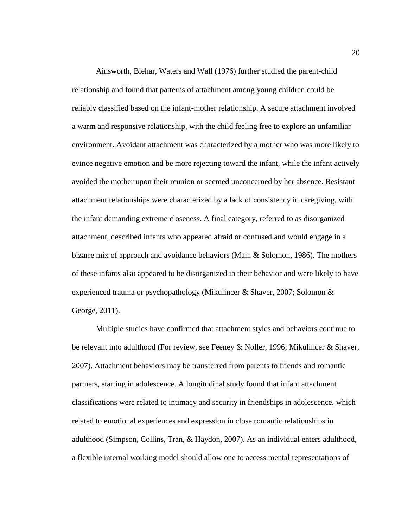Ainsworth, Blehar, Waters and Wall (1976) further studied the parent-child relationship and found that patterns of attachment among young children could be reliably classified based on the infant-mother relationship. A secure attachment involved a warm and responsive relationship, with the child feeling free to explore an unfamiliar environment. Avoidant attachment was characterized by a mother who was more likely to evince negative emotion and be more rejecting toward the infant, while the infant actively avoided the mother upon their reunion or seemed unconcerned by her absence. Resistant attachment relationships were characterized by a lack of consistency in caregiving, with the infant demanding extreme closeness. A final category, referred to as disorganized attachment, described infants who appeared afraid or confused and would engage in a bizarre mix of approach and avoidance behaviors (Main & Solomon, 1986). The mothers of these infants also appeared to be disorganized in their behavior and were likely to have experienced trauma or psychopathology (Mikulincer & Shaver, 2007; Solomon & George, 2011).

Multiple studies have confirmed that attachment styles and behaviors continue to be relevant into adulthood (For review, see Feeney & Noller, 1996; Mikulincer & Shaver, 2007). Attachment behaviors may be transferred from parents to friends and romantic partners, starting in adolescence. A longitudinal study found that infant attachment classifications were related to intimacy and security in friendships in adolescence, which related to emotional experiences and expression in close romantic relationships in adulthood (Simpson, Collins, Tran, & Haydon, 2007). As an individual enters adulthood, a flexible internal working model should allow one to access mental representations of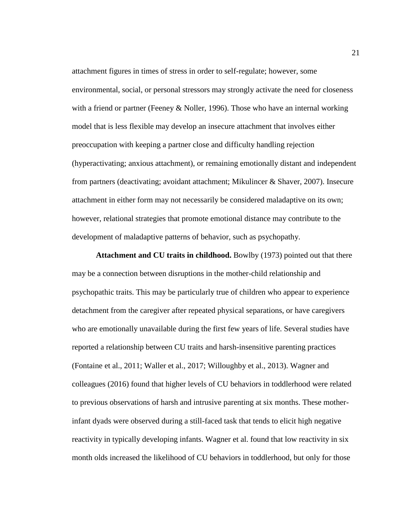attachment figures in times of stress in order to self-regulate; however, some environmental, social, or personal stressors may strongly activate the need for closeness with a friend or partner (Feeney & Noller, 1996). Those who have an internal working model that is less flexible may develop an insecure attachment that involves either preoccupation with keeping a partner close and difficulty handling rejection (hyperactivating; anxious attachment), or remaining emotionally distant and independent from partners (deactivating; avoidant attachment; Mikulincer & Shaver, 2007). Insecure attachment in either form may not necessarily be considered maladaptive on its own; however, relational strategies that promote emotional distance may contribute to the development of maladaptive patterns of behavior, such as psychopathy.

<span id="page-29-0"></span>**Attachment and CU traits in childhood.** Bowlby (1973) pointed out that there may be a connection between disruptions in the mother-child relationship and psychopathic traits. This may be particularly true of children who appear to experience detachment from the caregiver after repeated physical separations, or have caregivers who are emotionally unavailable during the first few years of life. Several studies have reported a relationship between CU traits and harsh-insensitive parenting practices (Fontaine et al., 2011; Waller et al., 2017; Willoughby et al., 2013). Wagner and colleagues (2016) found that higher levels of CU behaviors in toddlerhood were related to previous observations of harsh and intrusive parenting at six months. These motherinfant dyads were observed during a still-faced task that tends to elicit high negative reactivity in typically developing infants. Wagner et al. found that low reactivity in six month olds increased the likelihood of CU behaviors in toddlerhood, but only for those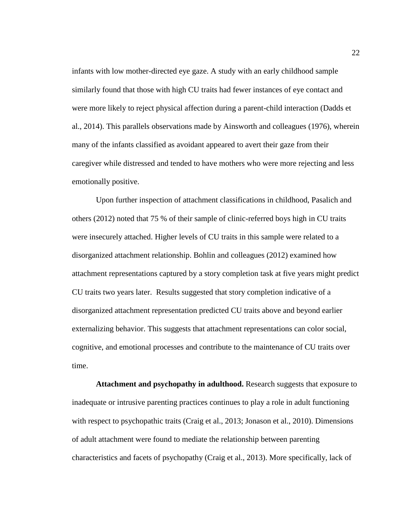infants with low mother-directed eye gaze. A study with an early childhood sample similarly found that those with high CU traits had fewer instances of eye contact and were more likely to reject physical affection during a parent-child interaction (Dadds et al., 2014). This parallels observations made by Ainsworth and colleagues (1976), wherein many of the infants classified as avoidant appeared to avert their gaze from their caregiver while distressed and tended to have mothers who were more rejecting and less emotionally positive.

Upon further inspection of attachment classifications in childhood, Pasalich and others (2012) noted that 75 % of their sample of clinic-referred boys high in CU traits were insecurely attached. Higher levels of CU traits in this sample were related to a disorganized attachment relationship. Bohlin and colleagues (2012) examined how attachment representations captured by a story completion task at five years might predict CU traits two years later. Results suggested that story completion indicative of a disorganized attachment representation predicted CU traits above and beyond earlier externalizing behavior. This suggests that attachment representations can color social, cognitive, and emotional processes and contribute to the maintenance of CU traits over time.

<span id="page-30-0"></span>**Attachment and psychopathy in adulthood.** Research suggests that exposure to inadequate or intrusive parenting practices continues to play a role in adult functioning with respect to psychopathic traits (Craig et al., 2013; Jonason et al., 2010). Dimensions of adult attachment were found to mediate the relationship between parenting characteristics and facets of psychopathy (Craig et al., 2013). More specifically, lack of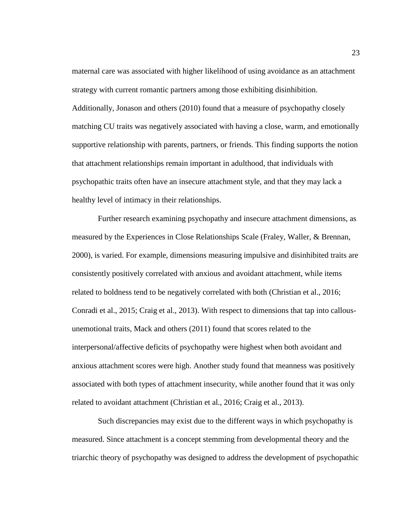maternal care was associated with higher likelihood of using avoidance as an attachment strategy with current romantic partners among those exhibiting disinhibition. Additionally, Jonason and others (2010) found that a measure of psychopathy closely matching CU traits was negatively associated with having a close, warm, and emotionally supportive relationship with parents, partners, or friends. This finding supports the notion that attachment relationships remain important in adulthood, that individuals with psychopathic traits often have an insecure attachment style, and that they may lack a healthy level of intimacy in their relationships.

Further research examining psychopathy and insecure attachment dimensions, as measured by the Experiences in Close Relationships Scale (Fraley, Waller, & Brennan, 2000), is varied. For example, dimensions measuring impulsive and disinhibited traits are consistently positively correlated with anxious and avoidant attachment, while items related to boldness tend to be negatively correlated with both (Christian et al., 2016; Conradi et al., 2015; Craig et al., 2013). With respect to dimensions that tap into callousunemotional traits, Mack and others (2011) found that scores related to the interpersonal/affective deficits of psychopathy were highest when both avoidant and anxious attachment scores were high. Another study found that meanness was positively associated with both types of attachment insecurity, while another found that it was only related to avoidant attachment (Christian et al., 2016; Craig et al., 2013).

Such discrepancies may exist due to the different ways in which psychopathy is measured. Since attachment is a concept stemming from developmental theory and the triarchic theory of psychopathy was designed to address the development of psychopathic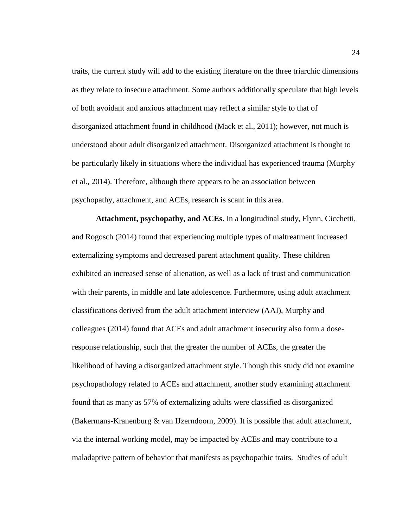traits, the current study will add to the existing literature on the three triarchic dimensions as they relate to insecure attachment. Some authors additionally speculate that high levels of both avoidant and anxious attachment may reflect a similar style to that of disorganized attachment found in childhood (Mack et al., 2011); however, not much is understood about adult disorganized attachment. Disorganized attachment is thought to be particularly likely in situations where the individual has experienced trauma (Murphy et al., 2014). Therefore, although there appears to be an association between psychopathy, attachment, and ACEs, research is scant in this area.

<span id="page-32-0"></span>**Attachment, psychopathy, and ACEs.** In a longitudinal study, Flynn, Cicchetti, and Rogosch (2014) found that experiencing multiple types of maltreatment increased externalizing symptoms and decreased parent attachment quality. These children exhibited an increased sense of alienation, as well as a lack of trust and communication with their parents, in middle and late adolescence. Furthermore, using adult attachment classifications derived from the adult attachment interview (AAI), Murphy and colleagues (2014) found that ACEs and adult attachment insecurity also form a doseresponse relationship, such that the greater the number of ACEs, the greater the likelihood of having a disorganized attachment style. Though this study did not examine psychopathology related to ACEs and attachment, another study examining attachment found that as many as 57% of externalizing adults were classified as disorganized (Bakermans-Kranenburg & van IJzerndoorn, 2009). It is possible that adult attachment, via the internal working model, may be impacted by ACEs and may contribute to a maladaptive pattern of behavior that manifests as psychopathic traits. Studies of adult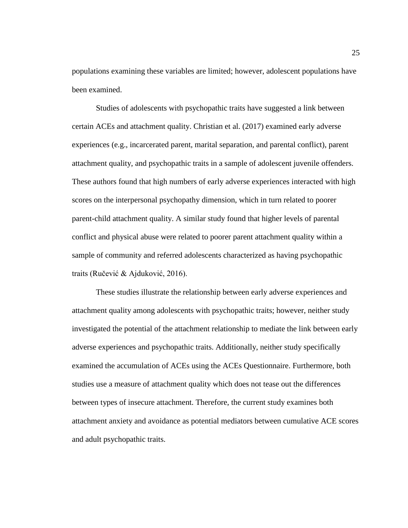populations examining these variables are limited; however, adolescent populations have been examined.

Studies of adolescents with psychopathic traits have suggested a link between certain ACEs and attachment quality. Christian et al. (2017) examined early adverse experiences (e.g., incarcerated parent, marital separation, and parental conflict), parent attachment quality, and psychopathic traits in a sample of adolescent juvenile offenders. These authors found that high numbers of early adverse experiences interacted with high scores on the interpersonal psychopathy dimension, which in turn related to poorer parent-child attachment quality. A similar study found that higher levels of parental conflict and physical abuse were related to poorer parent attachment quality within a sample of community and referred adolescents characterized as having psychopathic traits (Ručević & Ajduković, 2016).

These studies illustrate the relationship between early adverse experiences and attachment quality among adolescents with psychopathic traits; however, neither study investigated the potential of the attachment relationship to mediate the link between early adverse experiences and psychopathic traits. Additionally, neither study specifically examined the accumulation of ACEs using the ACEs Questionnaire. Furthermore, both studies use a measure of attachment quality which does not tease out the differences between types of insecure attachment. Therefore, the current study examines both attachment anxiety and avoidance as potential mediators between cumulative ACE scores and adult psychopathic traits.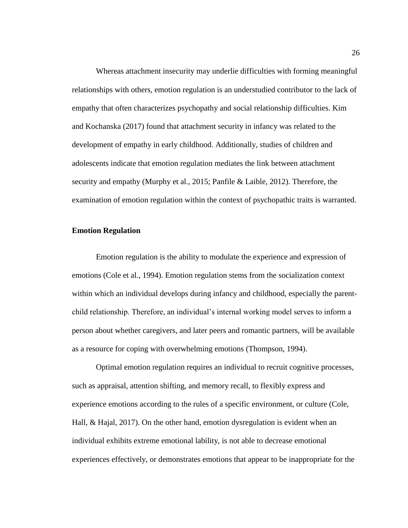Whereas attachment insecurity may underlie difficulties with forming meaningful relationships with others, emotion regulation is an understudied contributor to the lack of empathy that often characterizes psychopathy and social relationship difficulties. Kim and Kochanska (2017) found that attachment security in infancy was related to the development of empathy in early childhood. Additionally, studies of children and adolescents indicate that emotion regulation mediates the link between attachment security and empathy (Murphy et al., 2015; Panfile & Laible, 2012). Therefore, the examination of emotion regulation within the context of psychopathic traits is warranted.

### <span id="page-34-0"></span>**Emotion Regulation**

Emotion regulation is the ability to modulate the experience and expression of emotions (Cole et al., 1994). Emotion regulation stems from the socialization context within which an individual develops during infancy and childhood, especially the parentchild relationship. Therefore, an individual's internal working model serves to inform a person about whether caregivers, and later peers and romantic partners, will be available as a resource for coping with overwhelming emotions (Thompson, 1994).

Optimal emotion regulation requires an individual to recruit cognitive processes, such as appraisal, attention shifting, and memory recall, to flexibly express and experience emotions according to the rules of a specific environment, or culture (Cole, Hall, & Hajal, 2017). On the other hand, emotion dysregulation is evident when an individual exhibits extreme emotional lability, is not able to decrease emotional experiences effectively, or demonstrates emotions that appear to be inappropriate for the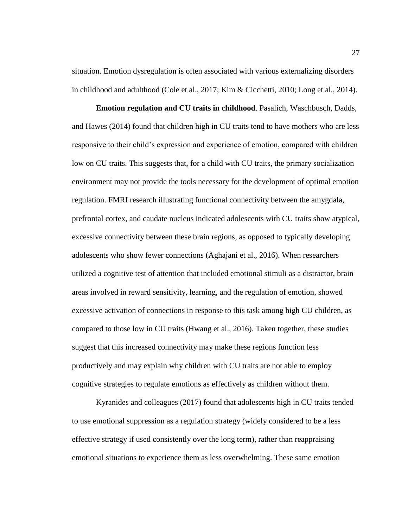situation. Emotion dysregulation is often associated with various externalizing disorders in childhood and adulthood (Cole et al., 2017; Kim & Cicchetti, 2010; Long et al., 2014).

<span id="page-35-0"></span>**Emotion regulation and CU traits in childhood**. Pasalich, Waschbusch, Dadds, and Hawes (2014) found that children high in CU traits tend to have mothers who are less responsive to their child's expression and experience of emotion, compared with children low on CU traits. This suggests that, for a child with CU traits, the primary socialization environment may not provide the tools necessary for the development of optimal emotion regulation. FMRI research illustrating functional connectivity between the amygdala, prefrontal cortex, and caudate nucleus indicated adolescents with CU traits show atypical, excessive connectivity between these brain regions, as opposed to typically developing adolescents who show fewer connections (Aghajani et al., 2016). When researchers utilized a cognitive test of attention that included emotional stimuli as a distractor, brain areas involved in reward sensitivity, learning, and the regulation of emotion, showed excessive activation of connections in response to this task among high CU children, as compared to those low in CU traits (Hwang et al., 2016). Taken together, these studies suggest that this increased connectivity may make these regions function less productively and may explain why children with CU traits are not able to employ cognitive strategies to regulate emotions as effectively as children without them.

Kyranides and colleagues (2017) found that adolescents high in CU traits tended to use emotional suppression as a regulation strategy (widely considered to be a less effective strategy if used consistently over the long term), rather than reappraising emotional situations to experience them as less overwhelming. These same emotion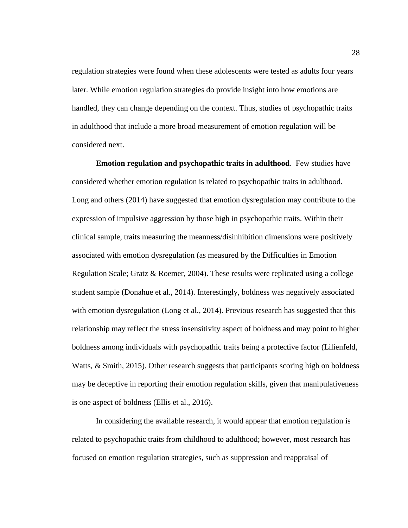regulation strategies were found when these adolescents were tested as adults four years later. While emotion regulation strategies do provide insight into how emotions are handled, they can change depending on the context. Thus, studies of psychopathic traits in adulthood that include a more broad measurement of emotion regulation will be considered next.

**Emotion regulation and psychopathic traits in adulthood**. Few studies have considered whether emotion regulation is related to psychopathic traits in adulthood. Long and others (2014) have suggested that emotion dysregulation may contribute to the expression of impulsive aggression by those high in psychopathic traits. Within their clinical sample, traits measuring the meanness/disinhibition dimensions were positively associated with emotion dysregulation (as measured by the Difficulties in Emotion Regulation Scale; Gratz & Roemer, 2004). These results were replicated using a college student sample (Donahue et al., 2014). Interestingly, boldness was negatively associated with emotion dysregulation (Long et al., 2014). Previous research has suggested that this relationship may reflect the stress insensitivity aspect of boldness and may point to higher boldness among individuals with psychopathic traits being a protective factor (Lilienfeld, Watts, & Smith, 2015). Other research suggests that participants scoring high on boldness may be deceptive in reporting their emotion regulation skills, given that manipulativeness is one aspect of boldness (Ellis et al., 2016).

In considering the available research, it would appear that emotion regulation is related to psychopathic traits from childhood to adulthood; however, most research has focused on emotion regulation strategies, such as suppression and reappraisal of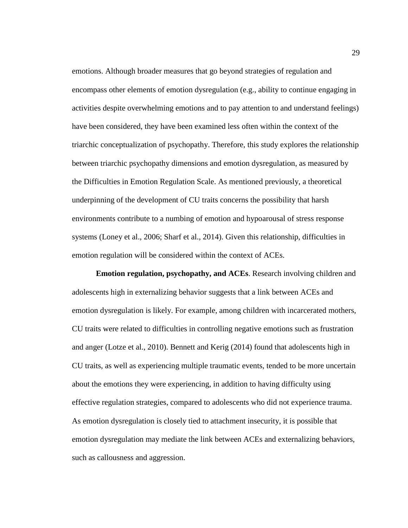emotions. Although broader measures that go beyond strategies of regulation and encompass other elements of emotion dysregulation (e.g., ability to continue engaging in activities despite overwhelming emotions and to pay attention to and understand feelings) have been considered, they have been examined less often within the context of the triarchic conceptualization of psychopathy. Therefore, this study explores the relationship between triarchic psychopathy dimensions and emotion dysregulation, as measured by the Difficulties in Emotion Regulation Scale. As mentioned previously, a theoretical underpinning of the development of CU traits concerns the possibility that harsh environments contribute to a numbing of emotion and hypoarousal of stress response systems (Loney et al., 2006; Sharf et al., 2014). Given this relationship, difficulties in emotion regulation will be considered within the context of ACEs.

**Emotion regulation, psychopathy, and ACEs**. Research involving children and adolescents high in externalizing behavior suggests that a link between ACEs and emotion dysregulation is likely. For example, among children with incarcerated mothers, CU traits were related to difficulties in controlling negative emotions such as frustration and anger (Lotze et al., 2010). Bennett and Kerig (2014) found that adolescents high in CU traits, as well as experiencing multiple traumatic events, tended to be more uncertain about the emotions they were experiencing, in addition to having difficulty using effective regulation strategies, compared to adolescents who did not experience trauma. As emotion dysregulation is closely tied to attachment insecurity, it is possible that emotion dysregulation may mediate the link between ACEs and externalizing behaviors, such as callousness and aggression.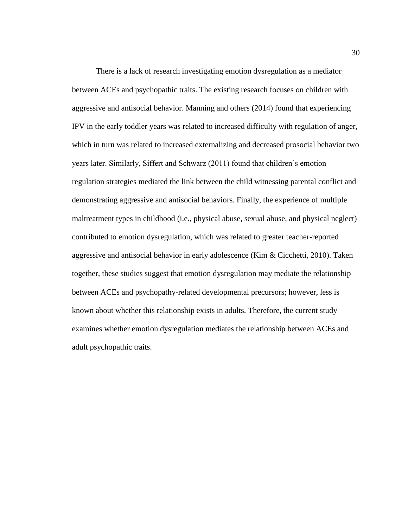There is a lack of research investigating emotion dysregulation as a mediator between ACEs and psychopathic traits. The existing research focuses on children with aggressive and antisocial behavior. Manning and others (2014) found that experiencing IPV in the early toddler years was related to increased difficulty with regulation of anger, which in turn was related to increased externalizing and decreased prosocial behavior two years later. Similarly, Siffert and Schwarz (2011) found that children's emotion regulation strategies mediated the link between the child witnessing parental conflict and demonstrating aggressive and antisocial behaviors. Finally, the experience of multiple maltreatment types in childhood (i.e., physical abuse, sexual abuse, and physical neglect) contributed to emotion dysregulation, which was related to greater teacher-reported aggressive and antisocial behavior in early adolescence (Kim & Cicchetti, 2010). Taken together, these studies suggest that emotion dysregulation may mediate the relationship between ACEs and psychopathy-related developmental precursors; however, less is known about whether this relationship exists in adults. Therefore, the current study examines whether emotion dysregulation mediates the relationship between ACEs and adult psychopathic traits.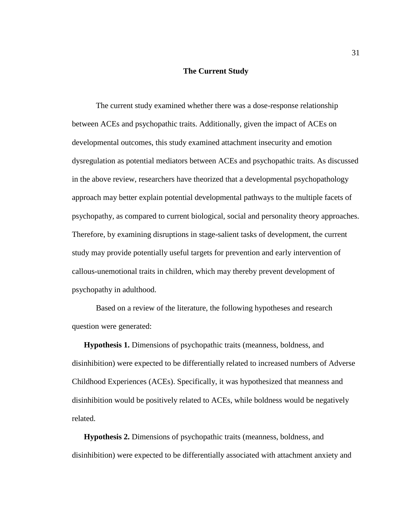### **The Current Study**

The current study examined whether there was a dose-response relationship between ACEs and psychopathic traits. Additionally, given the impact of ACEs on developmental outcomes, this study examined attachment insecurity and emotion dysregulation as potential mediators between ACEs and psychopathic traits. As discussed in the above review, researchers have theorized that a developmental psychopathology approach may better explain potential developmental pathways to the multiple facets of psychopathy, as compared to current biological, social and personality theory approaches. Therefore, by examining disruptions in stage-salient tasks of development, the current study may provide potentially useful targets for prevention and early intervention of callous-unemotional traits in children, which may thereby prevent development of psychopathy in adulthood.

Based on a review of the literature, the following hypotheses and research question were generated:

**Hypothesis 1.** Dimensions of psychopathic traits (meanness, boldness, and disinhibition) were expected to be differentially related to increased numbers of Adverse Childhood Experiences (ACEs). Specifically, it was hypothesized that meanness and disinhibition would be positively related to ACEs, while boldness would be negatively related.

**Hypothesis 2.** Dimensions of psychopathic traits (meanness, boldness, and disinhibition) were expected to be differentially associated with attachment anxiety and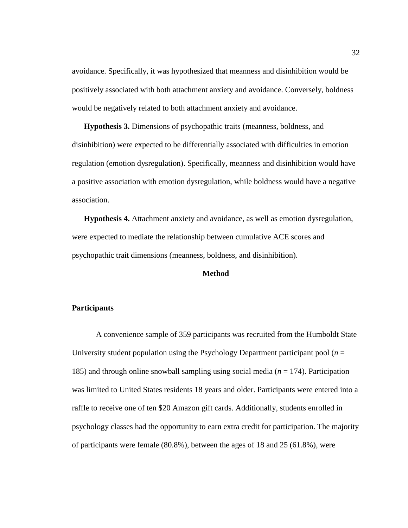avoidance. Specifically, it was hypothesized that meanness and disinhibition would be positively associated with both attachment anxiety and avoidance. Conversely, boldness would be negatively related to both attachment anxiety and avoidance.

**Hypothesis 3.** Dimensions of psychopathic traits (meanness, boldness, and disinhibition) were expected to be differentially associated with difficulties in emotion regulation (emotion dysregulation). Specifically, meanness and disinhibition would have a positive association with emotion dysregulation, while boldness would have a negative association.

**Hypothesis 4.** Attachment anxiety and avoidance, as well as emotion dysregulation, were expected to mediate the relationship between cumulative ACE scores and psychopathic trait dimensions (meanness, boldness, and disinhibition).

### **Method**

# **Participants**

A convenience sample of 359 participants was recruited from the Humboldt State University student population using the Psychology Department participant pool  $(n = 1)$ 185) and through online snowball sampling using social media (*n* = 174). Participation was limited to United States residents 18 years and older. Participants were entered into a raffle to receive one of ten \$20 Amazon gift cards. Additionally, students enrolled in psychology classes had the opportunity to earn extra credit for participation. The majority of participants were female (80.8%), between the ages of 18 and 25 (61.8%), were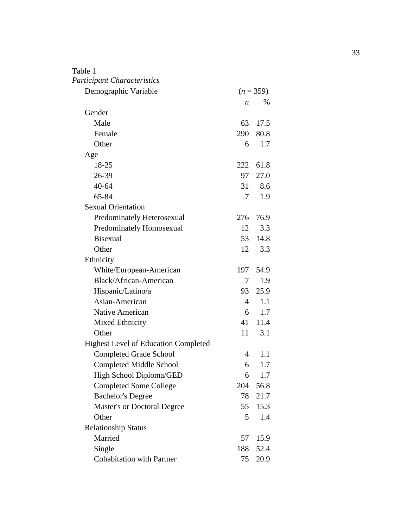# Table 1 *Participant Characteristics*

| Demographic Variable                        |     | $(n = 359)$ |  |
|---------------------------------------------|-----|-------------|--|
|                                             | n   | $\%$        |  |
| Gender                                      |     |             |  |
| Male                                        | 63  | 17.5        |  |
| Female                                      | 290 | 80.8        |  |
| Other                                       | 6   | 1.7         |  |
| Age                                         |     |             |  |
| 18-25                                       | 222 | 61.8        |  |
| 26-39                                       | 97  | 27.0        |  |
| 40-64                                       | 31  | 8.6         |  |
| 65-84                                       | 7   | 1.9         |  |
| <b>Sexual Orientation</b>                   |     |             |  |
| Predominately Heterosexual                  | 276 | 76.9        |  |
| Predominately Homosexual                    | 12  | 3.3         |  |
| <b>Bisexual</b>                             | 53  | 14.8        |  |
| Other                                       | 12  | 3.3         |  |
| Ethnicity                                   |     |             |  |
| White/European-American                     | 197 | 54.9        |  |
| Black/African-American                      | 7   | 1.9         |  |
| Hispanic/Latino/a                           | 93  | 25.9        |  |
| Asian-American                              | 4   | 1.1         |  |
| Native American                             | 6   | 1.7         |  |
| Mixed Ethnicity                             | 41  | 11.4        |  |
| Other                                       | 11  | 3.1         |  |
| <b>Highest Level of Education Completed</b> |     |             |  |
| <b>Completed Grade School</b>               | 4   | 1.1         |  |
| <b>Completed Middle School</b>              | 6   | 1.7         |  |
| High School Diploma/GED                     | 6   | 1.7         |  |
| <b>Completed Some College</b>               | 204 | 56.8        |  |
| <b>Bachelor's Degree</b>                    | 78  | 21.7        |  |
| <b>Master's or Doctoral Degree</b>          | 55  | 15.3        |  |
| Other                                       | 5   | 1.4         |  |
| <b>Relationship Status</b>                  |     |             |  |
| Married                                     | 57  | 15.9        |  |
| Single                                      | 188 | 52.4        |  |
| <b>Cohabitation with Partner</b>            | 75  | 20.9        |  |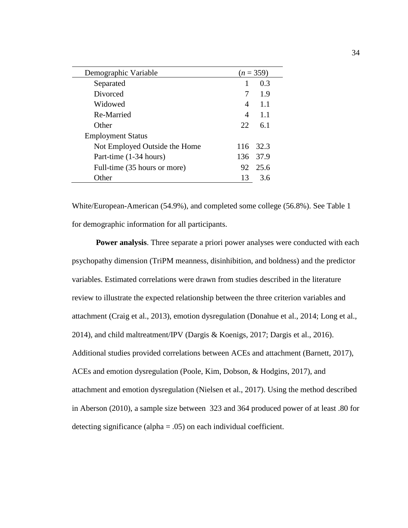| Demographic Variable          |     | $(n=359)$ |
|-------------------------------|-----|-----------|
| Separated                     |     | 0.3       |
| Divorced                      |     | 1.9       |
| Widowed                       | 4   | 1.1       |
| Re-Married                    | 4   | 1.1       |
| Other                         | 22. | 6.1       |
| <b>Employment Status</b>      |     |           |
| Not Employed Outside the Home |     | 116 32.3  |
| Part-time (1-34 hours)        |     | 136 37.9  |
| Full-time (35 hours or more)  | 92  | 25.6      |
| Other                         | 13  | 3.6       |

White/European-American (54.9%), and completed some college (56.8%). See Table 1 for demographic information for all participants.

**Power analysis**. Three separate a priori power analyses were conducted with each psychopathy dimension (TriPM meanness, disinhibition, and boldness) and the predictor variables. Estimated correlations were drawn from studies described in the literature review to illustrate the expected relationship between the three criterion variables and attachment (Craig et al., 2013), emotion dysregulation (Donahue et al., 2014; Long et al., 2014), and child maltreatment/IPV (Dargis & Koenigs, 2017; Dargis et al., 2016). Additional studies provided correlations between ACEs and attachment (Barnett, 2017), ACEs and emotion dysregulation (Poole, Kim, Dobson, & Hodgins, 2017), and attachment and emotion dysregulation (Nielsen et al., 2017). Using the method described in Aberson (2010), a sample size between 323 and 364 produced power of at least .80 for detecting significance (alpha =  $.05$ ) on each individual coefficient.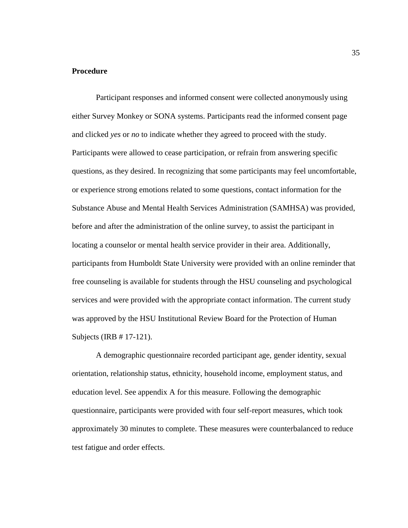### **Procedure**

Participant responses and informed consent were collected anonymously using either Survey Monkey or SONA systems. Participants read the informed consent page and clicked *yes* or *no* to indicate whether they agreed to proceed with the study. Participants were allowed to cease participation, or refrain from answering specific questions, as they desired. In recognizing that some participants may feel uncomfortable, or experience strong emotions related to some questions, contact information for the Substance Abuse and Mental Health Services Administration (SAMHSA) was provided, before and after the administration of the online survey, to assist the participant in locating a counselor or mental health service provider in their area. Additionally, participants from Humboldt State University were provided with an online reminder that free counseling is available for students through the HSU counseling and psychological services and were provided with the appropriate contact information. The current study was approved by the HSU Institutional Review Board for the Protection of Human Subjects (IRB # 17-121).

A demographic questionnaire recorded participant age, gender identity, sexual orientation, relationship status, ethnicity, household income, employment status, and education level. See appendix A for this measure. Following the demographic questionnaire, participants were provided with four self-report measures, which took approximately 30 minutes to complete. These measures were counterbalanced to reduce test fatigue and order effects.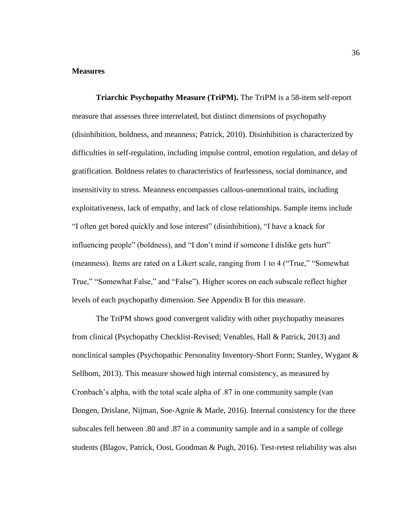### **Measures**

**Triarchic Psychopathy Measure (TriPM).** The TriPM is a 58-item self-report measure that assesses three interrelated, but distinct dimensions of psychopathy (disinhibition, boldness, and meanness; Patrick, 2010). Disinhibition is characterized by difficulties in self-regulation, including impulse control, emotion regulation, and delay of gratification. Boldness relates to characteristics of fearlessness, social dominance, and insensitivity to stress. Meanness encompasses callous-unemotional traits, including exploitativeness, lack of empathy, and lack of close relationships. Sample items include "I often get bored quickly and lose interest" (disinhibition), "I have a knack for influencing people" (boldness), and "I don't mind if someone I dislike gets hurt" (meanness). Items are rated on a Likert scale, ranging from 1 to 4 ("True," "Somewhat True," "Somewhat False," and "False"). Higher scores on each subscale reflect higher levels of each psychopathy dimension. See Appendix B for this measure.

The TriPM shows good convergent validity with other psychopathy measures from clinical (Psychopathy Checklist-Revised; Venables, Hall & Patrick, 2013) and nonclinical samples (Psychopathic Personality Inventory-Short Form; Stanley, Wygant & Sellbom, 2013). This measure showed high internal consistency, as measured by Cronbach's alpha, with the total scale alpha of .87 in one community sample (van Dongen, Drislane, Nijman, Soe-Agnie & Marle, 2016). Internal consistency for the three subscales fell between .80 and .87 in a community sample and in a sample of college students (Blagov, Patrick, Oost, Goodman & Pugh, 2016). Test-retest reliability was also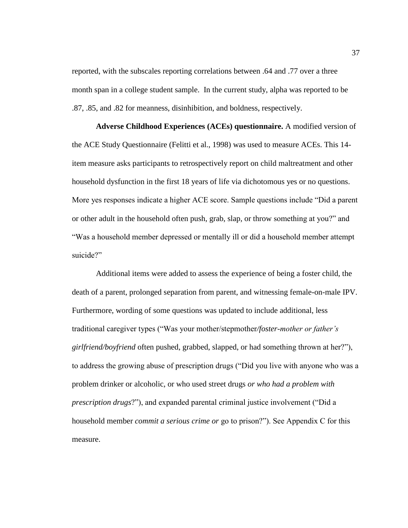reported, with the subscales reporting correlations between .64 and .77 over a three month span in a college student sample. In the current study, alpha was reported to be .87, .85, and .82 for meanness, disinhibition, and boldness, respectively.

**Adverse Childhood Experiences (ACEs) questionnaire.** A modified version of the ACE Study Questionnaire (Felitti et al., 1998) was used to measure ACEs. This 14 item measure asks participants to retrospectively report on child maltreatment and other household dysfunction in the first 18 years of life via dichotomous yes or no questions. More yes responses indicate a higher ACE score. Sample questions include "Did a parent or other adult in the household often push, grab, slap, or throw something at you?" and "Was a household member depressed or mentally ill or did a household member attempt suicide?"

Additional items were added to assess the experience of being a foster child, the death of a parent, prolonged separation from parent, and witnessing female-on-male IPV. Furthermore, wording of some questions was updated to include additional, less traditional caregiver types ("Was your mother/stepmother*/foster-mother or father's girlfriend/boyfriend* often pushed, grabbed, slapped, or had something thrown at her?"), to address the growing abuse of prescription drugs ("Did you live with anyone who was a problem drinker or alcoholic, or who used street drugs *or who had a problem with prescription drugs*?"), and expanded parental criminal justice involvement ("Did a household member *commit a serious crime or* go to prison?"). See Appendix C for this measure.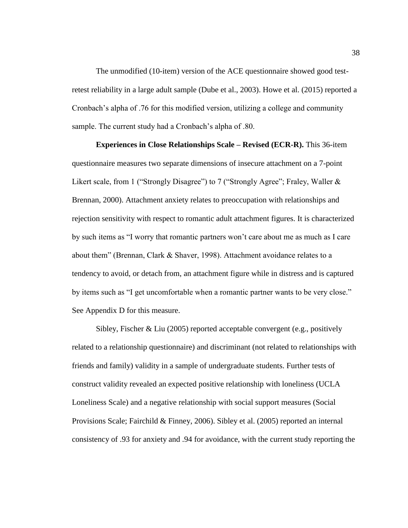The unmodified (10-item) version of the ACE questionnaire showed good testretest reliability in a large adult sample (Dube et al., 2003). Howe et al. (2015) reported a Cronbach's alpha of .76 for this modified version, utilizing a college and community sample. The current study had a Cronbach's alpha of .80.

**Experiences in Close Relationships Scale – Revised (ECR-R).** This 36-item questionnaire measures two separate dimensions of insecure attachment on a 7-point Likert scale, from 1 ("Strongly Disagree") to 7 ("Strongly Agree"; Fraley, Waller & Brennan, 2000). Attachment anxiety relates to preoccupation with relationships and rejection sensitivity with respect to romantic adult attachment figures. It is characterized by such items as "I worry that romantic partners won't care about me as much as I care about them" (Brennan, Clark & Shaver, 1998). Attachment avoidance relates to a tendency to avoid, or detach from, an attachment figure while in distress and is captured by items such as "I get uncomfortable when a romantic partner wants to be very close." See Appendix D for this measure.

Sibley, Fischer & Liu (2005) reported acceptable convergent (e.g., positively related to a relationship questionnaire) and discriminant (not related to relationships with friends and family) validity in a sample of undergraduate students. Further tests of construct validity revealed an expected positive relationship with loneliness (UCLA Loneliness Scale) and a negative relationship with social support measures (Social Provisions Scale; Fairchild & Finney, 2006). Sibley et al. (2005) reported an internal consistency of .93 for anxiety and .94 for avoidance, with the current study reporting the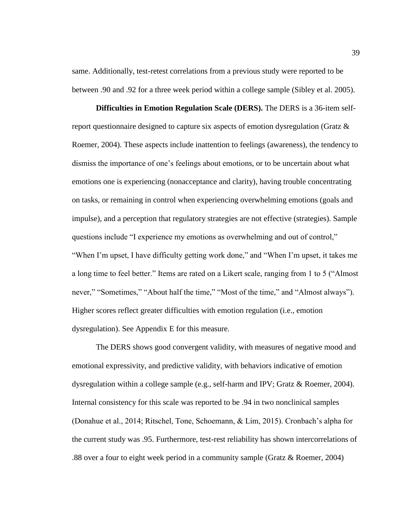same. Additionally, test-retest correlations from a previous study were reported to be between .90 and .92 for a three week period within a college sample (Sibley et al. 2005).

**Difficulties in Emotion Regulation Scale (DERS).** The DERS is a 36-item selfreport questionnaire designed to capture six aspects of emotion dysregulation (Gratz & Roemer, 2004). These aspects include inattention to feelings (awareness), the tendency to dismiss the importance of one's feelings about emotions, or to be uncertain about what emotions one is experiencing (nonacceptance and clarity), having trouble concentrating on tasks, or remaining in control when experiencing overwhelming emotions (goals and impulse), and a perception that regulatory strategies are not effective (strategies). Sample questions include "I experience my emotions as overwhelming and out of control," "When I'm upset, I have difficulty getting work done," and "When I'm upset, it takes me a long time to feel better." Items are rated on a Likert scale, ranging from 1 to 5 ("Almost never," "Sometimes," "About half the time," "Most of the time," and "Almost always"). Higher scores reflect greater difficulties with emotion regulation (i.e., emotion dysregulation). See Appendix E for this measure.

The DERS shows good convergent validity, with measures of negative mood and emotional expressivity, and predictive validity, with behaviors indicative of emotion dysregulation within a college sample (e.g., self-harm and IPV; Gratz & Roemer, 2004). Internal consistency for this scale was reported to be .94 in two nonclinical samples (Donahue et al., 2014; Ritschel, Tone, Schoemann, & Lim, 2015). Cronbach's alpha for the current study was .95. Furthermore, test-rest reliability has shown intercorrelations of .88 over a four to eight week period in a community sample (Gratz & Roemer, 2004)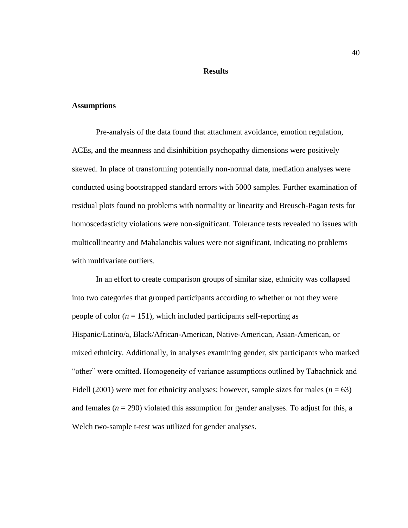# **Results**

### **Assumptions**

Pre-analysis of the data found that attachment avoidance, emotion regulation, ACEs, and the meanness and disinhibition psychopathy dimensions were positively skewed. In place of transforming potentially non-normal data, mediation analyses were conducted using bootstrapped standard errors with 5000 samples. Further examination of residual plots found no problems with normality or linearity and Breusch-Pagan tests for homoscedasticity violations were non-significant. Tolerance tests revealed no issues with multicollinearity and Mahalanobis values were not significant, indicating no problems with multivariate outliers.

In an effort to create comparison groups of similar size, ethnicity was collapsed into two categories that grouped participants according to whether or not they were people of color  $(n = 151)$ , which included participants self-reporting as Hispanic/Latino/a, Black/African-American, Native-American, Asian-American, or mixed ethnicity. Additionally, in analyses examining gender, six participants who marked "other" were omitted. Homogeneity of variance assumptions outlined by Tabachnick and Fidell (2001) were met for ethnicity analyses; however, sample sizes for males ( $n = 63$ ) and females  $(n = 290)$  violated this assumption for gender analyses. To adjust for this, a Welch two-sample t-test was utilized for gender analyses.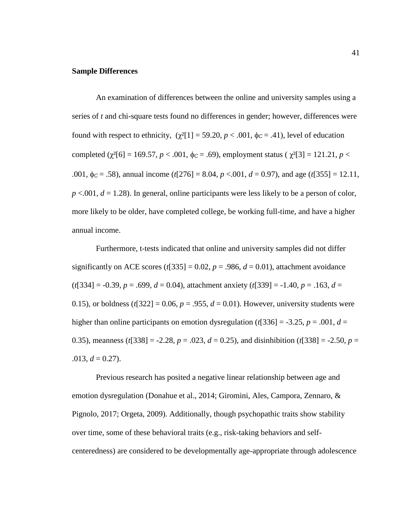### **Sample Differences**

An examination of differences between the online and university samples using a series of *t* and chi-square tests found no differences in gender; however, differences were found with respect to ethnicity,  $(\gamma^2[1] = 59.20, p < .001, \phi_C = .41)$ , level of education completed ( $\chi^2[6] = 169.57$ ,  $p < .001$ ,  $\phi_C = .69$ ), employment status ( $\chi^2[3] = 121.21$ ,  $p <$ .001,  $\phi_c = .58$ ), annual income (*t*[276] = 8.04, *p* <.001, *d* = 0.97), and age (*t*[355] = 12.11,  $p < .001$ ,  $d = 1.28$ ). In general, online participants were less likely to be a person of color, more likely to be older, have completed college, be working full-time, and have a higher annual income.

Furthermore, t-tests indicated that online and university samples did not differ significantly on ACE scores ( $t$ [335] = 0.02,  $p = .986$ ,  $d = 0.01$ ), attachment avoidance (*t*[334] = -0.39, *p* = .699, *d* = 0.04), attachment anxiety (*t*[339] = -1.40, *p* = .163, *d* = 0.15), or boldness  $(t[322] = 0.06, p = .955, d = 0.01)$ . However, university students were higher than online participants on emotion dysregulation ( $t$ [336] = -3.25,  $p = .001$ ,  $d =$ 0.35), meanness ( $t$ [338] = -2.28,  $p = .023$ ,  $d = 0.25$ ), and disinhibition ( $t$ [338] = -2.50,  $p =$  $.013, d = 0.27$ ).

Previous research has posited a negative linear relationship between age and emotion dysregulation (Donahue et al., 2014; Giromini, Ales, Campora, Zennaro, & Pignolo, 2017; Orgeta, 2009). Additionally, though psychopathic traits show stability over time, some of these behavioral traits (e.g., risk-taking behaviors and selfcenteredness) are considered to be developmentally age-appropriate through adolescence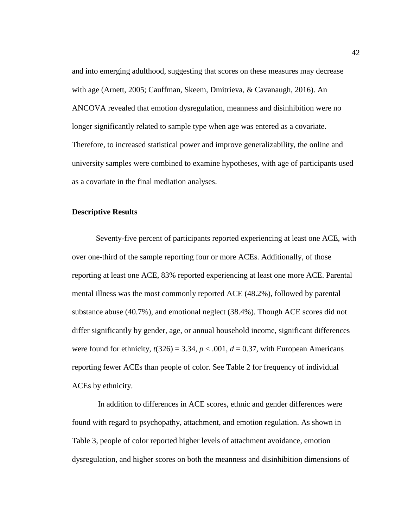and into emerging adulthood, suggesting that scores on these measures may decrease with age (Arnett, 2005; Cauffman, Skeem, Dmitrieva, & Cavanaugh, 2016). An ANCOVA revealed that emotion dysregulation, meanness and disinhibition were no longer significantly related to sample type when age was entered as a covariate. Therefore, to increased statistical power and improve generalizability, the online and university samples were combined to examine hypotheses, with age of participants used as a covariate in the final mediation analyses.

### **Descriptive Results**

Seventy-five percent of participants reported experiencing at least one ACE, with over one-third of the sample reporting four or more ACEs. Additionally, of those reporting at least one ACE, 83% reported experiencing at least one more ACE. Parental mental illness was the most commonly reported ACE (48.2%), followed by parental substance abuse (40.7%), and emotional neglect (38.4%). Though ACE scores did not differ significantly by gender, age, or annual household income, significant differences were found for ethnicity,  $t(326) = 3.34$ ,  $p < .001$ ,  $d = 0.37$ , with European Americans reporting fewer ACEs than people of color. See Table 2 for frequency of individual ACEs by ethnicity.

In addition to differences in ACE scores, ethnic and gender differences were found with regard to psychopathy, attachment, and emotion regulation. As shown in Table 3, people of color reported higher levels of attachment avoidance, emotion dysregulation, and higher scores on both the meanness and disinhibition dimensions of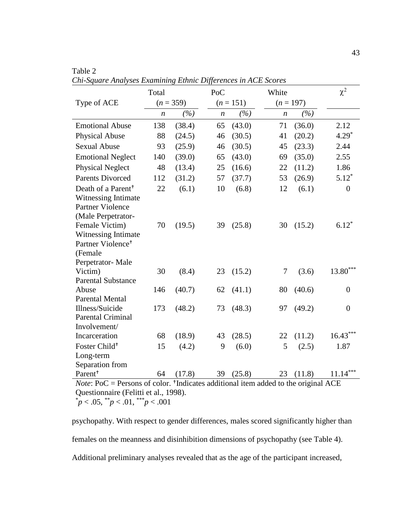| $(n = 359)$<br>$(n = 151)$<br>$(n = 197)$<br>Type of ACE<br>(%)<br>(%)<br>(%)<br>$\boldsymbol{n}$<br>$\boldsymbol{n}$<br>$\boldsymbol{n}$<br><b>Emotional Abuse</b><br>138<br>(38.4)<br>(43.0)<br>(36.0)<br>2.12<br>65<br>71<br>$4.29*$<br>(20.2)<br><b>Physical Abuse</b><br>(30.5)<br>88<br>(24.5)<br>46<br>41<br><b>Sexual Abuse</b><br>(23.3)<br>(25.9)<br>(30.5)<br>2.44<br>93<br>45<br>46<br><b>Emotional Neglect</b><br>140<br>(39.0)<br>(43.0)<br>(35.0)<br>2.55<br>65<br>69<br><b>Physical Neglect</b><br>(11.2)<br>1.86<br>48<br>(13.4)<br>(16.6)<br>25<br>22<br>$5.12*$<br><b>Parents Divorced</b><br>(31.2)<br>53<br>(26.9)<br>112<br>57<br>(37.7)<br>Death of a Parent <sup>+</sup><br>(6.1)<br>(6.1)<br>22<br>10<br>(6.8)<br>12<br>$\overline{0}$<br>Witnessing Intimate<br><b>Partner Violence</b><br>(Male Perpetrator-<br>$6.12*$<br>(15.2)<br>Female Victim)<br>70<br>(19.5)<br>39<br>(25.8)<br>30<br>Witnessing Intimate<br>Partner Violence <sup>+</sup><br>(Female<br>Perpetrator-Male<br>$13.80***$<br>(3.6)<br>Victim)<br>30<br>(15.2)<br>$\overline{7}$<br>(8.4)<br>23<br><b>Parental Substance</b><br>(40.7)<br>(40.6)<br>Abuse<br>146<br>62<br>(41.1)<br>80<br>$\overline{0}$<br><b>Parental Mental</b><br>Illness/Suicide<br>173<br>(48.2)<br>(48.3)<br>(49.2)<br>73<br>97<br>$\overline{0}$<br><b>Parental Criminal</b><br>Involvement/<br>$16.43***$<br>68<br>(18.9)<br>43<br>(28.5)<br>(11.2)<br>Incarceration<br>22<br>Foster Child <sup>+</sup><br>(6.0)<br>5<br>(2.5)<br>15<br>(4.2)<br>9<br>1.87<br>Long-term<br>Separation from<br>23(11.8) | $\mu$ . $\mu$       | Total | $L$ <i>university</i> | PoC |        | $\frac{1}{2}$<br>White | $\chi^2$   |
|--------------------------------------------------------------------------------------------------------------------------------------------------------------------------------------------------------------------------------------------------------------------------------------------------------------------------------------------------------------------------------------------------------------------------------------------------------------------------------------------------------------------------------------------------------------------------------------------------------------------------------------------------------------------------------------------------------------------------------------------------------------------------------------------------------------------------------------------------------------------------------------------------------------------------------------------------------------------------------------------------------------------------------------------------------------------------------------------------------------------------------------------------------------------------------------------------------------------------------------------------------------------------------------------------------------------------------------------------------------------------------------------------------------------------------------------------------------------------------------------------------------------------------------------------------------------------------|---------------------|-------|-----------------------|-----|--------|------------------------|------------|
|                                                                                                                                                                                                                                                                                                                                                                                                                                                                                                                                                                                                                                                                                                                                                                                                                                                                                                                                                                                                                                                                                                                                                                                                                                                                                                                                                                                                                                                                                                                                                                                |                     |       |                       |     |        |                        |            |
|                                                                                                                                                                                                                                                                                                                                                                                                                                                                                                                                                                                                                                                                                                                                                                                                                                                                                                                                                                                                                                                                                                                                                                                                                                                                                                                                                                                                                                                                                                                                                                                |                     |       |                       |     |        |                        |            |
|                                                                                                                                                                                                                                                                                                                                                                                                                                                                                                                                                                                                                                                                                                                                                                                                                                                                                                                                                                                                                                                                                                                                                                                                                                                                                                                                                                                                                                                                                                                                                                                |                     |       |                       |     |        |                        |            |
|                                                                                                                                                                                                                                                                                                                                                                                                                                                                                                                                                                                                                                                                                                                                                                                                                                                                                                                                                                                                                                                                                                                                                                                                                                                                                                                                                                                                                                                                                                                                                                                |                     |       |                       |     |        |                        |            |
|                                                                                                                                                                                                                                                                                                                                                                                                                                                                                                                                                                                                                                                                                                                                                                                                                                                                                                                                                                                                                                                                                                                                                                                                                                                                                                                                                                                                                                                                                                                                                                                |                     |       |                       |     |        |                        |            |
|                                                                                                                                                                                                                                                                                                                                                                                                                                                                                                                                                                                                                                                                                                                                                                                                                                                                                                                                                                                                                                                                                                                                                                                                                                                                                                                                                                                                                                                                                                                                                                                |                     |       |                       |     |        |                        |            |
|                                                                                                                                                                                                                                                                                                                                                                                                                                                                                                                                                                                                                                                                                                                                                                                                                                                                                                                                                                                                                                                                                                                                                                                                                                                                                                                                                                                                                                                                                                                                                                                |                     |       |                       |     |        |                        |            |
|                                                                                                                                                                                                                                                                                                                                                                                                                                                                                                                                                                                                                                                                                                                                                                                                                                                                                                                                                                                                                                                                                                                                                                                                                                                                                                                                                                                                                                                                                                                                                                                |                     |       |                       |     |        |                        |            |
|                                                                                                                                                                                                                                                                                                                                                                                                                                                                                                                                                                                                                                                                                                                                                                                                                                                                                                                                                                                                                                                                                                                                                                                                                                                                                                                                                                                                                                                                                                                                                                                |                     |       |                       |     |        |                        |            |
|                                                                                                                                                                                                                                                                                                                                                                                                                                                                                                                                                                                                                                                                                                                                                                                                                                                                                                                                                                                                                                                                                                                                                                                                                                                                                                                                                                                                                                                                                                                                                                                |                     |       |                       |     |        |                        |            |
|                                                                                                                                                                                                                                                                                                                                                                                                                                                                                                                                                                                                                                                                                                                                                                                                                                                                                                                                                                                                                                                                                                                                                                                                                                                                                                                                                                                                                                                                                                                                                                                |                     |       |                       |     |        |                        |            |
|                                                                                                                                                                                                                                                                                                                                                                                                                                                                                                                                                                                                                                                                                                                                                                                                                                                                                                                                                                                                                                                                                                                                                                                                                                                                                                                                                                                                                                                                                                                                                                                |                     |       |                       |     |        |                        |            |
|                                                                                                                                                                                                                                                                                                                                                                                                                                                                                                                                                                                                                                                                                                                                                                                                                                                                                                                                                                                                                                                                                                                                                                                                                                                                                                                                                                                                                                                                                                                                                                                |                     |       |                       |     |        |                        |            |
|                                                                                                                                                                                                                                                                                                                                                                                                                                                                                                                                                                                                                                                                                                                                                                                                                                                                                                                                                                                                                                                                                                                                                                                                                                                                                                                                                                                                                                                                                                                                                                                |                     |       |                       |     |        |                        |            |
|                                                                                                                                                                                                                                                                                                                                                                                                                                                                                                                                                                                                                                                                                                                                                                                                                                                                                                                                                                                                                                                                                                                                                                                                                                                                                                                                                                                                                                                                                                                                                                                |                     |       |                       |     |        |                        |            |
|                                                                                                                                                                                                                                                                                                                                                                                                                                                                                                                                                                                                                                                                                                                                                                                                                                                                                                                                                                                                                                                                                                                                                                                                                                                                                                                                                                                                                                                                                                                                                                                |                     |       |                       |     |        |                        |            |
|                                                                                                                                                                                                                                                                                                                                                                                                                                                                                                                                                                                                                                                                                                                                                                                                                                                                                                                                                                                                                                                                                                                                                                                                                                                                                                                                                                                                                                                                                                                                                                                |                     |       |                       |     |        |                        |            |
|                                                                                                                                                                                                                                                                                                                                                                                                                                                                                                                                                                                                                                                                                                                                                                                                                                                                                                                                                                                                                                                                                                                                                                                                                                                                                                                                                                                                                                                                                                                                                                                |                     |       |                       |     |        |                        |            |
|                                                                                                                                                                                                                                                                                                                                                                                                                                                                                                                                                                                                                                                                                                                                                                                                                                                                                                                                                                                                                                                                                                                                                                                                                                                                                                                                                                                                                                                                                                                                                                                |                     |       |                       |     |        |                        |            |
|                                                                                                                                                                                                                                                                                                                                                                                                                                                                                                                                                                                                                                                                                                                                                                                                                                                                                                                                                                                                                                                                                                                                                                                                                                                                                                                                                                                                                                                                                                                                                                                |                     |       |                       |     |        |                        |            |
|                                                                                                                                                                                                                                                                                                                                                                                                                                                                                                                                                                                                                                                                                                                                                                                                                                                                                                                                                                                                                                                                                                                                                                                                                                                                                                                                                                                                                                                                                                                                                                                |                     |       |                       |     |        |                        |            |
|                                                                                                                                                                                                                                                                                                                                                                                                                                                                                                                                                                                                                                                                                                                                                                                                                                                                                                                                                                                                                                                                                                                                                                                                                                                                                                                                                                                                                                                                                                                                                                                |                     |       |                       |     |        |                        |            |
|                                                                                                                                                                                                                                                                                                                                                                                                                                                                                                                                                                                                                                                                                                                                                                                                                                                                                                                                                                                                                                                                                                                                                                                                                                                                                                                                                                                                                                                                                                                                                                                |                     |       |                       |     |        |                        |            |
|                                                                                                                                                                                                                                                                                                                                                                                                                                                                                                                                                                                                                                                                                                                                                                                                                                                                                                                                                                                                                                                                                                                                                                                                                                                                                                                                                                                                                                                                                                                                                                                |                     |       |                       |     |        |                        |            |
|                                                                                                                                                                                                                                                                                                                                                                                                                                                                                                                                                                                                                                                                                                                                                                                                                                                                                                                                                                                                                                                                                                                                                                                                                                                                                                                                                                                                                                                                                                                                                                                |                     |       |                       |     |        |                        |            |
|                                                                                                                                                                                                                                                                                                                                                                                                                                                                                                                                                                                                                                                                                                                                                                                                                                                                                                                                                                                                                                                                                                                                                                                                                                                                                                                                                                                                                                                                                                                                                                                |                     |       |                       |     |        |                        |            |
|                                                                                                                                                                                                                                                                                                                                                                                                                                                                                                                                                                                                                                                                                                                                                                                                                                                                                                                                                                                                                                                                                                                                                                                                                                                                                                                                                                                                                                                                                                                                                                                |                     |       |                       |     |        |                        |            |
|                                                                                                                                                                                                                                                                                                                                                                                                                                                                                                                                                                                                                                                                                                                                                                                                                                                                                                                                                                                                                                                                                                                                                                                                                                                                                                                                                                                                                                                                                                                                                                                |                     |       |                       |     |        |                        |            |
| f color the disorce additional item added to the exiginal ACE                                                                                                                                                                                                                                                                                                                                                                                                                                                                                                                                                                                                                                                                                                                                                                                                                                                                                                                                                                                                                                                                                                                                                                                                                                                                                                                                                                                                                                                                                                                  | Parent <sup>+</sup> | 64    | (17.8)                | 39  | (25.8) |                        | $11.14***$ |

Table 2 *Chi-Square Analyses Examining Ethnic Differences in ACE Scores*

*Note*: PoC = Persons of color. <sup>+</sup>Indicates additional item added to the original ACE Questionnaire (Felitti et al., 1998).  $p < .05,$   $\binom{*}{p} < .01,$   $\binom{***}{p} < .001$ 

psychopathy. With respect to gender differences, males scored significantly higher than females on the meanness and disinhibition dimensions of psychopathy (see Table 4). Additional preliminary analyses revealed that as the age of the participant increased,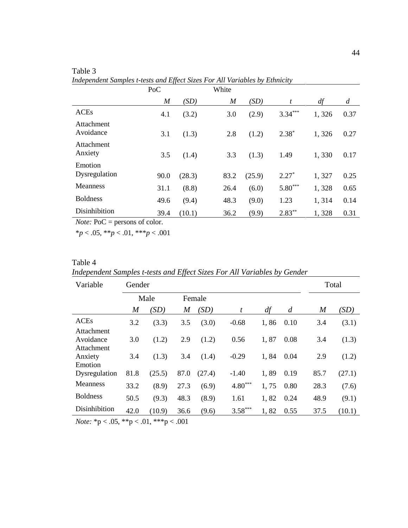|                         | PoC              |        | White            |        |           |       |                |
|-------------------------|------------------|--------|------------------|--------|-----------|-------|----------------|
|                         | $\boldsymbol{M}$ | (SD)   | $\boldsymbol{M}$ | (SD)   | t         | df    | $\overline{d}$ |
| <b>ACEs</b>             | 4.1              | (3.2)  | 3.0              | (2.9)  | $3.34***$ | 1,326 | 0.37           |
| Attachment<br>Avoidance | 3.1              | (1.3)  | 2.8              | (1.2)  | $2.38*$   | 1,326 | 0.27           |
| Attachment<br>Anxiety   | 3.5              | (1.4)  | 3.3              | (1.3)  | 1.49      | 1,330 | 0.17           |
| Emotion                 |                  |        |                  |        |           |       |                |
| Dysregulation           | 90.0             | (28.3) | 83.2             | (25.9) | $2.27*$   | 1,327 | 0.25           |
| <b>Meanness</b>         | 31.1             | (8.8)  | 26.4             | (6.0)  | $5.80***$ | 1,328 | 0.65           |
| <b>Boldness</b>         | 49.6             | (9.4)  | 48.3             | (9.0)  | 1.23      | 1,314 | 0.14           |
| Disinhibition           | 39.4             | (10.1) | 36.2             | (9.9)  | $2.83***$ | 1,328 | 0.31           |

Table 3 *Independent Samples t-tests and Effect Sizes For All Variables by Ethnicity*

*Note:* PoC = persons of color.

\**p* < .05, \*\**p* < .01, \*\*\**p* < .001

# Table 4

*Independent Samples t-tests and Effect Sizes For All Variables by Gender*

| Variable           | Gender |        |        |        |           |      |                  |                  | Total  |
|--------------------|--------|--------|--------|--------|-----------|------|------------------|------------------|--------|
|                    |        | Male   | Female |        |           |      |                  |                  |        |
|                    | M      | (SD)   | M      | (SD)   | t         | df   | $\boldsymbol{d}$ | $\boldsymbol{M}$ | (SD)   |
| <b>ACEs</b>        | 3.2    | (3.3)  | 3.5    | (3.0)  | $-0.68$   | 1,86 | 0.10             | 3.4              | (3.1)  |
| Attachment         |        |        |        |        |           |      |                  |                  |        |
| Avoidance          | 3.0    | (1.2)  | 2.9    | (1.2)  | 0.56      | 1,87 | 0.08             | 3.4              | (1.3)  |
| Attachment         |        |        |        |        |           |      |                  |                  |        |
| Anxiety<br>Emotion | 3.4    | (1.3)  | 3.4    | (1.4)  | $-0.29$   | 1,84 | 0.04             | 2.9              | (1.2)  |
| Dysregulation      | 81.8   | (25.5) | 87.0   | (27.4) | $-1.40$   | 1,89 | 0.19             | 85.7             | (27.1) |
| <b>Meanness</b>    | 33.2   | (8.9)  | 27.3   | (6.9)  | $4.80***$ | 1,75 | 0.80             | 28.3             | (7.6)  |
| <b>Boldness</b>    | 50.5   | (9.3)  | 48.3   | (8.9)  | 1.61      | 1,82 | 0.24             | 48.9             | (9.1)  |
| Disinhibition      | 42.0   | (10.9) | 36.6   | (9.6)  | $3.58***$ | 1,82 | 0.55             | 37.5             | (10.1) |

*Note:* \*p < .05, \*\*p < .01, \*\*\*p < .001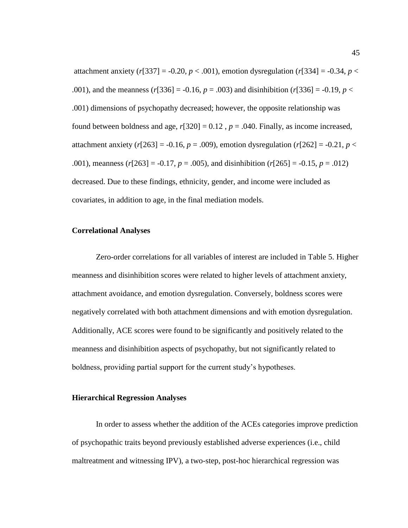attachment anxiety ( $r[337] = -0.20$ ,  $p < .001$ ), emotion dysregulation ( $r[334] = -0.34$ ,  $p <$ .001), and the meanness ( $r$ [336] = -0.16,  $p = .003$ ) and disinhibition ( $r$ [336] = -0.19,  $p$  < .001) dimensions of psychopathy decreased; however, the opposite relationship was found between boldness and age,  $r[320] = 0.12$ ,  $p = .040$ . Finally, as income increased, attachment anxiety ( $r[263] = -0.16$ ,  $p = .009$ ), emotion dysregulation ( $r[262] = -0.21$ ,  $p <$ .001), meanness (*r*[263] = -0.17, *p* = .005), and disinhibition (*r*[265] = -0.15, *p* = .012) decreased. Due to these findings, ethnicity, gender, and income were included as covariates, in addition to age, in the final mediation models.

# **Correlational Analyses**

Zero-order correlations for all variables of interest are included in Table 5. Higher meanness and disinhibition scores were related to higher levels of attachment anxiety, attachment avoidance, and emotion dysregulation. Conversely, boldness scores were negatively correlated with both attachment dimensions and with emotion dysregulation. Additionally, ACE scores were found to be significantly and positively related to the meanness and disinhibition aspects of psychopathy, but not significantly related to boldness, providing partial support for the current study's hypotheses.

### **Hierarchical Regression Analyses**

In order to assess whether the addition of the ACEs categories improve prediction of psychopathic traits beyond previously established adverse experiences (i.e., child maltreatment and witnessing IPV), a two-step, post-hoc hierarchical regression was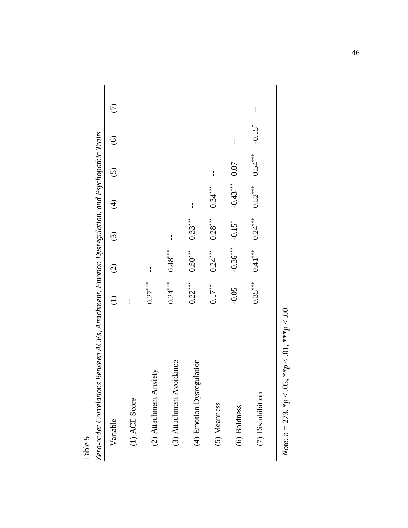| Variable                       | $\ominus$ | $\widehat{\odot}$ | $\odot$              | $\bigoplus$ | $\widehat{c}$ | $\odot$              | E            |
|--------------------------------|-----------|-------------------|----------------------|-------------|---------------|----------------------|--------------|
| (1) ACE Score                  | I         |                   |                      |             |               |                      |              |
| (2) Attachment Anxiety         | $0.27***$ | ł                 |                      |             |               |                      |              |
| (3) Attachment Avoidance       | $0.24***$ | $0.48***$         | ł                    |             |               |                      |              |
| lation<br>(4) Emotion Dysregul | $0.22***$ | $0.50***$         | $0.33***$            | ł           |               |                      |              |
| (5) Meanness                   | $0.17***$ | $0.24***$         | $0.28***$            | $0.34***$   | ł             |                      |              |
| (6) Boldness                   | $-0.05$   | $-0.36***$        | $-0.15$ <sup>*</sup> | $-0.43***$  | 0.07          | $\mathbf{I}$         |              |
| (7) Disinhibition              | $0.35***$ | $0.41***$         | $0.24***$            | $0.52***$   | $0.54***$     | $-0.15$ <sup>*</sup> | $\mathbf{I}$ |

| く・ミュー へいく                               |
|-----------------------------------------|
| ļ                                       |
|                                         |
|                                         |
|                                         |
|                                         |
|                                         |
| $-2$ . It is a contracted for $\sim$ 1. |
|                                         |
|                                         |
|                                         |
|                                         |
| )                                       |
|                                         |
|                                         |
|                                         |
| ļ<br>I                                  |
|                                         |
|                                         |
|                                         |
|                                         |
|                                         |
|                                         |
| I                                       |
|                                         |
|                                         |
|                                         |
|                                         |
|                                         |
|                                         |
|                                         |
|                                         |
|                                         |
|                                         |
|                                         |
| $\frac{1}{3}$<br>I                      |
|                                         |
|                                         |
|                                         |
|                                         |
|                                         |
|                                         |
|                                         |
|                                         |
|                                         |
| ļ                                       |
|                                         |
|                                         |
|                                         |
|                                         |
|                                         |
|                                         |
|                                         |
|                                         |
|                                         |
| Ì                                       |
|                                         |
|                                         |
|                                         |
|                                         |
| רא האמר<br>ì                            |
|                                         |
|                                         |
|                                         |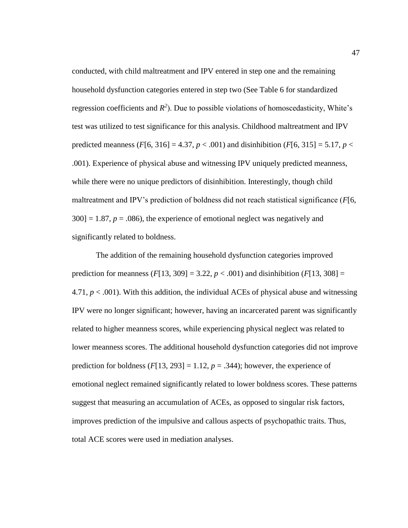conducted, with child maltreatment and IPV entered in step one and the remaining household dysfunction categories entered in step two (See Table 6 for standardized regression coefficients and  $R^2$ ). Due to possible violations of homoscedasticity, White's test was utilized to test significance for this analysis. Childhood maltreatment and IPV predicted meanness (*F*[6, 316] = 4.37,  $p < .001$ ) and disinhibition (*F*[6, 315] = 5.17,  $p <$ .001). Experience of physical abuse and witnessing IPV uniquely predicted meanness, while there were no unique predictors of disinhibition. Interestingly, though child maltreatment and IPV's prediction of boldness did not reach statistical significance (*F*[6,  $300$ ] = 1.87,  $p = .086$ ), the experience of emotional neglect was negatively and significantly related to boldness.

The addition of the remaining household dysfunction categories improved prediction for meanness  $(F[13, 309] = 3.22, p < .001)$  and disinhibition  $(F[13, 308] =$ 4.71,  $p < .001$ ). With this addition, the individual ACEs of physical abuse and witnessing IPV were no longer significant; however, having an incarcerated parent was significantly related to higher meanness scores, while experiencing physical neglect was related to lower meanness scores. The additional household dysfunction categories did not improve prediction for boldness  $(F[13, 293] = 1.12, p = .344)$ ; however, the experience of emotional neglect remained significantly related to lower boldness scores. These patterns suggest that measuring an accumulation of ACEs, as opposed to singular risk factors, improves prediction of the impulsive and callous aspects of psychopathic traits. Thus, total ACE scores were used in mediation analyses.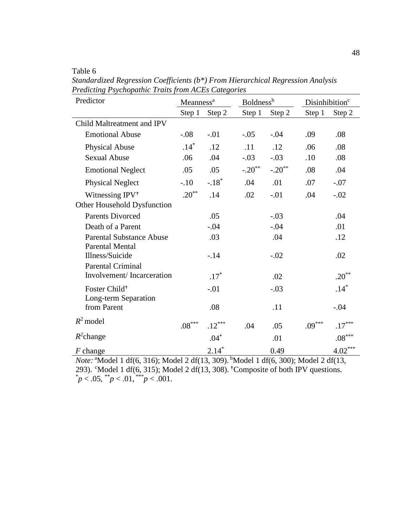Table 6

| Predictor                       | Meanness <sup>a</sup> |          |          | <b>Boldness</b> <sup>b</sup> |          | Disinhibition <sup>c</sup> |  |  |
|---------------------------------|-----------------------|----------|----------|------------------------------|----------|----------------------------|--|--|
|                                 | Step 1                | Step 2   | Step 1   | Step 2                       | Step 1   | Step 2                     |  |  |
| Child Maltreatment and IPV      |                       |          |          |                              |          |                            |  |  |
| <b>Emotional Abuse</b>          | $-0.08$               | $-.01$   | $-.05$   | $-.04$                       | .09      | .08                        |  |  |
| <b>Physical Abuse</b>           | $.14*$                | .12      | .11      | .12                          | .06      | .08                        |  |  |
| <b>Sexual Abuse</b>             | .06                   | .04      | $-.03$   | $-.03$                       | .10      | .08                        |  |  |
| <b>Emotional Neglect</b>        | .05                   | .05      | $-.20**$ | $-.20$ <sup>**</sup>         | .08      | .04                        |  |  |
| <b>Physical Neglect</b>         | $-.10$                | $-.18*$  | .04      | .01                          | .07      | $-.07$                     |  |  |
| Witnessing IPV <sup>+</sup>     | $.20***$              | .14      | .02      | $-.01$                       | .04      | $-.02$                     |  |  |
| Other Household Dysfunction     |                       |          |          |                              |          |                            |  |  |
| <b>Parents Divorced</b>         |                       | .05      |          | $-.03$                       |          | .04                        |  |  |
| Death of a Parent               |                       | $-.04$   |          | $-.04$                       |          | .01                        |  |  |
| <b>Parental Substance Abuse</b> |                       | .03      |          | .04                          |          | .12                        |  |  |
| <b>Parental Mental</b>          |                       |          |          |                              |          |                            |  |  |
| Illness/Suicide                 |                       | $-.14$   |          | $-.02$                       |          | .02                        |  |  |
| <b>Parental Criminal</b>        |                       |          |          |                              |          |                            |  |  |
| Involvement/Incarceration       |                       | $.17*$   |          | .02                          |          | $.20***$                   |  |  |
| Foster Child <sup>+</sup>       |                       | $-.01$   |          | $-.03$                       |          | $.14*$                     |  |  |
| Long-term Separation            |                       |          |          |                              |          |                            |  |  |
| from Parent                     |                       | .08      |          | .11                          |          | $-.04$                     |  |  |
| $R^2$ model                     | $.08^{***}$           | $.12***$ | .04      | .05                          | $.09***$ | $.17***$                   |  |  |
| $R^2$ change                    |                       | $.04*$   |          | .01                          |          | $.08^{\ast\ast\ast}$       |  |  |
| $F$ change                      |                       | $2.14*$  |          | 0.49                         |          | $4.02***$                  |  |  |

*Standardized Regression Coefficients (b\*) From Hierarchical Regression Analysis Predicting Psychopathic Traits from ACEs Categories*

*Note:* <sup>a</sup>Model 1 df(6, 316); Model 2 df(13, 309). <sup>b</sup>Model 1 df(6, 300); Model 2 df(13, 293). CModel 1 df(6, 315); Model 2 df(13, 308). Composite of both IPV questions.  $p < .05,$  \*\*p $< .01,$  \*\*\*p $< .001$ .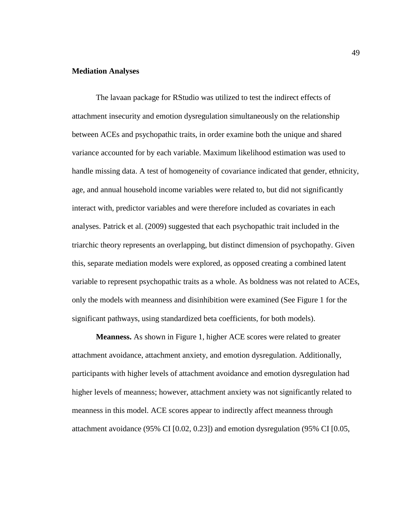# **Mediation Analyses**

The lavaan package for RStudio was utilized to test the indirect effects of attachment insecurity and emotion dysregulation simultaneously on the relationship between ACEs and psychopathic traits, in order examine both the unique and shared variance accounted for by each variable. Maximum likelihood estimation was used to handle missing data. A test of homogeneity of covariance indicated that gender, ethnicity, age, and annual household income variables were related to, but did not significantly interact with, predictor variables and were therefore included as covariates in each analyses. Patrick et al. (2009) suggested that each psychopathic trait included in the triarchic theory represents an overlapping, but distinct dimension of psychopathy. Given this, separate mediation models were explored, as opposed creating a combined latent variable to represent psychopathic traits as a whole. As boldness was not related to ACEs, only the models with meanness and disinhibition were examined (See Figure 1 for the significant pathways, using standardized beta coefficients, for both models).

**Meanness.** As shown in Figure 1, higher ACE scores were related to greater attachment avoidance, attachment anxiety, and emotion dysregulation. Additionally, participants with higher levels of attachment avoidance and emotion dysregulation had higher levels of meanness; however, attachment anxiety was not significantly related to meanness in this model. ACE scores appear to indirectly affect meanness through attachment avoidance (95% CI [0.02, 0.23]) and emotion dysregulation (95% CI [0.05,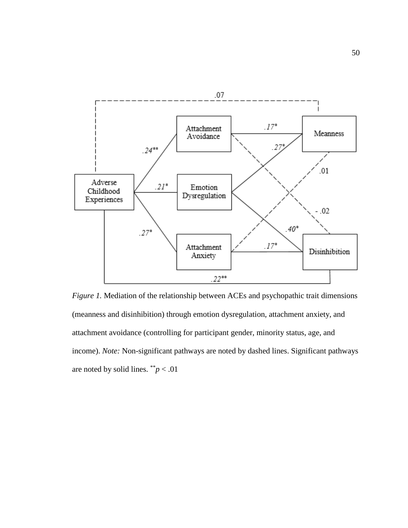

*Figure 1.* Mediation of the relationship between ACEs and psychopathic trait dimensions (meanness and disinhibition) through emotion dysregulation, attachment anxiety, and attachment avoidance (controlling for participant gender, minority status, age, and income). *Note:* Non-significant pathways are noted by dashed lines. Significant pathways are noted by solid lines.  $\binom{**}{p}$  < .01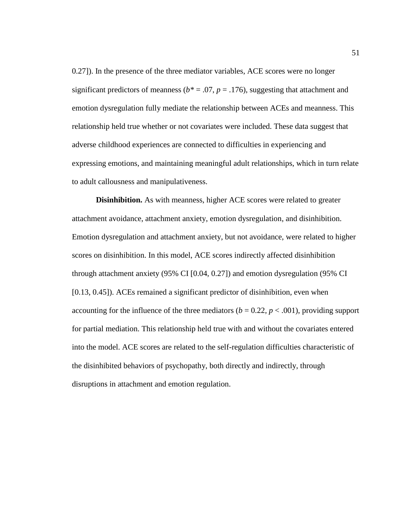0.27]). In the presence of the three mediator variables, ACE scores were no longer significant predictors of meanness ( $b^* = .07$ ,  $p = .176$ ), suggesting that attachment and emotion dysregulation fully mediate the relationship between ACEs and meanness. This relationship held true whether or not covariates were included. These data suggest that adverse childhood experiences are connected to difficulties in experiencing and expressing emotions, and maintaining meaningful adult relationships, which in turn relate to adult callousness and manipulativeness.

**Disinhibition.** As with meanness, higher ACE scores were related to greater attachment avoidance, attachment anxiety, emotion dysregulation, and disinhibition. Emotion dysregulation and attachment anxiety, but not avoidance, were related to higher scores on disinhibition. In this model, ACE scores indirectly affected disinhibition through attachment anxiety (95% CI [0.04, 0.27]) and emotion dysregulation (95% CI [0.13, 0.45]). ACEs remained a significant predictor of disinhibition, even when accounting for the influence of the three mediators ( $b = 0.22$ ,  $p < .001$ ), providing support for partial mediation. This relationship held true with and without the covariates entered into the model. ACE scores are related to the self-regulation difficulties characteristic of the disinhibited behaviors of psychopathy, both directly and indirectly, through disruptions in attachment and emotion regulation.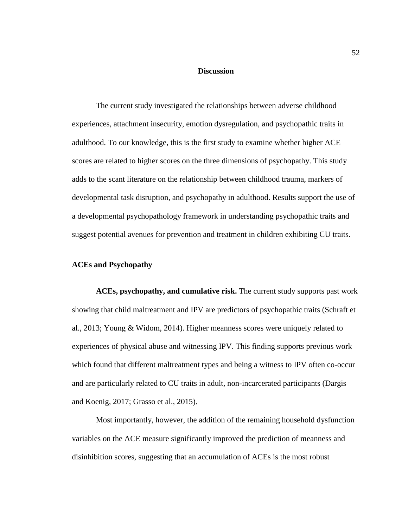## **Discussion**

The current study investigated the relationships between adverse childhood experiences, attachment insecurity, emotion dysregulation, and psychopathic traits in adulthood. To our knowledge, this is the first study to examine whether higher ACE scores are related to higher scores on the three dimensions of psychopathy. This study adds to the scant literature on the relationship between childhood trauma, markers of developmental task disruption, and psychopathy in adulthood. Results support the use of a developmental psychopathology framework in understanding psychopathic traits and suggest potential avenues for prevention and treatment in children exhibiting CU traits.

# **ACEs and Psychopathy**

**ACEs, psychopathy, and cumulative risk.** The current study supports past work showing that child maltreatment and IPV are predictors of psychopathic traits (Schraft et al., 2013; Young & Widom, 2014). Higher meanness scores were uniquely related to experiences of physical abuse and witnessing IPV. This finding supports previous work which found that different maltreatment types and being a witness to IPV often co-occur and are particularly related to CU traits in adult, non-incarcerated participants (Dargis and Koenig, 2017; Grasso et al., 2015).

Most importantly, however, the addition of the remaining household dysfunction variables on the ACE measure significantly improved the prediction of meanness and disinhibition scores, suggesting that an accumulation of ACEs is the most robust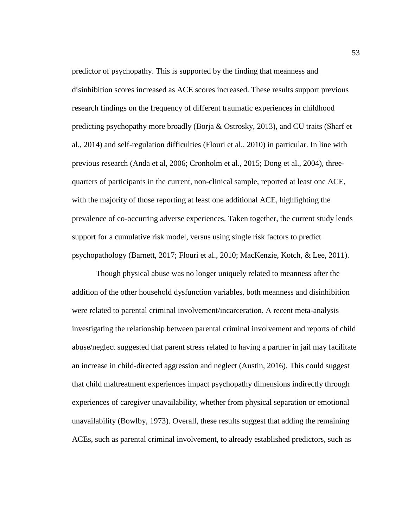predictor of psychopathy. This is supported by the finding that meanness and disinhibition scores increased as ACE scores increased. These results support previous research findings on the frequency of different traumatic experiences in childhood predicting psychopathy more broadly (Borja & Ostrosky, 2013), and CU traits (Sharf et al., 2014) and self-regulation difficulties (Flouri et al., 2010) in particular. In line with previous research (Anda et al, 2006; Cronholm et al., 2015; Dong et al., 2004), threequarters of participants in the current, non-clinical sample, reported at least one ACE, with the majority of those reporting at least one additional ACE, highlighting the prevalence of co-occurring adverse experiences. Taken together, the current study lends support for a cumulative risk model, versus using single risk factors to predict psychopathology (Barnett, 2017; Flouri et al., 2010; MacKenzie, Kotch, & Lee, 2011).

Though physical abuse was no longer uniquely related to meanness after the addition of the other household dysfunction variables, both meanness and disinhibition were related to parental criminal involvement/incarceration. A recent meta-analysis investigating the relationship between parental criminal involvement and reports of child abuse/neglect suggested that parent stress related to having a partner in jail may facilitate an increase in child-directed aggression and neglect (Austin, 2016). This could suggest that child maltreatment experiences impact psychopathy dimensions indirectly through experiences of caregiver unavailability, whether from physical separation or emotional unavailability (Bowlby, 1973). Overall, these results suggest that adding the remaining ACEs, such as parental criminal involvement, to already established predictors, such as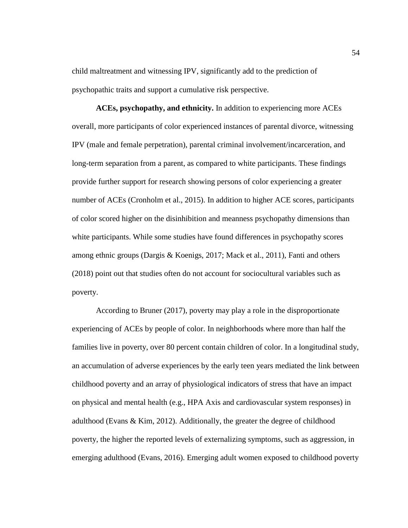child maltreatment and witnessing IPV, significantly add to the prediction of psychopathic traits and support a cumulative risk perspective.

**ACEs, psychopathy, and ethnicity.** In addition to experiencing more ACEs overall, more participants of color experienced instances of parental divorce, witnessing IPV (male and female perpetration), parental criminal involvement/incarceration, and long-term separation from a parent, as compared to white participants. These findings provide further support for research showing persons of color experiencing a greater number of ACEs (Cronholm et al., 2015). In addition to higher ACE scores, participants of color scored higher on the disinhibition and meanness psychopathy dimensions than white participants. While some studies have found differences in psychopathy scores among ethnic groups (Dargis & Koenigs, 2017; Mack et al., 2011), Fanti and others (2018) point out that studies often do not account for sociocultural variables such as poverty.

According to Bruner (2017), poverty may play a role in the disproportionate experiencing of ACEs by people of color. In neighborhoods where more than half the families live in poverty, over 80 percent contain children of color. In a longitudinal study, an accumulation of adverse experiences by the early teen years mediated the link between childhood poverty and an array of physiological indicators of stress that have an impact on physical and mental health (e.g., HPA Axis and cardiovascular system responses) in adulthood (Evans & Kim, 2012). Additionally, the greater the degree of childhood poverty, the higher the reported levels of externalizing symptoms, such as aggression, in emerging adulthood (Evans, 2016). Emerging adult women exposed to childhood poverty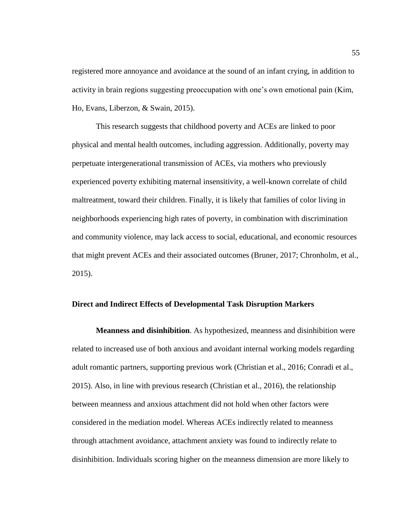registered more annoyance and avoidance at the sound of an infant crying, in addition to activity in brain regions suggesting preoccupation with one's own emotional pain (Kim, Ho, Evans, Liberzon, & Swain, 2015).

This research suggests that childhood poverty and ACEs are linked to poor physical and mental health outcomes, including aggression. Additionally, poverty may perpetuate intergenerational transmission of ACEs, via mothers who previously experienced poverty exhibiting maternal insensitivity, a well-known correlate of child maltreatment, toward their children. Finally, it is likely that families of color living in neighborhoods experiencing high rates of poverty, in combination with discrimination and community violence, may lack access to social, educational, and economic resources that might prevent ACEs and their associated outcomes (Bruner, 2017; Chronholm, et al., 2015).

### **Direct and Indirect Effects of Developmental Task Disruption Markers**

**Meanness and disinhibition**. As hypothesized, meanness and disinhibition were related to increased use of both anxious and avoidant internal working models regarding adult romantic partners, supporting previous work (Christian et al., 2016; Conradi et al., 2015). Also, in line with previous research (Christian et al., 2016), the relationship between meanness and anxious attachment did not hold when other factors were considered in the mediation model. Whereas ACEs indirectly related to meanness through attachment avoidance, attachment anxiety was found to indirectly relate to disinhibition. Individuals scoring higher on the meanness dimension are more likely to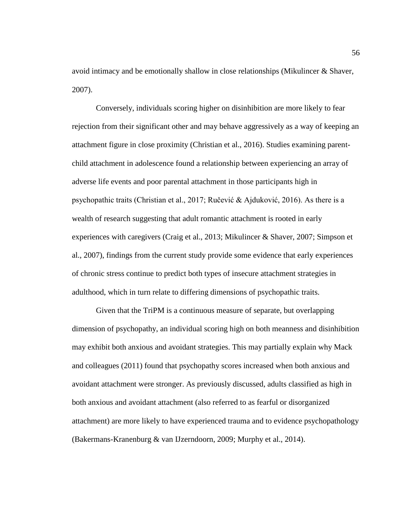avoid intimacy and be emotionally shallow in close relationships (Mikulincer & Shaver, 2007).

Conversely, individuals scoring higher on disinhibition are more likely to fear rejection from their significant other and may behave aggressively as a way of keeping an attachment figure in close proximity (Christian et al., 2016). Studies examining parentchild attachment in adolescence found a relationship between experiencing an array of adverse life events and poor parental attachment in those participants high in psychopathic traits (Christian et al., 2017; Ručević & Ajduković, 2016). As there is a wealth of research suggesting that adult romantic attachment is rooted in early experiences with caregivers (Craig et al., 2013; Mikulincer & Shaver, 2007; Simpson et al., 2007), findings from the current study provide some evidence that early experiences of chronic stress continue to predict both types of insecure attachment strategies in adulthood, which in turn relate to differing dimensions of psychopathic traits.

Given that the TriPM is a continuous measure of separate, but overlapping dimension of psychopathy, an individual scoring high on both meanness and disinhibition may exhibit both anxious and avoidant strategies. This may partially explain why Mack and colleagues (2011) found that psychopathy scores increased when both anxious and avoidant attachment were stronger. As previously discussed, adults classified as high in both anxious and avoidant attachment (also referred to as fearful or disorganized attachment) are more likely to have experienced trauma and to evidence psychopathology (Bakermans-Kranenburg & van IJzerndoorn, 2009; Murphy et al., 2014).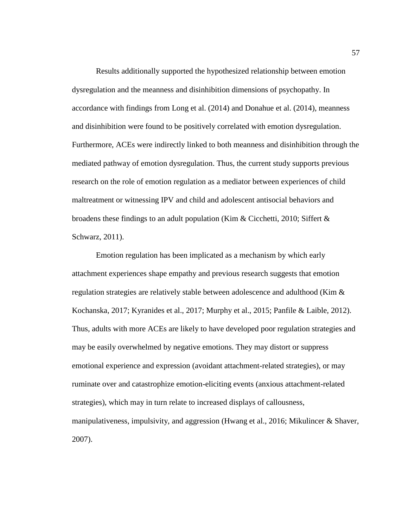Results additionally supported the hypothesized relationship between emotion dysregulation and the meanness and disinhibition dimensions of psychopathy. In accordance with findings from Long et al. (2014) and Donahue et al. (2014), meanness and disinhibition were found to be positively correlated with emotion dysregulation. Furthermore, ACEs were indirectly linked to both meanness and disinhibition through the mediated pathway of emotion dysregulation. Thus, the current study supports previous research on the role of emotion regulation as a mediator between experiences of child maltreatment or witnessing IPV and child and adolescent antisocial behaviors and broadens these findings to an adult population (Kim & Cicchetti, 2010; Siffert & Schwarz, 2011).

Emotion regulation has been implicated as a mechanism by which early attachment experiences shape empathy and previous research suggests that emotion regulation strategies are relatively stable between adolescence and adulthood (Kim & Kochanska, 2017; Kyranides et al., 2017; Murphy et al., 2015; Panfile & Laible, 2012). Thus, adults with more ACEs are likely to have developed poor regulation strategies and may be easily overwhelmed by negative emotions. They may distort or suppress emotional experience and expression (avoidant attachment-related strategies), or may ruminate over and catastrophize emotion-eliciting events (anxious attachment-related strategies), which may in turn relate to increased displays of callousness, manipulativeness, impulsivity, and aggression (Hwang et al., 2016; Mikulincer & Shaver, 2007).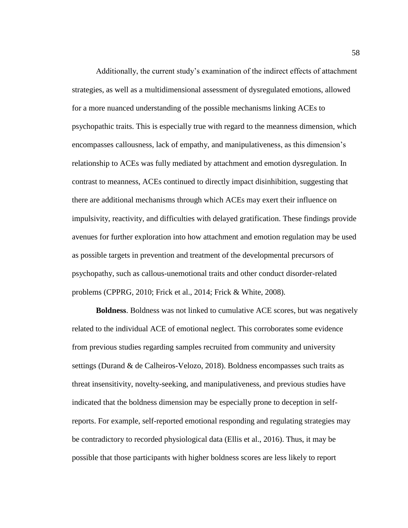Additionally, the current study's examination of the indirect effects of attachment strategies, as well as a multidimensional assessment of dysregulated emotions, allowed for a more nuanced understanding of the possible mechanisms linking ACEs to psychopathic traits. This is especially true with regard to the meanness dimension, which encompasses callousness, lack of empathy, and manipulativeness, as this dimension's relationship to ACEs was fully mediated by attachment and emotion dysregulation. In contrast to meanness, ACEs continued to directly impact disinhibition, suggesting that there are additional mechanisms through which ACEs may exert their influence on impulsivity, reactivity, and difficulties with delayed gratification. These findings provide avenues for further exploration into how attachment and emotion regulation may be used as possible targets in prevention and treatment of the developmental precursors of psychopathy, such as callous-unemotional traits and other conduct disorder-related problems (CPPRG, 2010; Frick et al., 2014; Frick & White, 2008)*.*

**Boldness**. Boldness was not linked to cumulative ACE scores, but was negatively related to the individual ACE of emotional neglect. This corroborates some evidence from previous studies regarding samples recruited from community and university settings (Durand & de Calheiros-Velozo, 2018). Boldness encompasses such traits as threat insensitivity, novelty-seeking, and manipulativeness, and previous studies have indicated that the boldness dimension may be especially prone to deception in selfreports. For example, self-reported emotional responding and regulating strategies may be contradictory to recorded physiological data (Ellis et al., 2016). Thus, it may be possible that those participants with higher boldness scores are less likely to report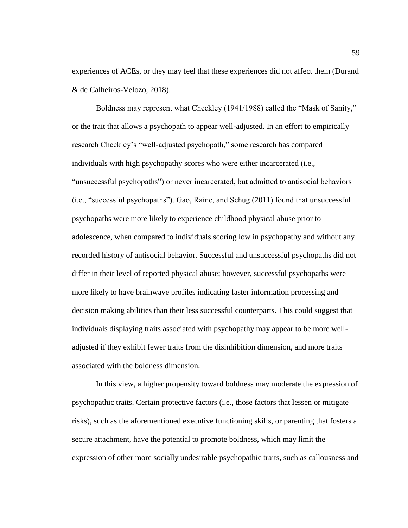experiences of ACEs, or they may feel that these experiences did not affect them (Durand & de Calheiros-Velozo, 2018).

Boldness may represent what Checkley (1941/1988) called the "Mask of Sanity," or the trait that allows a psychopath to appear well-adjusted. In an effort to empirically research Checkley's "well-adjusted psychopath," some research has compared individuals with high psychopathy scores who were either incarcerated (i.e., "unsuccessful psychopaths") or never incarcerated, but admitted to antisocial behaviors (i.e., "successful psychopaths"). Gao, Raine, and Schug (2011) found that unsuccessful psychopaths were more likely to experience childhood physical abuse prior to adolescence, when compared to individuals scoring low in psychopathy and without any recorded history of antisocial behavior. Successful and unsuccessful psychopaths did not differ in their level of reported physical abuse; however, successful psychopaths were more likely to have brainwave profiles indicating faster information processing and decision making abilities than their less successful counterparts. This could suggest that individuals displaying traits associated with psychopathy may appear to be more welladjusted if they exhibit fewer traits from the disinhibition dimension, and more traits associated with the boldness dimension.

In this view, a higher propensity toward boldness may moderate the expression of psychopathic traits. Certain protective factors (i.e., those factors that lessen or mitigate risks), such as the aforementioned executive functioning skills, or parenting that fosters a secure attachment, have the potential to promote boldness, which may limit the expression of other more socially undesirable psychopathic traits, such as callousness and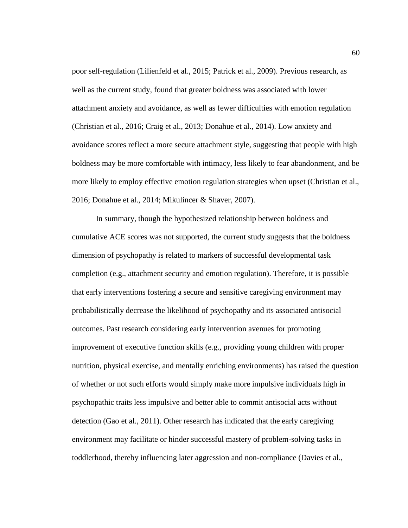poor self-regulation (Lilienfeld et al., 2015; Patrick et al., 2009). Previous research, as well as the current study, found that greater boldness was associated with lower attachment anxiety and avoidance, as well as fewer difficulties with emotion regulation (Christian et al., 2016; Craig et al., 2013; Donahue et al., 2014). Low anxiety and avoidance scores reflect a more secure attachment style, suggesting that people with high boldness may be more comfortable with intimacy, less likely to fear abandonment, and be more likely to employ effective emotion regulation strategies when upset (Christian et al., 2016; Donahue et al., 2014; Mikulincer & Shaver, 2007).

In summary, though the hypothesized relationship between boldness and cumulative ACE scores was not supported, the current study suggests that the boldness dimension of psychopathy is related to markers of successful developmental task completion (e.g., attachment security and emotion regulation). Therefore, it is possible that early interventions fostering a secure and sensitive caregiving environment may probabilistically decrease the likelihood of psychopathy and its associated antisocial outcomes. Past research considering early intervention avenues for promoting improvement of executive function skills (e.g., providing young children with proper nutrition, physical exercise, and mentally enriching environments) has raised the question of whether or not such efforts would simply make more impulsive individuals high in psychopathic traits less impulsive and better able to commit antisocial acts without detection (Gao et al., 2011). Other research has indicated that the early caregiving environment may facilitate or hinder successful mastery of problem-solving tasks in toddlerhood, thereby influencing later aggression and non-compliance (Davies et al.,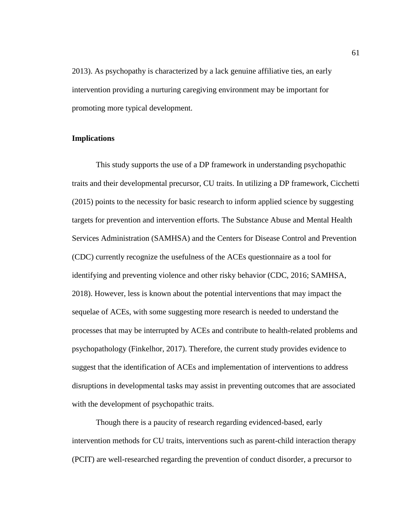2013). As psychopathy is characterized by a lack genuine affiliative ties, an early intervention providing a nurturing caregiving environment may be important for promoting more typical development.

# **Implications**

This study supports the use of a DP framework in understanding psychopathic traits and their developmental precursor, CU traits. In utilizing a DP framework, Cicchetti (2015) points to the necessity for basic research to inform applied science by suggesting targets for prevention and intervention efforts. The Substance Abuse and Mental Health Services Administration (SAMHSA) and the Centers for Disease Control and Prevention (CDC) currently recognize the usefulness of the ACEs questionnaire as a tool for identifying and preventing violence and other risky behavior (CDC, 2016; SAMHSA, 2018). However, less is known about the potential interventions that may impact the sequelae of ACEs, with some suggesting more research is needed to understand the processes that may be interrupted by ACEs and contribute to health-related problems and psychopathology (Finkelhor, 2017). Therefore, the current study provides evidence to suggest that the identification of ACEs and implementation of interventions to address disruptions in developmental tasks may assist in preventing outcomes that are associated with the development of psychopathic traits.

Though there is a paucity of research regarding evidenced-based, early intervention methods for CU traits, interventions such as parent-child interaction therapy (PCIT) are well-researched regarding the prevention of conduct disorder, a precursor to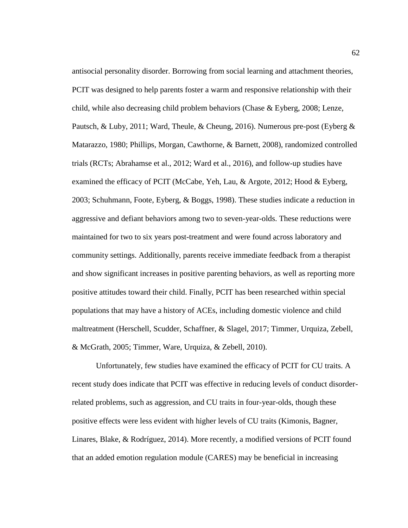antisocial personality disorder. Borrowing from social learning and attachment theories, PCIT was designed to help parents foster a warm and responsive relationship with their child, while also decreasing child problem behaviors (Chase & Eyberg, 2008; Lenze, Pautsch, & Luby, 2011; Ward, Theule, & Cheung, 2016). Numerous pre-post (Eyberg  $\&$ Matarazzo, 1980; Phillips, Morgan, Cawthorne, & Barnett, 2008), randomized controlled trials (RCTs; Abrahamse et al., 2012; Ward et al., 2016), and follow-up studies have examined the efficacy of PCIT (McCabe, Yeh, Lau, & Argote, 2012; Hood & Eyberg, 2003; Schuhmann, Foote, Eyberg, & Boggs, 1998). These studies indicate a reduction in aggressive and defiant behaviors among two to seven-year-olds. These reductions were maintained for two to six years post-treatment and were found across laboratory and community settings. Additionally, parents receive immediate feedback from a therapist and show significant increases in positive parenting behaviors, as well as reporting more positive attitudes toward their child. Finally, PCIT has been researched within special populations that may have a history of ACEs, including domestic violence and child maltreatment (Herschell, Scudder, Schaffner, & Slagel, 2017; Timmer, Urquiza, Zebell, & McGrath, 2005; Timmer, Ware, Urquiza, & Zebell, 2010).

Unfortunately, few studies have examined the efficacy of PCIT for CU traits. A recent study does indicate that PCIT was effective in reducing levels of conduct disorderrelated problems, such as aggression, and CU traits in four-year-olds, though these positive effects were less evident with higher levels of CU traits (Kimonis, Bagner, Linares, Blake, & Rodríguez, 2014). More recently, a modified versions of PCIT found that an added emotion regulation module (CARES) may be beneficial in increasing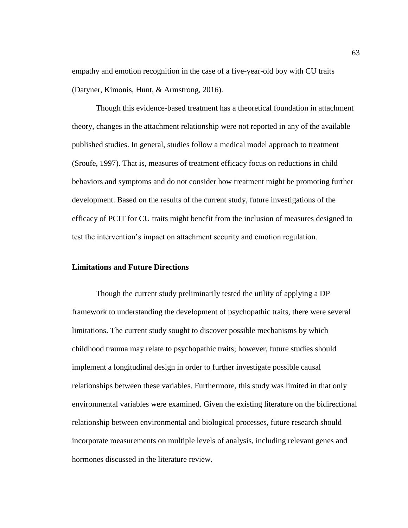empathy and emotion recognition in the case of a five-year-old boy with CU traits (Datyner, Kimonis, Hunt, & Armstrong, 2016).

Though this evidence-based treatment has a theoretical foundation in attachment theory, changes in the attachment relationship were not reported in any of the available published studies. In general, studies follow a medical model approach to treatment (Sroufe, 1997). That is, measures of treatment efficacy focus on reductions in child behaviors and symptoms and do not consider how treatment might be promoting further development. Based on the results of the current study, future investigations of the efficacy of PCIT for CU traits might benefit from the inclusion of measures designed to test the intervention's impact on attachment security and emotion regulation.

### **Limitations and Future Directions**

Though the current study preliminarily tested the utility of applying a DP framework to understanding the development of psychopathic traits, there were several limitations. The current study sought to discover possible mechanisms by which childhood trauma may relate to psychopathic traits; however, future studies should implement a longitudinal design in order to further investigate possible causal relationships between these variables. Furthermore, this study was limited in that only environmental variables were examined. Given the existing literature on the bidirectional relationship between environmental and biological processes, future research should incorporate measurements on multiple levels of analysis, including relevant genes and hormones discussed in the literature review.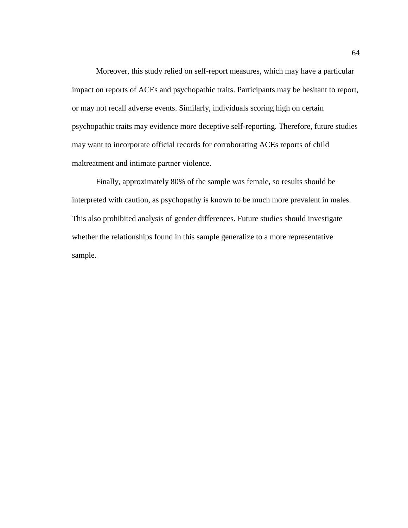Moreover, this study relied on self-report measures, which may have a particular impact on reports of ACEs and psychopathic traits. Participants may be hesitant to report, or may not recall adverse events. Similarly, individuals scoring high on certain psychopathic traits may evidence more deceptive self-reporting. Therefore, future studies may want to incorporate official records for corroborating ACEs reports of child maltreatment and intimate partner violence.

Finally, approximately 80% of the sample was female, so results should be interpreted with caution, as psychopathy is known to be much more prevalent in males. This also prohibited analysis of gender differences. Future studies should investigate whether the relationships found in this sample generalize to a more representative sample.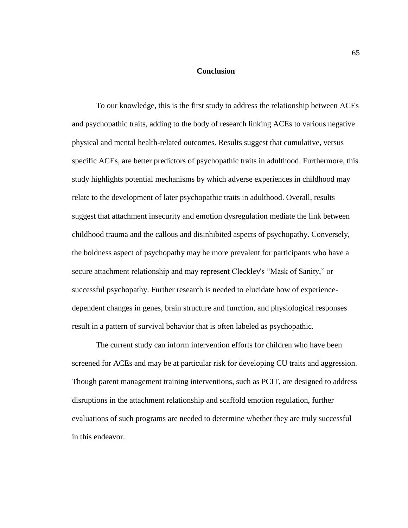#### **Conclusion**

To our knowledge, this is the first study to address the relationship between ACEs and psychopathic traits, adding to the body of research linking ACEs to various negative physical and mental health-related outcomes. Results suggest that cumulative, versus specific ACEs, are better predictors of psychopathic traits in adulthood. Furthermore, this study highlights potential mechanisms by which adverse experiences in childhood may relate to the development of later psychopathic traits in adulthood. Overall, results suggest that attachment insecurity and emotion dysregulation mediate the link between childhood trauma and the callous and disinhibited aspects of psychopathy. Conversely, the boldness aspect of psychopathy may be more prevalent for participants who have a secure attachment relationship and may represent Cleckley's "Mask of Sanity," or successful psychopathy. Further research is needed to elucidate how of experiencedependent changes in genes, brain structure and function, and physiological responses result in a pattern of survival behavior that is often labeled as psychopathic.

The current study can inform intervention efforts for children who have been screened for ACEs and may be at particular risk for developing CU traits and aggression. Though parent management training interventions, such as PCIT, are designed to address disruptions in the attachment relationship and scaffold emotion regulation, further evaluations of such programs are needed to determine whether they are truly successful in this endeavor.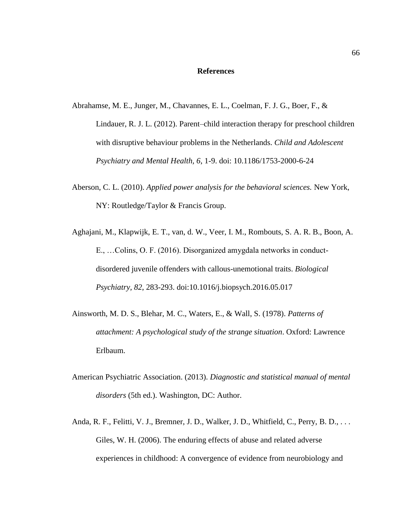#### **References**

- Abrahamse, M. E., Junger, M., Chavannes, E. L., Coelman, F. J. G., Boer, F., & Lindauer, R. J. L. (2012). Parent–child interaction therapy for preschool children with disruptive behaviour problems in the Netherlands. *Child and Adolescent Psychiatry and Mental Health, 6*, 1-9. doi: 10.1186/1753-2000-6-24
- Aberson, C. L. (2010). *Applied power analysis for the behavioral sciences.* New York, NY: Routledge/Taylor & Francis Group.
- Aghajani, M., Klapwijk, E. T., van, d. W., Veer, I. M., Rombouts, S. A. R. B., Boon, A. E., …Colins, O. F. (2016). Disorganized amygdala networks in conductdisordered juvenile offenders with callous-unemotional traits. *Biological Psychiatry, 82*, 283-293. doi:10.1016/j.biopsych.2016.05.017
- Ainsworth, M. D. S., Blehar, M. C., Waters, E., & Wall, S. (1978). *Patterns of attachment: A psychological study of the strange situation*. Oxford: Lawrence Erlbaum.
- American Psychiatric Association. (2013). *Diagnostic and statistical manual of mental disorders* (5th ed.). Washington, DC: Author.
- Anda, R. F., Felitti, V. J., Bremner, J. D., Walker, J. D., Whitfield, C., Perry, B. D., ... Giles, W. H. (2006). The enduring effects of abuse and related adverse experiences in childhood: A convergence of evidence from neurobiology and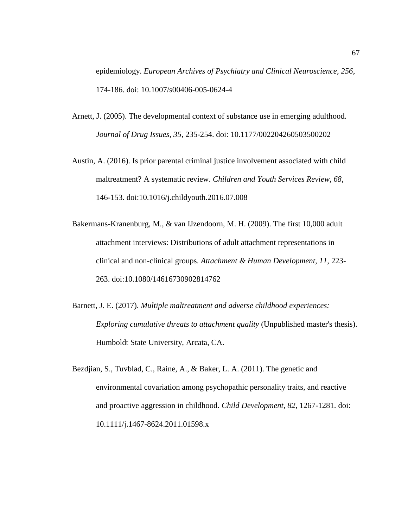epidemiology. *European Archives of Psychiatry and Clinical Neuroscience, 256*, 174-186. doi: 10.1007/s00406-005-0624-4

- Arnett, J. (2005). The developmental context of substance use in emerging adulthood. *Journal of Drug Issues, 35*, 235-254. doi: 10.1177/002204260503500202
- Austin, A. (2016). Is prior parental criminal justice involvement associated with child maltreatment? A systematic review. *Children and Youth Services Review, 68*, 146-153. doi:10.1016/j.childyouth.2016.07.008
- Bakermans-Kranenburg, M., & van IJzendoorn, M. H. (2009). The first 10,000 adult attachment interviews: Distributions of adult attachment representations in clinical and non-clinical groups. *Attachment & Human Development, 11*, 223- 263. doi:10.1080/14616730902814762
- Barnett, J. E. (2017). *Multiple maltreatment and adverse childhood experiences: Exploring cumulative threats to attachment quality* (Unpublished master's thesis). Humboldt State University, Arcata, CA.
- Bezdjian, S., Tuvblad, C., Raine, A., & Baker, L. A. (2011). The genetic and environmental covariation among psychopathic personality traits, and reactive and proactive aggression in childhood. *Child Development, 82*, 1267-1281. doi: 10.1111/j.1467-8624.2011.01598.x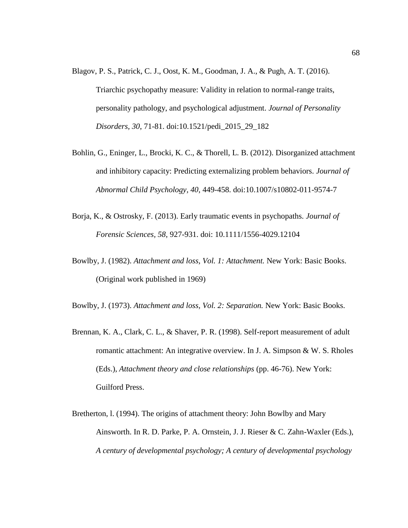- Blagov, P. S., Patrick, C. J., Oost, K. M., Goodman, J. A., & Pugh, A. T. (2016). Triarchic psychopathy measure: Validity in relation to normal-range traits, personality pathology, and psychological adjustment. *Journal of Personality Disorders, 30*, 71-81. doi:10.1521/pedi\_2015\_29\_182
- Bohlin, G., Eninger, L., Brocki, K. C., & Thorell, L. B. (2012). Disorganized attachment and inhibitory capacity: Predicting externalizing problem behaviors. *Journal of Abnormal Child Psychology, 40*, 449-458. doi:10.1007/s10802-011-9574-7
- Borja, K., & Ostrosky, F. (2013). Early traumatic events in psychopaths. *Journal of Forensic Sciences, 58*, 927-931. doi: 10.1111/1556-4029.12104
- Bowlby, J. (1982). *Attachment and loss, Vol. 1: Attachment.* New York: Basic Books. (Original work published in 1969)
- Bowlby, J. (1973). *Attachment and loss, Vol. 2: Separation.* New York: Basic Books.
- Brennan, K. A., Clark, C. L., & Shaver, P. R. (1998). Self-report measurement of adult romantic attachment: An integrative overview. In J. A. Simpson & W. S. Rholes (Eds.), *Attachment theory and close relationships* (pp. 46-76). New York: Guilford Press.
- Bretherton, l. (1994). The origins of attachment theory: John Bowlby and Mary Ainsworth. In R. D. Parke, P. A. Ornstein, J. J. Rieser & C. Zahn-Waxler (Eds.), *A century of developmental psychology; A century of developmental psychology*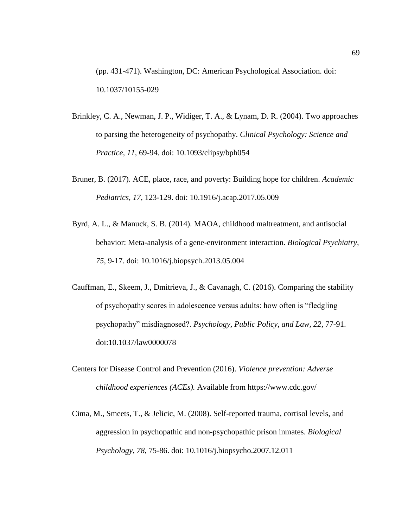(pp. 431-471). Washington, DC: American Psychological Association. doi: 10.1037/10155-029

- Brinkley, C. A., Newman, J. P., Widiger, T. A., & Lynam, D. R. (2004). Two approaches to parsing the heterogeneity of psychopathy. *Clinical Psychology: Science and Practice, 11*, 69-94. doi: 10.1093/clipsy/bph054
- Bruner, B. (2017). ACE, place, race, and poverty: Building hope for children. *Academic Pediatrics, 17*, 123-129. doi: 10.1916/j.acap.2017.05.009
- Byrd, A. L., & Manuck, S. B. (2014). MAOA, childhood maltreatment, and antisocial behavior: Meta-analysis of a gene-environment interaction. *Biological Psychiatry, 75*, 9-17. doi: 10.1016/j.biopsych.2013.05.004
- Cauffman, E., Skeem, J., Dmitrieva, J., & Cavanagh, C. (2016). Comparing the stability of psychopathy scores in adolescence versus adults: how often is "fledgling psychopathy" misdiagnosed?. *Psychology, Public Policy, and Law, 22*, 77-91. doi:10.1037/law0000078
- Centers for Disease Control and Prevention (2016). *Violence prevention: Adverse childhood experiences (ACEs).* Available from https://www.cdc.gov/
- Cima, M., Smeets, T., & Jelicic, M. (2008). Self-reported trauma, cortisol levels, and aggression in psychopathic and non-psychopathic prison inmates. *Biological Psychology, 78*, 75-86. doi: 10.1016/j.biopsycho.2007.12.011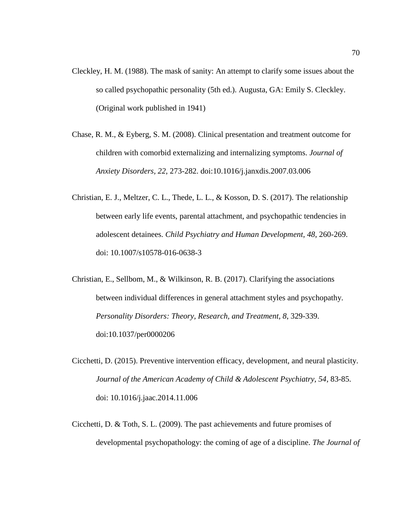- Cleckley, H. M. (1988). The mask of sanity: An attempt to clarify some issues about the so called psychopathic personality (5th ed.). Augusta, GA: Emily S. Cleckley. (Original work published in 1941)
- Chase, R. M., & Eyberg, S. M. (2008). Clinical presentation and treatment outcome for children with comorbid externalizing and internalizing symptoms. *Journal of Anxiety Disorders, 22*, 273-282. doi:10.1016/j.janxdis.2007.03.006
- Christian, E. J., Meltzer, C. L., Thede, L. L., & Kosson, D. S. (2017). The relationship between early life events, parental attachment, and psychopathic tendencies in adolescent detainees. *Child Psychiatry and Human Development, 48*, 260-269. doi: 10.1007/s10578-016-0638-3
- Christian, E., Sellbom, M., & Wilkinson, R. B. (2017). Clarifying the associations between individual differences in general attachment styles and psychopathy. *Personality Disorders: Theory, Research, and Treatment, 8*, 329-339. doi:10.1037/per0000206
- Cicchetti, D. (2015). Preventive intervention efficacy, development, and neural plasticity. *Journal of the American Academy of Child & Adolescent Psychiatry, 54*, 83-85. doi: 10.1016/j.jaac.2014.11.006
- Cicchetti, D. & Toth, S. L. (2009). The past achievements and future promises of developmental psychopathology: the coming of age of a discipline. *The Journal of*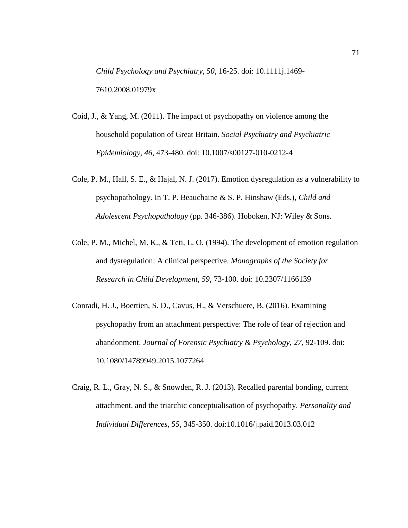*Child Psychology and Psychiatry, 50*, 16-25. doi: 10.1111j.1469- 7610.2008.01979x

- Coid, J., & Yang, M. (2011). The impact of psychopathy on violence among the household population of Great Britain. *Social Psychiatry and Psychiatric Epidemiology, 46*, 473-480. doi: 10.1007/s00127-010-0212-4
- Cole, P. M., Hall, S. E., & Hajal, N. J. (2017). Emotion dysregulation as a vulnerability to psychopathology. In T. P. Beauchaine & S. P. Hinshaw (Eds.), *Child and Adolescent Psychopathology* (pp. 346-386). Hoboken, NJ: Wiley & Sons.
- Cole, P. M., Michel, M. K., & Teti, L. O. (1994). The development of emotion regulation and dysregulation: A clinical perspective. *Monographs of the Society for Research in Child Development, 59*, 73-100. doi: 10.2307/1166139
- Conradi, H. J., Boertien, S. D., Cavus, H., & Verschuere, B. (2016). Examining psychopathy from an attachment perspective: The role of fear of rejection and abandonment. *Journal of Forensic Psychiatry & Psychology, 27*, 92-109. doi: 10.1080/14789949.2015.1077264
- Craig, R. L., Gray, N. S., & Snowden, R. J. (2013). Recalled parental bonding, current attachment, and the triarchic conceptualisation of psychopathy. *Personality and Individual Differences, 55*, 345-350. doi:10.1016/j.paid.2013.03.012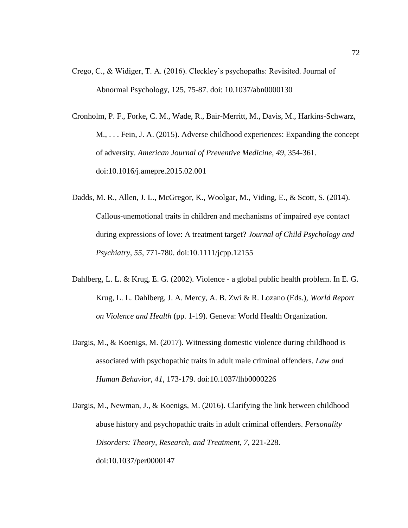- Crego, C., & Widiger, T. A. (2016). Cleckley's psychopaths: Revisited. Journal of Abnormal Psychology, 125, 75-87. doi: 10.1037/abn0000130
- Cronholm, P. F., Forke, C. M., Wade, R., Bair-Merritt, M., Davis, M., Harkins-Schwarz, M., . . . Fein, J. A. (2015). Adverse childhood experiences: Expanding the concept of adversity. *American Journal of Preventive Medicine, 49*, 354-361. doi:10.1016/j.amepre.2015.02.001
- Dadds, M. R., Allen, J. L., McGregor, K., Woolgar, M., Viding, E., & Scott, S. (2014). Callous‐unemotional traits in children and mechanisms of impaired eye contact during expressions of love: A treatment target? *Journal of Child Psychology and Psychiatry, 55*, 771-780. doi:10.1111/jcpp.12155
- Dahlberg, L. L. & Krug, E. G. (2002). Violence a global public health problem. In E. G. Krug, L. L. Dahlberg, J. A. Mercy, A. B. Zwi & R. Lozano (Eds.), *World Report on Violence and Health* (pp. 1-19). Geneva: World Health Organization.
- Dargis, M., & Koenigs, M. (2017). Witnessing domestic violence during childhood is associated with psychopathic traits in adult male criminal offenders. *Law and Human Behavior, 41*, 173-179. doi:10.1037/lhb0000226
- Dargis, M., Newman, J., & Koenigs, M. (2016). Clarifying the link between childhood abuse history and psychopathic traits in adult criminal offenders. *Personality Disorders: Theory, Research, and Treatment, 7*, 221-228. doi:10.1037/per0000147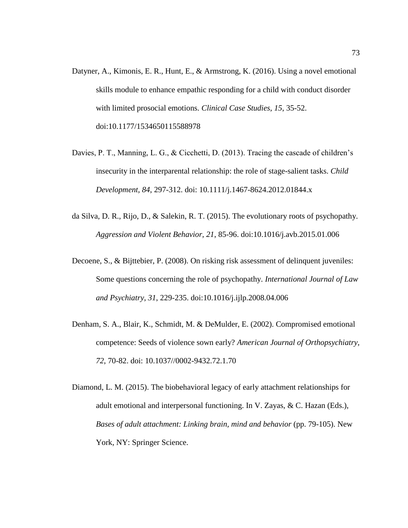- Datyner, A., Kimonis, E. R., Hunt, E., & Armstrong, K. (2016). Using a novel emotional skills module to enhance empathic responding for a child with conduct disorder with limited prosocial emotions. *Clinical Case Studies, 15*, 35-52. doi:10.1177/1534650115588978
- Davies, P. T., Manning, L. G., & Cicchetti, D. (2013). Tracing the cascade of children's insecurity in the interparental relationship: the role of stage-salient tasks. *Child Development, 84*, 297-312. doi: 10.1111/j.1467-8624.2012.01844.x
- da Silva, D. R., Rijo, D., & Salekin, R. T. (2015). The evolutionary roots of psychopathy. *Aggression and Violent Behavior, 21*, 85-96. doi:10.1016/j.avb.2015.01.006
- Decoene, S., & Bijttebier, P. (2008). On risking risk assessment of delinquent juveniles: Some questions concerning the role of psychopathy. *International Journal of Law and Psychiatry, 31*, 229-235. doi:10.1016/j.ijlp.2008.04.006
- Denham, S. A., Blair, K., Schmidt, M. & DeMulder, E. (2002). Compromised emotional competence: Seeds of violence sown early? *American Journal of Orthopsychiatry, 72*, 70-82. doi: 10.1037//0002-9432.72.1.70
- Diamond, L. M. (2015). The biobehavioral legacy of early attachment relationships for adult emotional and interpersonal functioning. In V. Zayas, & C. Hazan (Eds.), *Bases of adult attachment: Linking brain, mind and behavior* (pp. 79-105). New York, NY: Springer Science.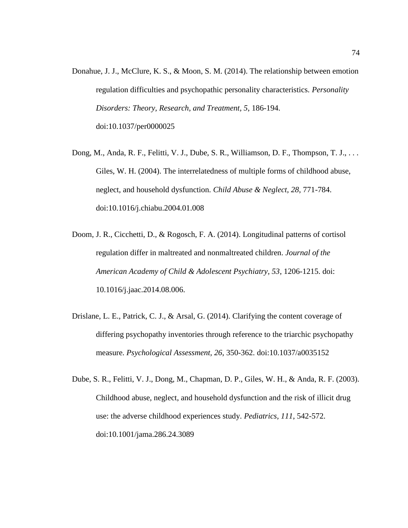- Donahue, J. J., McClure, K. S., & Moon, S. M. (2014). The relationship between emotion regulation difficulties and psychopathic personality characteristics. *Personality Disorders: Theory, Research, and Treatment, 5*, 186-194. doi:10.1037/per0000025
- Dong, M., Anda, R. F., Felitti, V. J., Dube, S. R., Williamson, D. F., Thompson, T. J., . . . Giles, W. H. (2004). The interrelatedness of multiple forms of childhood abuse, neglect, and household dysfunction. *Child Abuse & Neglect, 28*, 771-784. doi:10.1016/j.chiabu.2004.01.008
- Doom, J. R., Cicchetti, D., & Rogosch, F. A. (2014). Longitudinal patterns of cortisol regulation differ in maltreated and nonmaltreated children. *Journal of the American Academy of Child & Adolescent Psychiatry, 53*, 1206-1215. doi: 10.1016/j.jaac.2014.08.006.
- Drislane, L. E., Patrick, C. J., & Arsal, G. (2014). Clarifying the content coverage of differing psychopathy inventories through reference to the triarchic psychopathy measure. *Psychological Assessment, 26*, 350-362. doi:10.1037/a0035152
- Dube, S. R., Felitti, V. J., Dong, M., Chapman, D. P., Giles, W. H., & Anda, R. F. (2003). Childhood abuse, neglect, and household dysfunction and the risk of illicit drug use: the adverse childhood experiences study. *Pediatrics, 111*, 542-572. doi:10.1001/jama.286.24.3089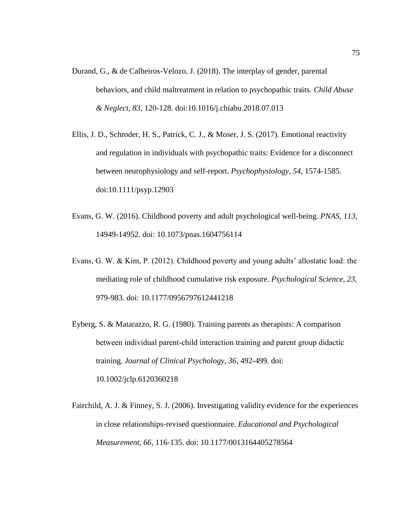- Durand, G., & de Calheiros-Velozo, J. (2018). The interplay of gender, parental behaviors, and child maltreatment in relation to psychopathic traits. *Child Abuse & Neglect, 83*, 120-128. doi:10.1016/j.chiabu.2018.07.013
- Ellis, J. D., Schroder, H. S., Patrick, C. J., & Moser, J. S. (2017). Emotional reactivity and regulation in individuals with psychopathic traits: Evidence for a disconnect between neurophysiology and self-report. *Psychophysiology, 54*, 1574-1585. doi:10.1111/psyp.12903
- Evans, G. W. (2016). Childhood poverty and adult psychological well-being. *PNAS, 113*, 14949-14952. doi: 10.1073/pnas.1604756114
- Evans, G. W. & Kim, P. (2012). Childhood poverty and young adults' allostatic load: the mediating role of childhood cumulative risk exposure. *Psychological Science, 23*, 979-983. doi: 10.1177/0956797612441218
- Eyberg, S. & Matarazzo, R. G. (1980). Training parents as therapists: A comparison between individual parent-child interaction training and parent group didactic training. *Journal of Clinical Psychology, 36*, 492-499. doi: 10.1002/jclp.6120360218
- Fairchild, A. J. & Finney, S. J. (2006). Investigating validity evidence for the experiences in close relationships-revised questionnaire. *Educational and Psychological Measurement, 66*, 116-135. doi: 10.1177/0013164405278564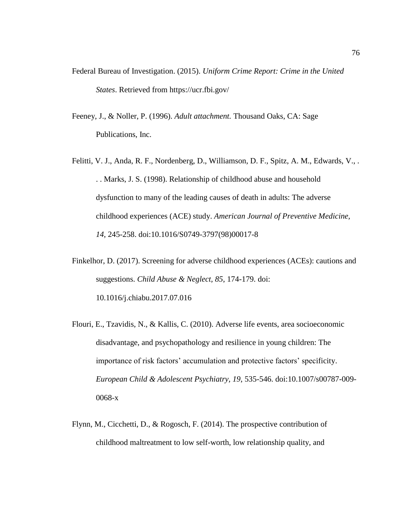- Federal Bureau of Investigation. (2015). *Uniform Crime Report: Crime in the United States*. Retrieved from https://ucr.fbi.gov/
- Feeney, J., & Noller, P. (1996). *Adult attachment.* Thousand Oaks, CA: Sage Publications, Inc.
- Felitti, V. J., Anda, R. F., Nordenberg, D., Williamson, D. F., Spitz, A. M., Edwards, V., . . . Marks, J. S. (1998). Relationship of childhood abuse and household dysfunction to many of the leading causes of death in adults: The adverse childhood experiences (ACE) study. *American Journal of Preventive Medicine, 14*, 245-258. doi:10.1016/S0749-3797(98)00017-8
- Finkelhor, D. (2017). Screening for adverse childhood experiences (ACEs): cautions and suggestions. *Child Abuse & Neglect, 85*, 174-179. doi: 10.1016/j.chiabu.2017.07.016
- Flouri, E., Tzavidis, N., & Kallis, C. (2010). Adverse life events, area socioeconomic disadvantage, and psychopathology and resilience in young children: The importance of risk factors' accumulation and protective factors' specificity. *European Child & Adolescent Psychiatry, 19*, 535-546. doi:10.1007/s00787-009- 0068-x
- Flynn, M., Cicchetti, D., & Rogosch, F. (2014). The prospective contribution of childhood maltreatment to low self-worth, low relationship quality, and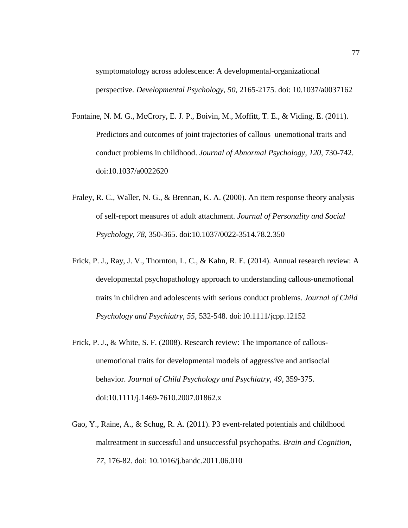symptomatology across adolescence: A developmental-organizational perspective. *Developmental Psychology, 50*, 2165-2175. doi: 10.1037/a0037162

- Fontaine, N. M. G., McCrory, E. J. P., Boivin, M., Moffitt, T. E., & Viding, E. (2011). Predictors and outcomes of joint trajectories of callous–unemotional traits and conduct problems in childhood. *Journal of Abnormal Psychology, 120*, 730-742. doi:10.1037/a0022620
- Fraley, R. C., Waller, N. G., & Brennan, K. A. (2000). An item response theory analysis of self-report measures of adult attachment*. Journal of Personality and Social Psychology, 78*, 350-365. doi:10.1037/0022-3514.78.2.350
- Frick, P. J., Ray, J. V., Thornton, L. C., & Kahn, R. E. (2014). Annual research review: A developmental psychopathology approach to understanding callous‐unemotional traits in children and adolescents with serious conduct problems. *Journal of Child Psychology and Psychiatry, 55*, 532-548. doi:10.1111/jcpp.12152
- Frick, P. J., & White, S. F. (2008). Research review: The importance of callousunemotional traits for developmental models of aggressive and antisocial behavior. *Journal of Child Psychology and Psychiatry, 49*, 359-375. doi:10.1111/j.1469-7610.2007.01862.x
- Gao, Y., Raine, A., & Schug, R. A. (2011). P3 event-related potentials and childhood maltreatment in successful and unsuccessful psychopaths. *Brain and Cognition, 77*, 176-82. doi: 10.1016/j.bandc.2011.06.010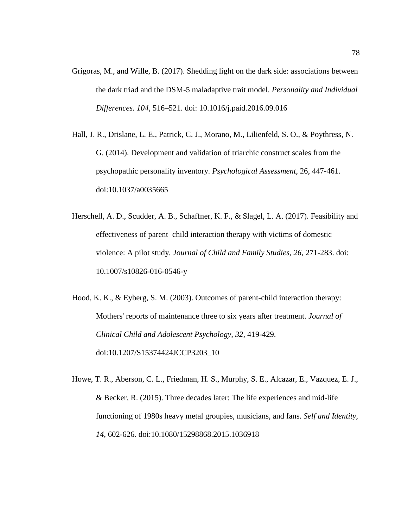- Grigoras, M., and Wille, B. (2017). Shedding light on the dark side: associations between the dark triad and the DSM-5 maladaptive trait model. *Personality and Individual Differences. 104*, 516–521. doi: 10.1016/j.paid.2016.09.016
- Hall, J. R., Drislane, L. E., Patrick, C. J., Morano, M., Lilienfeld, S. O., & Poythress, N. G. (2014). Development and validation of triarchic construct scales from the psychopathic personality inventory. *Psychological Assessment,* 26, 447-461. doi:10.1037/a0035665
- Herschell, A. D., Scudder, A. B., Schaffner, K. F., & Slagel, L. A. (2017). Feasibility and effectiveness of parent–child interaction therapy with victims of domestic violence: A pilot study*. Journal of Child and Family Studies, 26*, 271-283. doi: 10.1007/s10826-016-0546-y
- Hood, K. K., & Eyberg, S. M. (2003). Outcomes of parent-child interaction therapy: Mothers' reports of maintenance three to six years after treatment. *Journal of Clinical Child and Adolescent Psychology, 32*, 419-429. doi:10.1207/S15374424JCCP3203\_10
- Howe, T. R., Aberson, C. L., Friedman, H. S., Murphy, S. E., Alcazar, E., Vazquez, E. J., & Becker, R. (2015). Three decades later: The life experiences and mid-life functioning of 1980s heavy metal groupies, musicians, and fans. *Self and Identity, 14*, 602-626. doi:10.1080/15298868.2015.1036918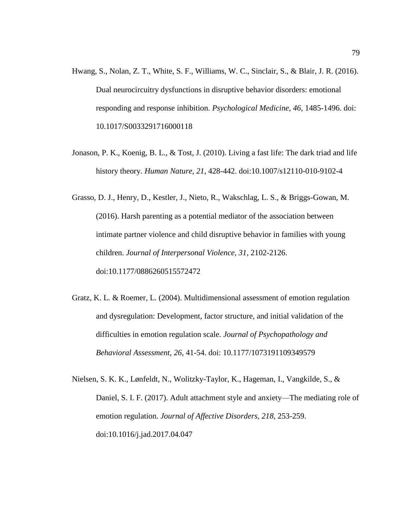- Hwang, S., Nolan, Z. T., White, S. F., Williams, W. C., Sinclair, S., & Blair, J. R. (2016). Dual neurocircuitry dysfunctions in disruptive behavior disorders: emotional responding and response inhibition. *Psychological Medicine, 46*, 1485-1496. doi: 10.1017/S0033291716000118
- Jonason, P. K., Koenig, B. L., & Tost, J. (2010). Living a fast life: The dark triad and life history theory. *Human Nature, 21*, 428-442. doi:10.1007/s12110-010-9102-4
- Grasso, D. J., Henry, D., Kestler, J., Nieto, R., Wakschlag, L. S., & Briggs-Gowan, M. (2016). Harsh parenting as a potential mediator of the association between intimate partner violence and child disruptive behavior in families with young children. *Journal of Interpersonal Violence, 31*, 2102-2126. doi:10.1177/0886260515572472
- Gratz, K. L. & Roemer, L. (2004). Multidimensional assessment of emotion regulation and dysregulation: Development, factor structure, and initial validation of the difficulties in emotion regulation scale. *Journal of Psychopathology and Behavioral Assessment, 26*, 41-54. doi: 10.1177/1073191109349579
- Nielsen, S. K. K., Lønfeldt, N., Wolitzky-Taylor, K., Hageman, I., Vangkilde, S., & Daniel, S. I. F. (2017). Adult attachment style and anxiety—The mediating role of emotion regulation. *Journal of Affective Disorders, 218*, 253-259. doi:10.1016/j.jad.2017.04.047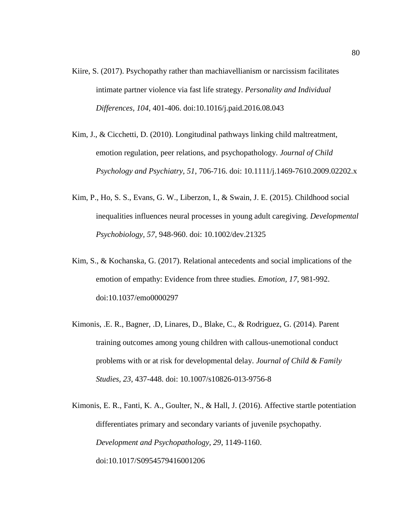- Kiire, S. (2017). Psychopathy rather than machiavellianism or narcissism facilitates intimate partner violence via fast life strategy. *Personality and Individual Differences, 104*, 401-406. doi:10.1016/j.paid.2016.08.043
- Kim, J., & Cicchetti, D. (2010). Longitudinal pathways linking child maltreatment, emotion regulation, peer relations, and psychopathology. *Journal of Child Psychology and Psychiatry, 51*, 706-716. doi: 10.1111/j.1469-7610.2009.02202.x
- Kim, P., Ho, S. S., Evans, G. W., Liberzon, I., & Swain, J. E. (2015). Childhood social inequalities influences neural processes in young adult caregiving. *Developmental Psychobiology, 57*, 948-960. doi: 10.1002/dev.21325
- Kim, S., & Kochanska, G. (2017). Relational antecedents and social implications of the emotion of empathy: Evidence from three studies*. Emotion, 17*, 981-992. doi:10.1037/emo0000297
- Kimonis, .E. R., Bagner, .D, Linares, D., Blake, C., & Rodriguez, G. (2014). Parent training outcomes among young children with callous-unemotional conduct problems with or at risk for developmental delay. *Journal of Child & Family Studies, 23*, 437-448. doi: 10.1007/s10826-013-9756-8
- Kimonis, E. R., Fanti, K. A., Goulter, N., & Hall, J. (2016). Affective startle potentiation differentiates primary and secondary variants of juvenile psychopathy. *Development and Psychopathology, 29*, 1149-1160. doi:10.1017/S0954579416001206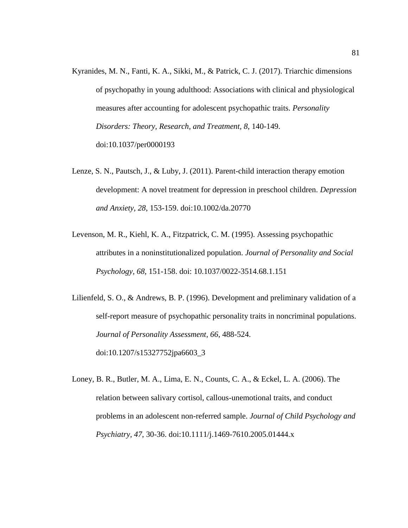- Kyranides, M. N., Fanti, K. A., Sikki, M., & Patrick, C. J. (2017). Triarchic dimensions of psychopathy in young adulthood: Associations with clinical and physiological measures after accounting for adolescent psychopathic traits. *Personality Disorders: Theory, Research, and Treatment, 8*, 140-149. doi:10.1037/per0000193
- Lenze, S. N., Pautsch, J., & Luby, J. (2011). Parent-child interaction therapy emotion development: A novel treatment for depression in preschool children. *Depression and Anxiety, 28*, 153-159. doi:10.1002/da.20770
- Levenson, M. R., Kiehl, K. A., Fitzpatrick, C. M. (1995). Assessing psychopathic attributes in a noninstitutionalized population. *Journal of Personality and Social Psychology, 68*, 151-158. doi: 10.1037/0022-3514.68.1.151
- Lilienfeld, S. O., & Andrews, B. P. (1996). Development and preliminary validation of a self-report measure of psychopathic personality traits in noncriminal populations. *Journal of Personality Assessment, 66*, 488-524. doi:10.1207/s15327752jpa6603\_3
- Loney, B. R., Butler, M. A., Lima, E. N., Counts, C. A., & Eckel, L. A. (2006). The relation between salivary cortisol, callous-unemotional traits, and conduct problems in an adolescent non-referred sample. *Journal of Child Psychology and Psychiatry, 47*, 30-36. doi:10.1111/j.1469-7610.2005.01444.x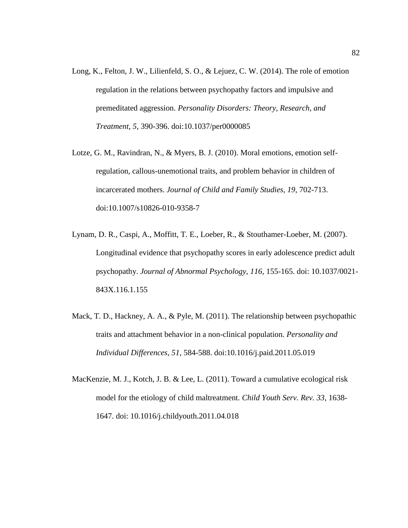- Long, K., Felton, J. W., Lilienfeld, S. O., & Lejuez, C. W. (2014). The role of emotion regulation in the relations between psychopathy factors and impulsive and premeditated aggression. *Personality Disorders: Theory, Research, and Treatment, 5*, 390-396. doi:10.1037/per0000085
- Lotze, G. M., Ravindran, N., & Myers, B. J. (2010). Moral emotions, emotion selfregulation, callous-unemotional traits, and problem behavior in children of incarcerated mothers. *Journal of Child and Family Studies, 19*, 702-713. doi:10.1007/s10826-010-9358-7
- Lynam, D. R., Caspi, A., Moffitt, T. E., Loeber, R., & Stouthamer-Loeber, M. (2007). Longitudinal evidence that psychopathy scores in early adolescence predict adult psychopathy. *Journal of Abnormal Psychology, 116*, 155-165. doi: 10.1037/0021- 843X.116.1.155
- Mack, T. D., Hackney, A. A., & Pyle, M. (2011). The relationship between psychopathic traits and attachment behavior in a non-clinical population. *Personality and Individual Differences, 51*, 584-588. doi:10.1016/j.paid.2011.05.019
- MacKenzie, M. J., Kotch, J. B. & Lee, L. (2011). Toward a cumulative ecological risk model for the etiology of child maltreatment. *Child Youth Serv. Rev. 33*, 1638- 1647. doi: 10.1016/j.childyouth.2011.04.018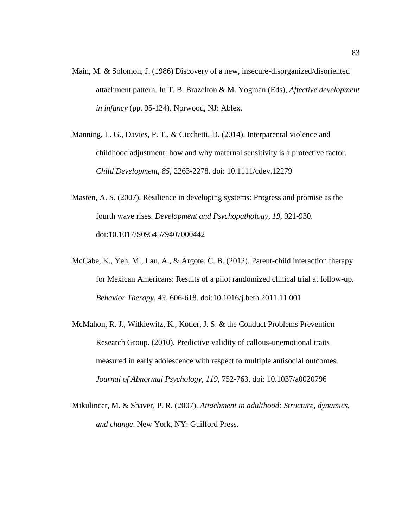- Main, M. & Solomon, J. (1986) Discovery of a new, insecure-disorganized/disoriented attachment pattern. In T. B. Brazelton & M. Yogman (Eds), *Affective development in infancy* (pp. 95-124). Norwood, NJ: Ablex.
- Manning, L. G., Davies, P. T., & Cicchetti, D. (2014). Interparental violence and childhood adjustment: how and why maternal sensitivity is a protective factor. *Child Development, 85*, 2263-2278. doi: 10.1111/cdev.12279
- Masten, A. S. (2007). Resilience in developing systems: Progress and promise as the fourth wave rises. *Development and Psychopathology, 19*, 921-930. doi:10.1017/S0954579407000442
- McCabe, K., Yeh, M., Lau, A., & Argote, C. B. (2012). Parent-child interaction therapy for Mexican Americans: Results of a pilot randomized clinical trial at follow-up. *Behavior Therapy, 43*, 606-618. doi:10.1016/j.beth.2011.11.001
- McMahon, R. J., Witkiewitz, K., Kotler, J. S. & the Conduct Problems Prevention Research Group. (2010). Predictive validity of callous-unemotional traits measured in early adolescence with respect to multiple antisocial outcomes. *Journal of Abnormal Psychology, 119*, 752-763. doi: 10.1037/a0020796
- Mikulincer, M. & Shaver, P. R. (2007). *Attachment in adulthood: Structure, dynamics, and change*. New York, NY: Guilford Press.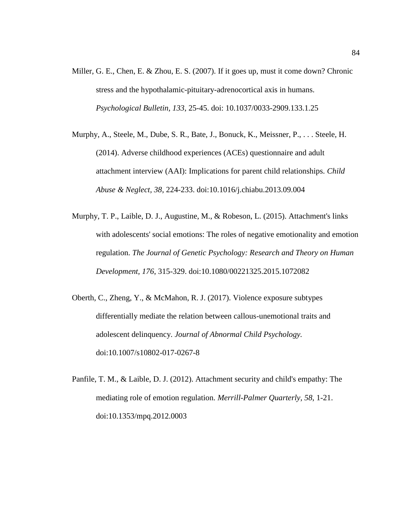- Miller, G. E., Chen, E. & Zhou, E. S. (2007). If it goes up, must it come down? Chronic stress and the hypothalamic-pituitary-adrenocortical axis in humans. *Psychological Bulletin, 133*, 25-45. doi: 10.1037/0033-2909.133.1.25
- Murphy, A., Steele, M., Dube, S. R., Bate, J., Bonuck, K., Meissner, P., . . . Steele, H. (2014). Adverse childhood experiences (ACEs) questionnaire and adult attachment interview (AAI): Implications for parent child relationships. *Child Abuse & Neglect, 38*, 224-233. doi:10.1016/j.chiabu.2013.09.004
- Murphy, T. P., Laible, D. J., Augustine, M., & Robeson, L. (2015). Attachment's links with adolescents' social emotions: The roles of negative emotionality and emotion regulation. *The Journal of Genetic Psychology: Research and Theory on Human Development, 176*, 315-329. doi:10.1080/00221325.2015.1072082
- Oberth, C., Zheng, Y., & McMahon, R. J. (2017). Violence exposure subtypes differentially mediate the relation between callous-unemotional traits and adolescent delinquency. *Journal of Abnormal Child Psychology.* doi:10.1007/s10802-017-0267-8
- Panfile, T. M., & Laible, D. J. (2012). Attachment security and child's empathy: The mediating role of emotion regulation. *Merrill-Palmer Quarterly, 58*, 1-21. doi:10.1353/mpq.2012.0003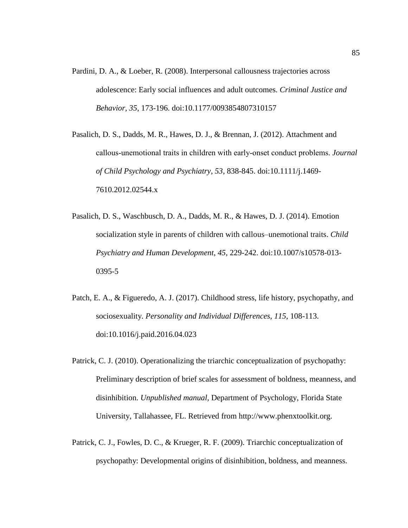- Pardini, D. A., & Loeber, R. (2008). Interpersonal callousness trajectories across adolescence: Early social influences and adult outcomes. *Criminal Justice and Behavior, 35*, 173-196. doi:10.1177/0093854807310157
- Pasalich, D. S., Dadds, M. R., Hawes, D. J., & Brennan, J. (2012). Attachment and callous‐unemotional traits in children with early‐onset conduct problems. *Journal of Child Psychology and Psychiatry, 53*, 838-845. doi:10.1111/j.1469- 7610.2012.02544.x
- Pasalich, D. S., Waschbusch, D. A., Dadds, M. R., & Hawes, D. J. (2014). Emotion socialization style in parents of children with callous–unemotional traits. *Child Psychiatry and Human Development, 45*, 229-242. doi:10.1007/s10578-013- 0395-5
- Patch, E. A., & Figueredo, A. J. (2017). Childhood stress, life history, psychopathy, and sociosexuality. *Personality and Individual Differences, 115,* 108-113. doi:10.1016/j.paid.2016.04.023
- Patrick, C. J. (2010). Operationalizing the triarchic conceptualization of psychopathy: Preliminary description of brief scales for assessment of boldness, meanness, and disinhibition. *Unpublished manual,* Department of Psychology, Florida State University, Tallahassee, FL. Retrieved from http://www.phenxtoolkit.org.
- Patrick, C. J., Fowles, D. C., & Krueger, R. F. (2009). Triarchic conceptualization of psychopathy: Developmental origins of disinhibition, boldness, and meanness.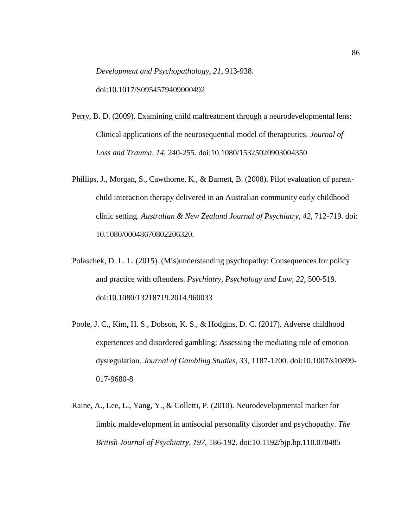*Development and Psychopathology, 21*, 913-938. doi:10.1017/S0954579409000492

- Perry, B. D. (2009). Examining child maltreatment through a neurodevelopmental lens: Clinical applications of the neurosequential model of therapeutics. *Journal of Loss and Trauma, 14*, 240-255. doi:10.1080/15325020903004350
- Phillips, J., Morgan, S., Cawthorne, K., & Barnett, B. (2008). Pilot evaluation of parentchild interaction therapy delivered in an Australian community early childhood clinic setting. *Australian & New Zealand Journal of Psychiatry, 42*, 712-719. doi: 10.1080/00048670802206320.
- Polaschek, D. L. L. (2015). (Mis)understanding psychopathy: Consequences for policy and practice with offenders. *Psychiatry, Psychology and Law, 22*, 500-519. doi:10.1080/13218719.2014.960033
- Poole, J. C., Kim, H. S., Dobson, K. S., & Hodgins, D. C. (2017). Adverse childhood experiences and disordered gambling: Assessing the mediating role of emotion dysregulation. *Journal of Gambling Studies, 33*, 1187-1200. doi:10.1007/s10899- 017-9680-8
- Raine, A., Lee, L., Yang, Y., & Colletti, P. (2010). Neurodevelopmental marker for limbic maldevelopment in antisocial personality disorder and psychopathy. *The British Journal of Psychiatry, 197*, 186-192. doi:10.1192/bjp.bp.110.078485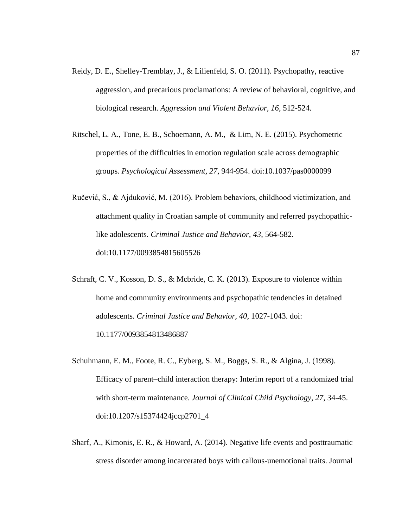- Reidy, D. E., Shelley-Tremblay, J., & Lilienfeld, S. O. (2011). Psychopathy, reactive aggression, and precarious proclamations: A review of behavioral, cognitive, and biological research. *Aggression and Violent Behavior, 16*, 512-524.
- Ritschel, L. A., Tone, E. B., Schoemann, A. M., & Lim, N. E. (2015). Psychometric properties of the difficulties in emotion regulation scale across demographic groups*. Psychological Assessment, 27*, 944-954. doi:10.1037/pas0000099
- Ručević, S., & Ajduković, M. (2016). Problem behaviors, childhood victimization, and attachment quality in Croatian sample of community and referred psychopathiclike adolescents. *Criminal Justice and Behavior, 43*, 564-582. doi:10.1177/0093854815605526
- Schraft, C. V., Kosson, D. S., & Mcbride, C. K. (2013). Exposure to violence within home and community environments and psychopathic tendencies in detained adolescents. *Criminal Justice and Behavior, 40*, 1027-1043. doi: 10.1177/0093854813486887
- Schuhmann, E. M., Foote, R. C., Eyberg, S. M., Boggs, S. R., & Algina, J. (1998). Efficacy of parent–child interaction therapy: Interim report of a randomized trial with short-term maintenance. *Journal of Clinical Child Psychology, 27*, 34-45. doi:10.1207/s15374424jccp2701\_4
- Sharf, A., Kimonis, E. R., & Howard, A. (2014). Negative life events and posttraumatic stress disorder among incarcerated boys with callous-unemotional traits. Journal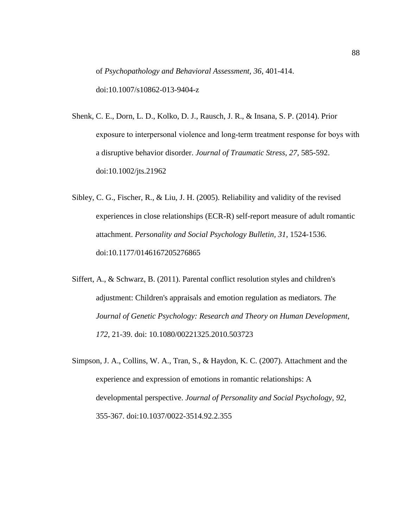of *Psychopathology and Behavioral Assessment, 36*, 401-414. doi:10.1007/s10862-013-9404-z

- Shenk, C. E., Dorn, L. D., Kolko, D. J., Rausch, J. R., & Insana, S. P. (2014). Prior exposure to interpersonal violence and long‐term treatment response for boys with a disruptive behavior disorder. *Journal of Traumatic Stress, 27*, 585-592. doi:10.1002/jts.21962
- Sibley, C. G., Fischer, R., & Liu, J. H. (2005). Reliability and validity of the revised experiences in close relationships (ECR-R) self-report measure of adult romantic attachment. *Personality and Social Psychology Bulletin, 31*, 1524-1536. doi:10.1177/0146167205276865
- Siffert, A., & Schwarz, B. (2011). Parental conflict resolution styles and children's adjustment: Children's appraisals and emotion regulation as mediators. *The Journal of Genetic Psychology: Research and Theory on Human Development, 172*, 21-39. doi: 10.1080/00221325.2010.503723
- Simpson, J. A., Collins, W. A., Tran, S., & Haydon, K. C. (2007). Attachment and the experience and expression of emotions in romantic relationships: A developmental perspective. *Journal of Personality and Social Psychology, 92*, 355-367. doi:10.1037/0022-3514.92.2.355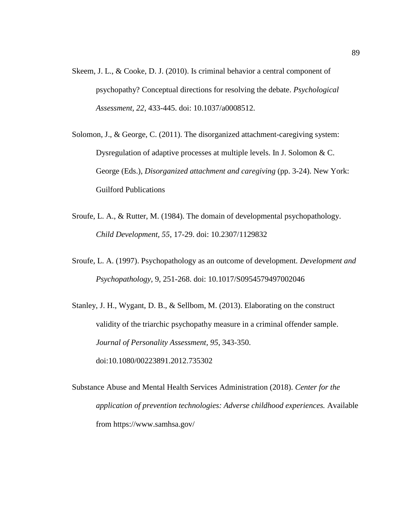- Skeem, J. L., & Cooke, D. J. (2010). Is criminal behavior a central component of psychopathy? Conceptual directions for resolving the debate. *Psychological Assessment, 22*, 433-445. doi: 10.1037/a0008512.
- Solomon, J., & George, C. (2011). The disorganized attachment-caregiving system: Dysregulation of adaptive processes at multiple levels. In J. Solomon & C. George (Eds.), *Disorganized attachment and caregiving* (pp. 3-24). New York: Guilford Publications
- Sroufe, L. A., & Rutter, M. (1984). The domain of developmental psychopathology. *Child Development, 55*, 17-29. doi: 10.2307/1129832
- Sroufe, L. A. (1997). Psychopathology as an outcome of development. *Development and Psychopathology,* 9, 251-268. doi: 10.1017/S0954579497002046
- Stanley, J. H., Wygant, D. B., & Sellbom, M. (2013). Elaborating on the construct validity of the triarchic psychopathy measure in a criminal offender sample. *Journal of Personality Assessment, 95*, 343-350. doi:10.1080/00223891.2012.735302
- Substance Abuse and Mental Health Services Administration (2018). *Center for the application of prevention technologies: Adverse childhood experiences.* Available from https://www.samhsa.gov/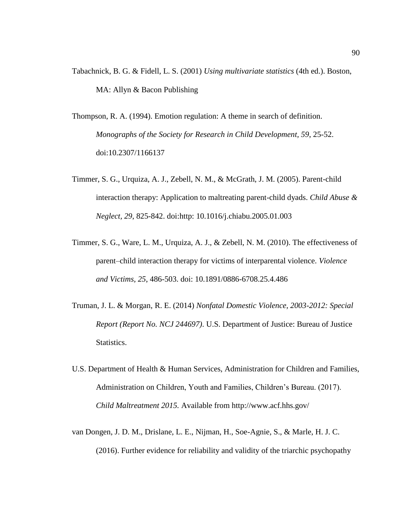- Tabachnick, B. G. & Fidell, L. S. (2001) *Using multivariate statistics* (4th ed.). Boston, MA: Allyn & Bacon Publishing
- Thompson, R. A. (1994). Emotion regulation: A theme in search of definition. *Monographs of the Society for Research in Child Development, 59*, 25-52. doi:10.2307/1166137
- Timmer, S. G., Urquiza, A. J., Zebell, N. M., & McGrath, J. M. (2005). Parent-child interaction therapy: Application to maltreating parent-child dyads. *Child Abuse & Neglect, 29*, 825-842. doi:http: 10.1016/j.chiabu.2005.01.003
- Timmer, S. G., Ware, L. M., Urquiza, A. J., & Zebell, N. M. (2010). The effectiveness of parent–child interaction therapy for victims of interparental violence. *Violence and Victims, 25*, 486-503. doi: 10.1891/0886-6708.25.4.486
- Truman, J. L. & Morgan, R. E. (2014) *Nonfatal Domestic Violence, 2003-2012: Special Report (Report No. NCJ 244697)*. U.S. Department of Justice: Bureau of Justice Statistics.
- U.S. Department of Health & Human Services, Administration for Children and Families, Administration on Children, Youth and Families, Children's Bureau. (2017). *Child Maltreatment 2015.* Available from http://www.acf.hhs.gov/
- van Dongen, J. D. M., Drislane, L. E., Nijman, H., Soe-Agnie, S., & Marle, H. J. C. (2016). Further evidence for reliability and validity of the triarchic psychopathy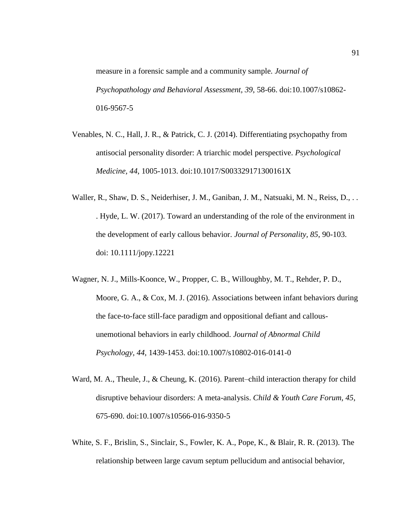measure in a forensic sample and a community sample*. Journal of Psychopathology and Behavioral Assessment, 39*, 58-66. doi:10.1007/s10862- 016-9567-5

- Venables, N. C., Hall, J. R., & Patrick, C. J. (2014). Differentiating psychopathy from antisocial personality disorder: A triarchic model perspective. *Psychological Medicine, 44*, 1005-1013. doi:10.1017/S003329171300161X
- Waller, R., Shaw, D. S., Neiderhiser, J. M., Ganiban, J. M., Natsuaki, M. N., Reiss, D., . . . Hyde, L. W. (2017). Toward an understanding of the role of the environment in the development of early callous behavior. *Journal of Personality, 85*, 90-103. doi: 10.1111/jopy.12221
- Wagner, N. J., Mills-Koonce, W., Propper, C. B., Willoughby, M. T., Rehder, P. D., Moore, G. A., & Cox, M. J. (2016). Associations between infant behaviors during the face-to-face still-face paradigm and oppositional defiant and callousunemotional behaviors in early childhood. *Journal of Abnormal Child Psychology, 44*, 1439-1453. doi:10.1007/s10802-016-0141-0
- Ward, M. A., Theule, J., & Cheung, K. (2016). Parent–child interaction therapy for child disruptive behaviour disorders: A meta-analysis. *Child & Youth Care Forum, 45*, 675-690. doi:10.1007/s10566-016-9350-5
- White, S. F., Brislin, S., Sinclair, S., Fowler, K. A., Pope, K., & Blair, R. R. (2013). The relationship between large cavum septum pellucidum and antisocial behavior,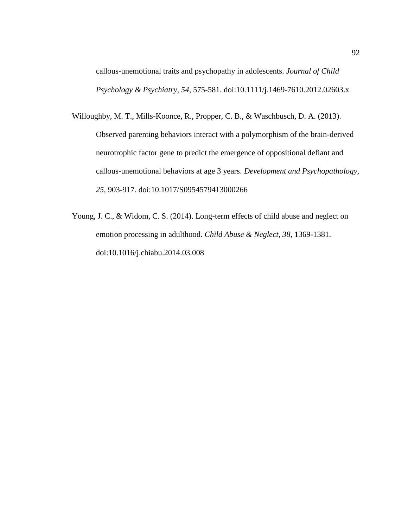callous-unemotional traits and psychopathy in adolescents. *Journal of Child Psychology & Psychiatry, 54*, 575-581. doi:10.1111/j.1469-7610.2012.02603.x

- Willoughby, M. T., Mills-Koonce, R., Propper, C. B., & Waschbusch, D. A. (2013). Observed parenting behaviors interact with a polymorphism of the brain-derived neurotrophic factor gene to predict the emergence of oppositional defiant and callous-unemotional behaviors at age 3 years. *Development and Psychopathology, 25*, 903-917. doi:10.1017/S0954579413000266
- Young, J. C., & Widom, C. S. (2014). Long-term effects of child abuse and neglect on emotion processing in adulthood*. Child Abuse & Neglect, 38*, 1369-1381. doi:10.1016/j.chiabu.2014.03.008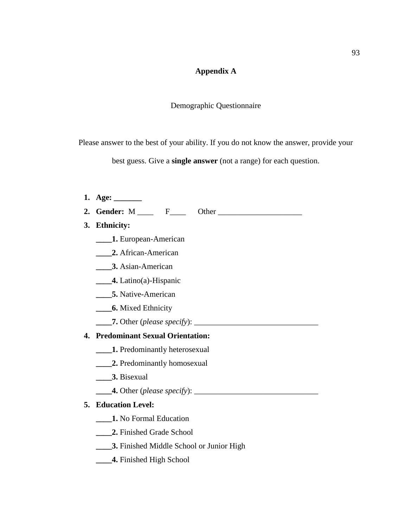# **Appendix A**

## Demographic Questionnaire

Please answer to the best of your ability. If you do not know the answer, provide your

best guess. Give a **single answer** (not a range) for each question.

| 1. Age: $\_\_$                                  |
|-------------------------------------------------|
|                                                 |
| 3. Ethnicity:                                   |
| <b>1. European-American</b>                     |
| 2. African-American                             |
| <b>3.</b> Asian-American                        |
| $\qquad \qquad$ 4. Latino(a)-Hispanic           |
| <b>5.</b> Native-American                       |
| <b>6.</b> Mixed Ethnicity                       |
|                                                 |
| 4. Predominant Sexual Orientation:              |
| 1. Predominantly heterosexual                   |
| 2. Predominantly homosexual                     |
| <b>3.</b> Bisexual                              |
|                                                 |
| 5. Education Level:                             |
| 1. No Formal Education                          |
| 2. Finished Grade School                        |
| <b>3.</b> Finished Middle School or Junior High |
| 4. Finished High School                         |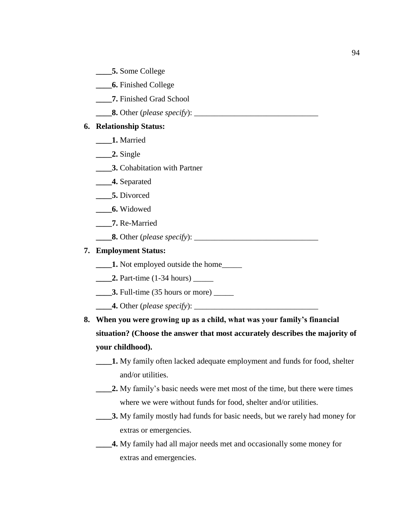- **\_\_\_\_5.** Some College
- **\_\_\_\_6.** Finished College
- **\_\_\_\_7.** Finished Grad School
- **\_\_\_\_8.** Other (*please specify*): \_\_\_\_\_\_\_\_\_\_\_\_\_\_\_\_\_\_\_\_\_\_\_\_\_\_\_\_\_\_\_

## **6. Relationship Status:**

- **\_\_\_\_1.** Married
- **\_\_\_\_2.** Single
- **3.** Cohabitation with Partner
- **\_\_\_\_4.** Separated
- **\_\_\_\_5.** Divorced
- **\_\_\_\_6.** Widowed
- **\_\_\_\_7.** Re-Married
- **\_\_\_\_8.** Other (*please specify*): \_\_\_\_\_\_\_\_\_\_\_\_\_\_\_\_\_\_\_\_\_\_\_\_\_\_\_\_\_\_\_

## **7. Employment Status:**

- **\_\_\_\_1.** Not employed outside the home\_\_\_\_\_
- **2.** Part-time (1-34 hours) \_\_\_\_\_\_
- **\_\_\_\_\_\_3.** Full-time (35 hours or more) \_\_\_\_\_\_
- **\_\_\_\_4.** Other (*please specify*): \_\_\_\_\_\_\_\_\_\_\_\_\_\_\_\_\_\_\_\_\_\_\_\_\_\_\_\_\_\_\_
- **8. When you were growing up as a child, what was your family's financial situation? (Choose the answer that most accurately describes the majority of your childhood).** 
	- **\_\_\_\_1.** My family often lacked adequate employment and funds for food, shelter and/or utilities.
	- **2.** My family's basic needs were met most of the time, but there were times where we were without funds for food, shelter and/or utilities.
	- **\_\_\_\_3.** My family mostly had funds for basic needs, but we rarely had money for extras or emergencies.
	- **4.** My family had all major needs met and occasionally some money for extras and emergencies.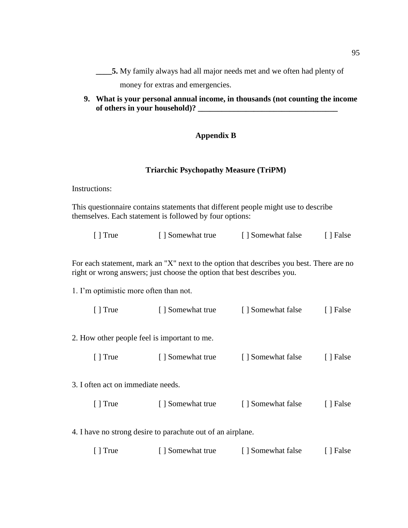**\_\_\_\_5.** My family always had all major needs met and we often had plenty of

money for extras and emergencies.

**9. What is your personal annual income, in thousands (not counting the income**  of others in your household)?

## **Appendix B**

#### **Triarchic Psychopathy Measure (TriPM)**

Instructions:

This questionnaire contains statements that different people might use to describe themselves. Each statement is followed by four options:

| $\lceil$ True | [ ] Somewhat true | [ ] Somewhat false | [ ] False |
|---------------|-------------------|--------------------|-----------|
|---------------|-------------------|--------------------|-----------|

For each statement, mark an "X" next to the option that describes you best. There are no right or wrong answers; just choose the option that best describes you.

1. I'm optimistic more often than not.

| $\lceil$ True | [ ] Somewhat true | [ ] Somewhat false | [ ] False |
|---------------|-------------------|--------------------|-----------|
|---------------|-------------------|--------------------|-----------|

2. How other people feel is important to me.

|  | $\lceil$ True | [ ] Somewhat true | [ ] Somewhat false | [ ] False |
|--|---------------|-------------------|--------------------|-----------|
|--|---------------|-------------------|--------------------|-----------|

3. I often act on immediate needs.

| $\lceil$ True | [ ] Somewhat true | [ ] Somewhat false | [ ] False |
|---------------|-------------------|--------------------|-----------|
|---------------|-------------------|--------------------|-----------|

4. I have no strong desire to parachute out of an airplane.

| $\lceil$ True<br>[ ] Somewhat true | [ ] Somewhat false | [ ] False |
|------------------------------------|--------------------|-----------|
|------------------------------------|--------------------|-----------|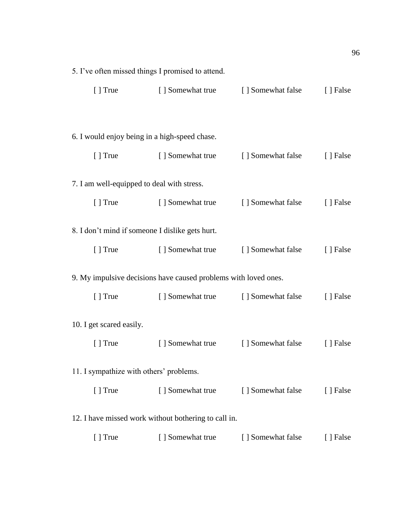| 5. I've often missed things I promised to attend. |                                                                 |                                  |           |
|---------------------------------------------------|-----------------------------------------------------------------|----------------------------------|-----------|
| [ ] True                                          | [ ] Somewhat true                                               | [ ] Somewhat false               | [ ] False |
|                                                   |                                                                 |                                  |           |
| 6. I would enjoy being in a high-speed chase.     |                                                                 |                                  |           |
| $\lceil$ True                                     | [ ] Somewhat true                                               | [ ] Somewhat false               | [ ] False |
| 7. I am well-equipped to deal with stress.        |                                                                 |                                  |           |
| $\lceil$ True                                     | [ ] Somewhat true                                               | [ ] Somewhat false               | [ ] False |
| 8. I don't mind if someone I dislike gets hurt.   |                                                                 |                                  |           |
| $[ ]$ True                                        | [ ] Somewhat true                                               | [ ] Somewhat false               | [ ] False |
|                                                   | 9. My impulsive decisions have caused problems with loved ones. |                                  |           |
| $[ ]$ True                                        | [] Somewhat true [] Somewhat false                              |                                  | [ ] False |
| 10. I get scared easily.                          |                                                                 |                                  |           |
| $\lceil$ True                                     |                                                                 | [ Somewhat true [ Somewhat false | [ ] False |
| 11. I sympathize with others' problems.           |                                                                 |                                  |           |
| $[ ]$ True                                        | [ ] Somewhat true                                               | [ ] Somewhat false               | [ ] False |
|                                                   | 12. I have missed work without bothering to call in.            |                                  |           |
| [ ] True                                          | [ ] Somewhat true                                               | [ ] Somewhat false               | [ ] False |
|                                                   |                                                                 |                                  |           |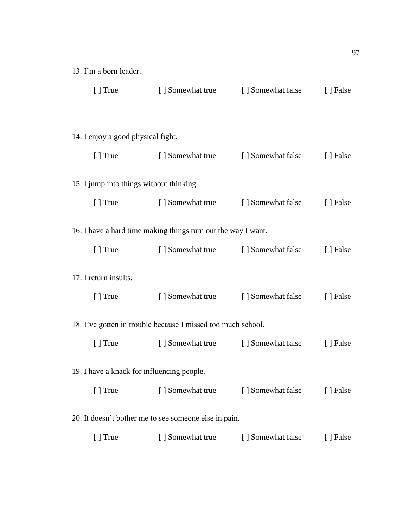| 13. I'm a born leader.                     |                                                               |                                    |           |
|--------------------------------------------|---------------------------------------------------------------|------------------------------------|-----------|
|                                            | [] True [] Somewhat true [] Somewhat false                    |                                    | [ ] False |
| 14. I enjoy a good physical fight.         |                                                               |                                    |           |
|                                            | [] True [] Somewhat true [] Somewhat false                    |                                    | [] False  |
| 15. I jump into things without thinking.   |                                                               |                                    |           |
|                                            | [] True [] Somewhat true [] Somewhat false                    |                                    | [ ] False |
|                                            | 16. I have a hard time making things turn out the way I want. |                                    |           |
| $\lceil$ True                              |                                                               | [] Somewhat true [] Somewhat false | [ ] False |
| 17. I return insults.                      |                                                               |                                    |           |
| $[ ]$ True                                 |                                                               | [] Somewhat true [] Somewhat false | [ ] False |
|                                            | 18. I've gotten in trouble because I missed too much school.  |                                    |           |
| $[ ]$ True                                 |                                                               | [] Somewhat true [] Somewhat false | [ ] False |
| 19. I have a knack for influencing people. |                                                               |                                    |           |
| $[ ]$ True                                 | [ ] Somewhat true                                             | [ ] Somewhat false                 | [ ] False |
|                                            | 20. It doesn't bother me to see someone else in pain.         |                                    |           |
| [ ] True                                   | [ ] Somewhat true                                             | [] Somewhat false                  | [ ] False |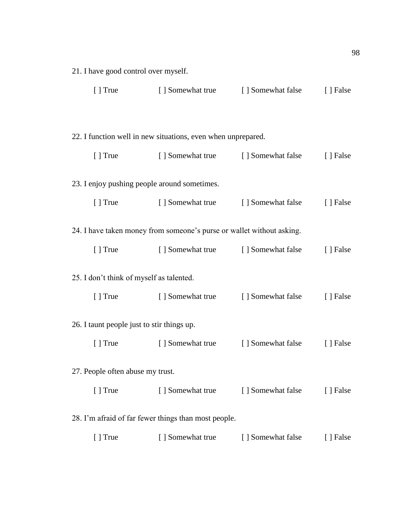| 21. I have good control over myself.                               |                                                                       |                                    |           |  |  |
|--------------------------------------------------------------------|-----------------------------------------------------------------------|------------------------------------|-----------|--|--|
| $[ ]$ True                                                         |                                                                       | [] Somewhat true [] Somewhat false | [ ] False |  |  |
|                                                                    |                                                                       |                                    |           |  |  |
|                                                                    | 22. I function well in new situations, even when unprepared.          |                                    |           |  |  |
| $[ ]$ True                                                         | [ ] Somewhat true [ ] Somewhat false                                  |                                    | [ ] False |  |  |
| 23. I enjoy pushing people around sometimes.                       |                                                                       |                                    |           |  |  |
| $[ ]$ True                                                         | [ ] Somewhat true [ ] Somewhat false                                  |                                    | [ ] False |  |  |
|                                                                    | 24. I have taken money from someone's purse or wallet without asking. |                                    |           |  |  |
| $[ ]$ True                                                         | [] Somewhat true [] Somewhat false                                    |                                    | [ ] False |  |  |
| 25. I don't think of myself as talented.                           |                                                                       |                                    |           |  |  |
| $[ ]$ True                                                         | [ ] Somewhat true                                                     | [ ] Somewhat false                 | [ ] False |  |  |
| 26. I taunt people just to stir things up.                         |                                                                       |                                    |           |  |  |
| $[ ]$ True                                                         | [ ] Somewhat true                                                     | [ ] Somewhat false                 | [ ] False |  |  |
| 27. People often abuse my trust.                                   |                                                                       |                                    |           |  |  |
| [ ] True                                                           |                                                                       | [] Somewhat true [] Somewhat false | [ ] False |  |  |
| 28. I'm afraid of far fewer things than most people.               |                                                                       |                                    |           |  |  |
| [ ] Somewhat true<br>[ ] Somewhat false<br>$[ ]$ True<br>[ ] False |                                                                       |                                    |           |  |  |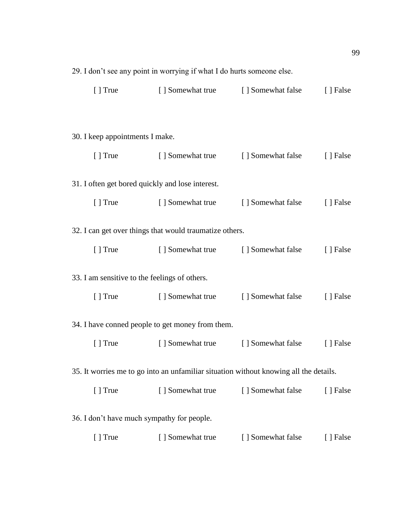|                                               | 29. I don't see any point in worrying it what I do nurts someone effe. |                                                                                       |           |
|-----------------------------------------------|------------------------------------------------------------------------|---------------------------------------------------------------------------------------|-----------|
| $\lceil$ True                                 |                                                                        | [ ] Somewhat true [ ] Somewhat false                                                  | [ ] False |
|                                               |                                                                        |                                                                                       |           |
| 30. I keep appointments I make.               |                                                                        |                                                                                       |           |
|                                               |                                                                        |                                                                                       |           |
|                                               |                                                                        | [] True [] Somewhat true [] Somewhat false                                            | [ ] False |
|                                               | 31. I often get bored quickly and lose interest.                       |                                                                                       |           |
| $\lceil$ True                                 |                                                                        | [ Somewhat true [ Somewhat false [ ] False                                            |           |
|                                               | 32. I can get over things that would traumatize others.                |                                                                                       |           |
|                                               |                                                                        |                                                                                       |           |
| $[$ ] True                                    |                                                                        | [ ] Somewhat true [ ] Somewhat false                                                  | [ ] False |
| 33. I am sensitive to the feelings of others. |                                                                        |                                                                                       |           |
|                                               |                                                                        | [] True [] Somewhat true [] Somewhat false                                            | [ ] False |
|                                               | 34. I have conned people to get money from them.                       |                                                                                       |           |
|                                               |                                                                        | [] True [] Somewhat true [] Somewhat false                                            | [ ] False |
|                                               |                                                                        |                                                                                       |           |
|                                               |                                                                        | 35. It worries me to go into an unfamiliar situation without knowing all the details. |           |
| $[ ]$ True                                    | [] Somewhat true                                                       | [] Somewhat false                                                                     | [ ] False |
| 36. I don't have much sympathy for people.    |                                                                        |                                                                                       |           |
| [ ] True                                      | [ ] Somewhat true                                                      | [] Somewhat false                                                                     | [ ] False |
|                                               |                                                                        |                                                                                       |           |

29. I don't see any point in worrying if what I do hurts someone else.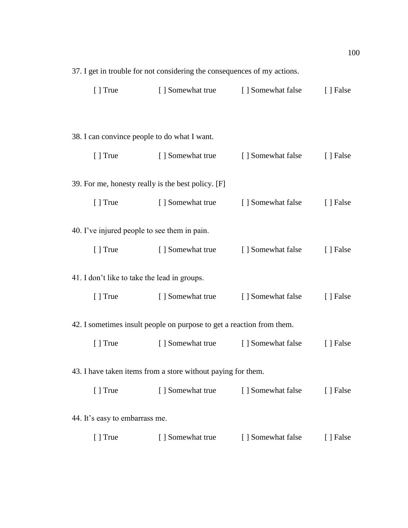|                                              | 27. I get in trouble for not considering the consequences of my actions. |                                      |           |
|----------------------------------------------|--------------------------------------------------------------------------|--------------------------------------|-----------|
| $[ ]$ True                                   |                                                                          | [ ] Somewhat true [ ] Somewhat false | [ ] False |
|                                              |                                                                          |                                      |           |
| 38. I can convince people to do what I want. |                                                                          |                                      |           |
| $[ ]$ True                                   | [ ] Somewhat true [ ] Somewhat false                                     |                                      | [ ] False |
|                                              | 39. For me, honesty really is the best policy. [F]                       |                                      |           |
|                                              |                                                                          |                                      |           |
| $[ ]$ True                                   |                                                                          | [ ] Somewhat true [ ] Somewhat false | [] False  |
| 40. I've injured people to see them in pain. |                                                                          |                                      |           |
|                                              | [] True [] Somewhat true                                                 | [ ] Somewhat false                   | [ ] False |
| 41. I don't like to take the lead in groups. |                                                                          |                                      |           |
|                                              |                                                                          |                                      |           |
|                                              | [] True [] Somewhat true [] Somewhat false                               |                                      | [] False  |
|                                              | 42. I sometimes insult people on purpose to get a reaction from them.    |                                      |           |
| $[ ]$ True                                   |                                                                          | [] Somewhat true [] Somewhat false   | [ ] False |
|                                              |                                                                          |                                      |           |
|                                              | 43. I have taken items from a store without paying for them.             |                                      |           |
| $[ ]$ True                                   | [ ] Somewhat true                                                        | [ ] Somewhat false                   | [ ] False |
| 44. It's easy to embarrass me.               |                                                                          |                                      |           |
|                                              |                                                                          |                                      |           |
| $[ ]$ True                                   | [ ] Somewhat true                                                        | [] Somewhat false                    | [ ] False |

37. I get in trouble for not considering the consequences of my actions.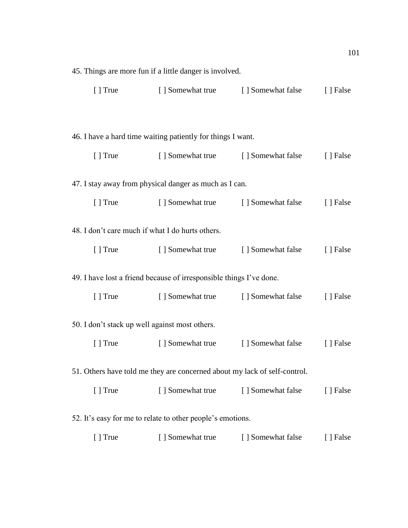|               | 45. Things are more fun if a little danger is involved.                   |                                      |           |
|---------------|---------------------------------------------------------------------------|--------------------------------------|-----------|
|               | [] True [] Somewhat true [] Somewhat false                                |                                      | [ ] False |
|               |                                                                           |                                      |           |
|               | 46. I have a hard time waiting patiently for things I want.               |                                      |           |
|               | [] True [] Somewhat true [] Somewhat false                                |                                      | [] False  |
|               | 47. I stay away from physical danger as much as I can.                    |                                      |           |
|               | [] True [] Somewhat true [] Somewhat false                                |                                      | [ ] False |
|               | 48. I don't care much if what I do hurts others.                          |                                      |           |
| $\lceil$ True | [ ] Somewhat true [ ] Somewhat false                                      |                                      | [ ] False |
|               | 49. I have lost a friend because of irresponsible things I've done.       |                                      |           |
| $\lceil$ True |                                                                           | [ ] Somewhat true [ ] Somewhat false | [ ] False |
|               | 50. I don't stack up well against most others.                            |                                      |           |
| $\lceil$ True | [ ] Somewhat true                                                         | [ ] Somewhat false                   | [ ] False |
|               | 51. Others have told me they are concerned about my lack of self-control. |                                      |           |
| [] True       | [ ] Somewhat true [ ] Somewhat false                                      |                                      | [ ] False |
|               | 52. It's easy for me to relate to other people's emotions.                |                                      |           |
| [ ] True      | [ ] Somewhat true                                                         | [ ] Somewhat false                   | [ ] False |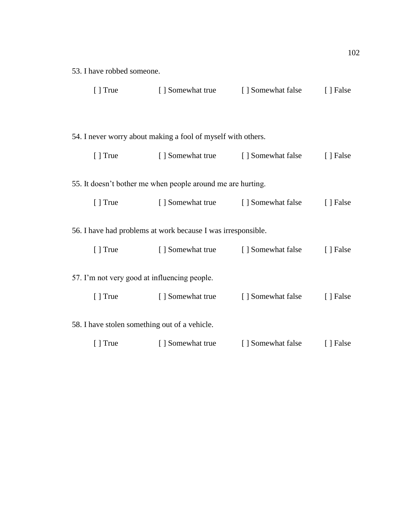| $[ ]$ True                 |                                                              | [] Somewhat true [] Somewhat false | [ ] False |
|----------------------------|--------------------------------------------------------------|------------------------------------|-----------|
|                            | 54. I never worry about making a fool of myself with others. |                                    |           |
| $\lceil \cdot \rceil$ True |                                                              | [ Somewhat true [ Somewhat false   | [ ] False |
|                            | 55. It doesn't bother me when people around me are hurting.  |                                    |           |
| [ ] True                   |                                                              | [] Somewhat true [] Somewhat false | [ ] False |
|                            | 56. I have had problems at work because I was irresponsible. |                                    |           |
| $\lceil$ True              | [ ] Somewhat true [ ] Somewhat false                         |                                    | [ ] False |
|                            | 57. I'm not very good at influencing people.                 |                                    |           |
| $[ ]$ True                 | [ ] Somewhat true                                            | [ ] Somewhat false                 | [ ] False |
|                            | 58. I have stolen something out of a vehicle.                |                                    |           |
| $\lceil \cdot \rceil$ True | [] Somewhat true [] Somewhat false [] False                  |                                    |           |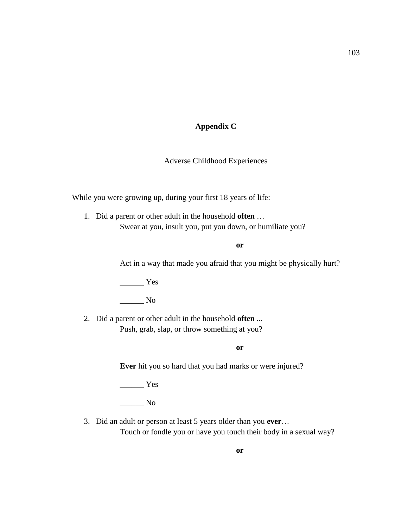### **Appendix C**

#### Adverse Childhood Experiences

While you were growing up, during your first 18 years of life:

1. Did a parent or other adult in the household **often** … Swear at you, insult you, put you down, or humiliate you?

**or**

Act in a way that made you afraid that you might be physically hurt?

\_\_\_\_\_\_ Yes

 $\_\_$  No

2. Did a parent or other adult in the household **often** ... Push, grab, slap, or throw something at you?

**or**

**Ever** hit you so hard that you had marks or were injured?

\_\_\_\_\_\_ Yes

\_\_\_\_\_\_ No

3. Did an adult or person at least 5 years older than you **ever**…

Touch or fondle you or have you touch their body in a sexual way?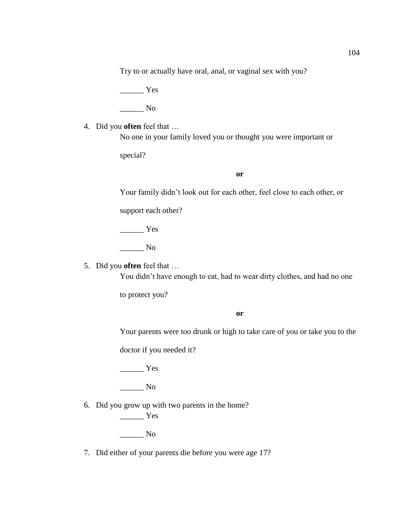Try to or actually have oral, anal, or vaginal sex with you?

 $\frac{1}{1}$  Yes

\_\_\_\_\_\_ No

4. Did you **often** feel that …

No one in your family loved you or thought you were important or

special?

#### **or**

Your family didn't look out for each other, feel close to each other, or

support each other?

 $\frac{1}{\sqrt{1-\frac{1}{2}}\sqrt{1-\frac{1}{2}}\sqrt{1-\frac{1}{2}}\sqrt{1-\frac{1}{2}}\sqrt{1-\frac{1}{2}}\sqrt{1-\frac{1}{2}}\sqrt{1-\frac{1}{2}}\sqrt{1-\frac{1}{2}}\sqrt{1-\frac{1}{2}}\sqrt{1-\frac{1}{2}}\sqrt{1-\frac{1}{2}}\sqrt{1-\frac{1}{2}}\sqrt{1-\frac{1}{2}}\sqrt{1-\frac{1}{2}}\sqrt{1-\frac{1}{2}}\sqrt{1-\frac{1}{2}}\sqrt{1-\frac{1}{2}}\sqrt{1-\frac{1}{2}}\sqrt{1-\frac{1}{2}}\sqrt{1-\frac$ 

 $\_\_$  No

5. Did you **often** feel that …

You didn't have enough to eat, had to wear dirty clothes, and had no one

to protect you?

**or**

Your parents were too drunk or high to take care of you or take you to the

doctor if you needed it?

 $\frac{1}{\sqrt{1-\frac{1}{2}}\sqrt{1-\frac{1}{2}}\left\vert \frac{1}{2}+\frac{1}{2}+\frac{1}{2}+\frac{1}{2}+\frac{1}{2}+\frac{1}{2}+\frac{1}{2}+\frac{1}{2}+\frac{1}{2}+\frac{1}{2}+\frac{1}{2}+\frac{1}{2}+\frac{1}{2}+\frac{1}{2}+\frac{1}{2}+\frac{1}{2}+\frac{1}{2}+\frac{1}{2}+\frac{1}{2}+\frac{1}{2}+\frac{1}{2}+\frac{1}{2}+\frac{1}{2}+\frac{1}{2}+\frac{1}{2}+\frac{1}{2}+\frac{1}{2}$ 

 $\_\_$  No

6. Did you grow up with two parents in the home?

\_\_\_\_\_\_ Yes \_\_\_\_\_\_ No

7. Did either of your parents die before you were age 17?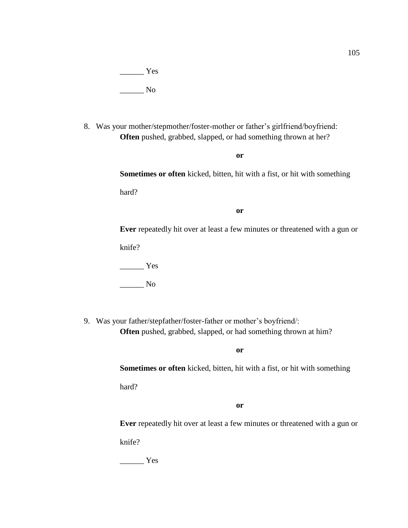$\frac{1}{\sqrt{1-\frac{1}{2}}\sqrt{1-\frac{1}{2}}\sqrt{1-\frac{1}{2}}\sqrt{1-\frac{1}{2}}\sqrt{1-\frac{1}{2}}\sqrt{1-\frac{1}{2}}\sqrt{1-\frac{1}{2}}\sqrt{1-\frac{1}{2}}\sqrt{1-\frac{1}{2}}\sqrt{1-\frac{1}{2}}\sqrt{1-\frac{1}{2}}\sqrt{1-\frac{1}{2}}\sqrt{1-\frac{1}{2}}\sqrt{1-\frac{1}{2}}\sqrt{1-\frac{1}{2}}\sqrt{1-\frac{1}{2}}\sqrt{1-\frac{1}{2}}\sqrt{1-\frac{1}{2}}\sqrt{1-\frac{1}{2}}\sqrt{1-\frac$ \_\_\_\_\_\_ No

8. Was your mother/stepmother/foster-mother or father's girlfriend/boyfriend: **Often** pushed, grabbed, slapped, or had something thrown at her?

**or**

**Sometimes or often** kicked, bitten, hit with a fist, or hit with something

hard?

**or**

**Ever** repeatedly hit over at least a few minutes or threatened with a gun or

knife?

 $\frac{1}{\sqrt{1-\frac{1}{2}}\sqrt{1-\frac{1}{2}}\left\vert \frac{1}{2}+\frac{1}{2}+\frac{1}{2}+\frac{1}{2}+\frac{1}{2}+\frac{1}{2}+\frac{1}{2}+\frac{1}{2}+\frac{1}{2}+\frac{1}{2}+\frac{1}{2}+\frac{1}{2}+\frac{1}{2}+\frac{1}{2}+\frac{1}{2}+\frac{1}{2}+\frac{1}{2}+\frac{1}{2}+\frac{1}{2}+\frac{1}{2}+\frac{1}{2}+\frac{1}{2}+\frac{1}{2}+\frac{1}{2}+\frac{1}{2}+\frac{1}{2}+\frac{1}{2}$ 

 $\_\_$  No

9. Was your father/stepfather/foster-father or mother's boyfriend/: **Often** pushed, grabbed, slapped, or had something thrown at him?

**or**

**Sometimes or often** kicked, bitten, hit with a fist, or hit with something

hard?

**or**

**Ever** repeatedly hit over at least a few minutes or threatened with a gun or knife?

\_\_\_\_\_\_ Yes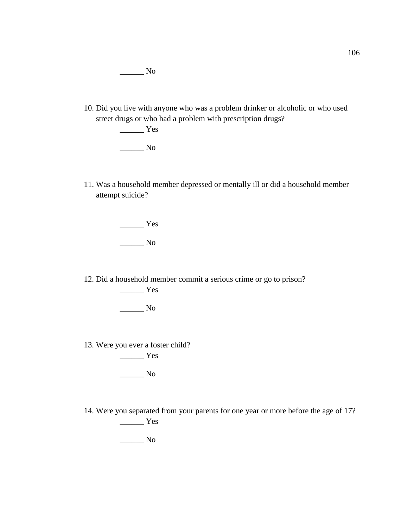\_\_\_\_\_\_ No

10. Did you live with anyone who was a problem drinker or alcoholic or who used street drugs or who had a problem with prescription drugs?

> $\frac{1}{1}$  Yes \_\_\_\_\_\_ No

11. Was a household member depressed or mentally ill or did a household member attempt suicide?

\_\_\_\_\_\_ Yes

 $\_\_$  No

12. Did a household member commit a serious crime or go to prison? \_\_\_\_\_\_ Yes

 $\_\_$  No

13. Were you ever a foster child? \_\_\_\_\_\_ Yes

 $\_\_$  No

14. Were you separated from your parents for one year or more before the age of 17?  $\frac{1}{\sqrt{1-\frac{1}{2}}}\gamma$ 

 $\_\_$  No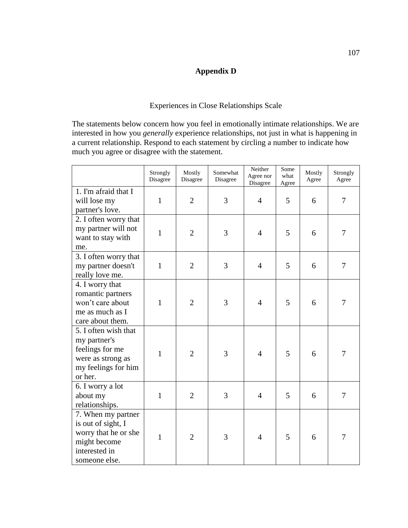## **Appendix D**

### Experiences in Close Relationships Scale

The statements below concern how you feel in emotionally intimate relationships. We are interested in how you *generally* experience relationships, not just in what is happening in a current relationship. Respond to each statement by circling a number to indicate how much you agree or disagree with the statement.

|                                                                                                                    | Strongly<br>Disagree | Mostly<br>Disagree | Somewhat<br>Disagree | Neither<br>Agree nor<br>Disagree | Some<br>what<br>Agree | Mostly<br>Agree | Strongly<br>Agree |
|--------------------------------------------------------------------------------------------------------------------|----------------------|--------------------|----------------------|----------------------------------|-----------------------|-----------------|-------------------|
| 1. I'm afraid that I<br>will lose my<br>partner's love.                                                            | $\mathbf{1}$         | $\overline{2}$     | 3                    | $\overline{4}$                   | 5                     | 6               | 7                 |
| 2. I often worry that<br>my partner will not<br>want to stay with<br>me.                                           | $\mathbf{1}$         | $\overline{2}$     | 3                    | $\overline{4}$                   | 5                     | 6               | 7                 |
| 3. I often worry that<br>my partner doesn't<br>really love me.                                                     | $\mathbf{1}$         | $\overline{2}$     | 3                    | $\overline{4}$                   | 5                     | 6               | $\tau$            |
| 4. I worry that<br>romantic partners<br>won't care about<br>me as much as I<br>care about them.                    | $\mathbf{1}$         | $\overline{2}$     | 3                    | $\overline{4}$                   | 5                     | 6               | 7                 |
| 5. I often wish that<br>my partner's<br>feelings for me<br>were as strong as<br>my feelings for him<br>or her.     | $\mathbf{1}$         | $\overline{2}$     | 3                    | $\overline{4}$                   | 5                     | 6               | 7                 |
| 6. I worry a lot<br>about my<br>relationships.                                                                     | $\mathbf{1}$         | $\overline{2}$     | 3                    | $\overline{4}$                   | 5                     | 6               | 7                 |
| 7. When my partner<br>is out of sight, I<br>worry that he or she<br>might become<br>interested in<br>someone else. | $\mathbf{1}$         | $\overline{2}$     | 3                    | $\overline{4}$                   | 5                     | 6               | 7                 |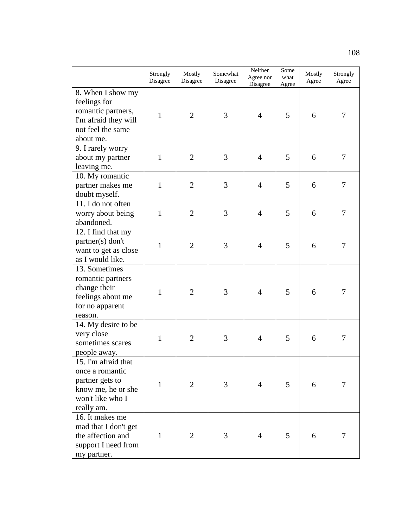|                                                                                                                   | Strongly<br>Disagree | Mostly<br>Disagree | Somewhat<br>Disagree | Neither<br>Agree nor<br>Disagree | Some<br>what<br>Agree | Mostly<br>Agree | Strongly<br>Agree |
|-------------------------------------------------------------------------------------------------------------------|----------------------|--------------------|----------------------|----------------------------------|-----------------------|-----------------|-------------------|
| 8. When I show my<br>feelings for<br>romantic partners,<br>I'm afraid they will<br>not feel the same<br>about me. | $\mathbf{1}$         | $\overline{2}$     | 3                    | $\overline{4}$                   | 5                     | 6               | 7                 |
| 9. I rarely worry<br>about my partner<br>leaving me.                                                              | $\mathbf{1}$         | $\overline{2}$     | 3                    | $\overline{4}$                   | 5                     | 6               | $\overline{7}$    |
| 10. My romantic<br>partner makes me<br>doubt myself.                                                              | $\mathbf{1}$         | $\overline{2}$     | 3                    | $\overline{4}$                   | 5                     | 6               | 7                 |
| 11. I do not often<br>worry about being<br>abandoned.                                                             | $\mathbf{1}$         | $\overline{2}$     | 3                    | $\overline{4}$                   | 5                     | 6               | $\overline{7}$    |
| 12. I find that my<br>partner(s) don't<br>want to get as close<br>as I would like.                                | $\mathbf{1}$         | $\overline{2}$     | 3                    | $\overline{4}$                   | 5                     | 6               | 7                 |
| 13. Sometimes<br>romantic partners<br>change their<br>feelings about me<br>for no apparent<br>reason.             | $\mathbf{1}$         | $\overline{2}$     | 3                    | $\overline{4}$                   | 5                     | 6               | 7                 |
| 14. My desire to be<br>very close<br>sometimes scares<br>people away.                                             | $\mathbf{1}$         | $\overline{2}$     | 3                    | $\overline{4}$                   | 5                     | 6               | 7                 |
| 15. I'm afraid that<br>once a romantic<br>partner gets to<br>know me, he or she<br>won't like who I<br>really am. | $\mathbf{1}$         | $\overline{2}$     | 3                    | $\overline{4}$                   | 5                     | 6               | $\tau$            |
| 16. It makes me<br>mad that I don't get<br>the affection and<br>support I need from<br>my partner.                | 1                    | $\overline{2}$     | 3                    | $\overline{4}$                   | 5                     | 6               | 7                 |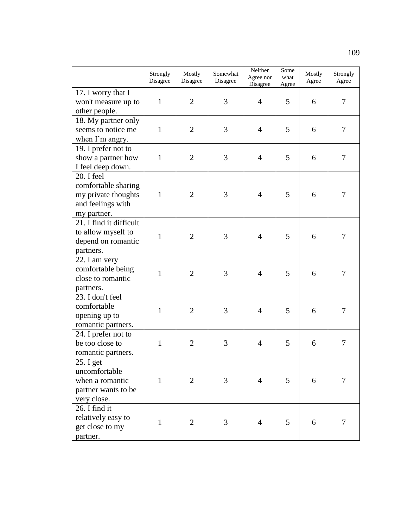|                                                                                              | Strongly<br>Disagree | Mostly<br>Disagree | Somewhat<br>Disagree | Neither<br>Agree nor<br>Disagree | Some<br>what<br>Agree | Mostly<br>Agree | Strongly<br>Agree |
|----------------------------------------------------------------------------------------------|----------------------|--------------------|----------------------|----------------------------------|-----------------------|-----------------|-------------------|
| 17. I worry that I<br>won't measure up to<br>other people.                                   | $\mathbf{1}$         | $\overline{2}$     | 3                    | $\overline{4}$                   | 5                     | 6               | 7                 |
| 18. My partner only<br>seems to notice me<br>when I'm angry.                                 | $\mathbf{1}$         | $\overline{2}$     | 3                    | $\overline{4}$                   | 5                     | 6               | $\tau$            |
| 19. I prefer not to<br>show a partner how<br>I feel deep down.                               | $\mathbf{1}$         | $\overline{2}$     | 3                    | $\overline{4}$                   | 5                     | 6               | $\tau$            |
| 20. I feel<br>comfortable sharing<br>my private thoughts<br>and feelings with<br>my partner. | $\mathbf{1}$         | $\overline{2}$     | 3                    | $\overline{4}$                   | 5                     | 6               | $\overline{7}$    |
| 21. I find it difficult<br>to allow myself to<br>depend on romantic<br>partners.             | $\mathbf{1}$         | $\overline{2}$     | 3                    | $\overline{4}$                   | 5                     | 6               | $\overline{7}$    |
| 22. I am very<br>comfortable being<br>close to romantic<br>partners.                         | $\mathbf{1}$         | $\overline{2}$     | 3                    | $\overline{4}$                   | 5                     | 6               | $\tau$            |
| 23. I don't feel<br>comfortable<br>opening up to<br>romantic partners.                       | $\mathbf{1}$         | $\overline{2}$     | 3                    | $\overline{4}$                   | 5                     | 6               | 7                 |
| 24. I prefer not to<br>be too close to<br>romantic partners.                                 | $\mathbf{1}$         | $\overline{2}$     | 3                    | $\overline{4}$                   | 5                     | 6               | $\tau$            |
| 25. I get<br>uncomfortable<br>when a romantic<br>partner wants to be<br>very close.          | $\mathbf{1}$         | $\overline{2}$     | 3                    | $\overline{4}$                   | 5                     | 6               | $\overline{7}$    |
| 26. I find it<br>relatively easy to<br>get close to my<br>partner.                           | $\mathbf{1}$         | $\overline{2}$     | 3                    | $\overline{4}$                   | 5                     | 6               | $\overline{7}$    |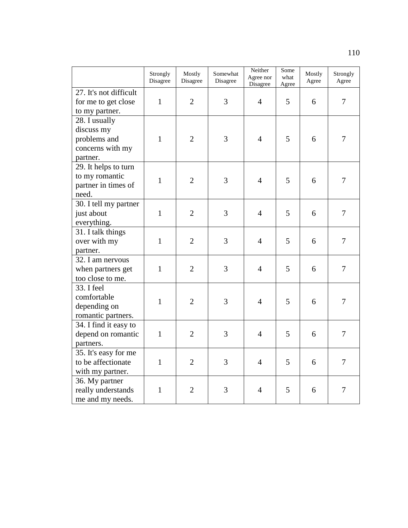|                                                                             | Strongly<br>Disagree | Mostly<br>Disagree | Somewhat<br>Disagree | Neither<br>Agree nor<br>Disagree | Some<br>what<br>Agree | Mostly<br>Agree | Strongly<br>Agree |
|-----------------------------------------------------------------------------|----------------------|--------------------|----------------------|----------------------------------|-----------------------|-----------------|-------------------|
| 27. It's not difficult<br>for me to get close<br>to my partner.             | $\mathbf{1}$         | $\overline{2}$     | 3                    | $\overline{4}$                   | 5                     | 6               | 7                 |
| 28. I usually<br>discuss my<br>problems and<br>concerns with my<br>partner. | $\mathbf{1}$         | $\overline{2}$     | 3                    | $\overline{4}$                   | 5                     | 6               | 7                 |
| 29. It helps to turn<br>to my romantic<br>partner in times of<br>need.      | $\mathbf{1}$         | $\overline{2}$     | 3                    | $\overline{4}$                   | 5                     | 6               | $\tau$            |
| 30. I tell my partner<br>just about<br>everything.                          | $\mathbf{1}$         | $\overline{2}$     | 3                    | $\overline{4}$                   | 5                     | 6               | $\overline{7}$    |
| 31. I talk things<br>over with my<br>partner.                               | $\mathbf{1}$         | $\overline{2}$     | 3                    | $\overline{4}$                   | 5                     | 6               | $\overline{7}$    |
| 32. I am nervous<br>when partners get<br>too close to me.                   | $\mathbf{1}$         | $\overline{2}$     | 3                    | $\overline{4}$                   | 5                     | 6               | $\overline{7}$    |
| 33. I feel<br>comfortable<br>depending on<br>romantic partners.             | $\mathbf{1}$         | $\overline{2}$     | 3                    | $\overline{4}$                   | 5                     | 6               | $\tau$            |
| 34. I find it easy to<br>depend on romantic<br>partners.                    | $\mathbf{1}$         | $\overline{2}$     | 3                    | $\overline{4}$                   | 5                     | 6               | $\overline{7}$    |
| 35. It's easy for me<br>to be affectionate<br>with my partner.              | $\mathbf{1}$         | $\overline{2}$     | 3                    | $\overline{4}$                   | 5                     | 6               | $\overline{7}$    |
| 36. My partner<br>really understands<br>me and my needs.                    | $\mathbf{1}$         | $\overline{2}$     | 3                    | $\overline{4}$                   | 5                     | 6               | $\overline{7}$    |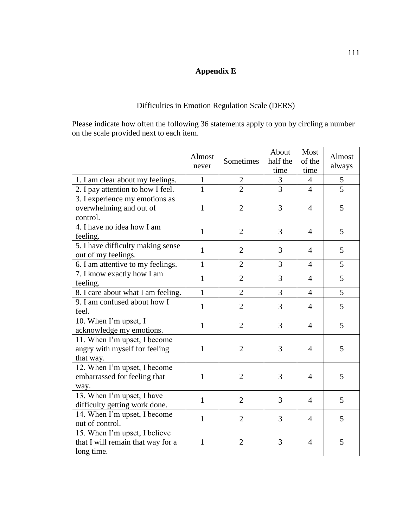# **Appendix E**

## Difficulties in Emotion Regulation Scale (DERS)

Please indicate how often the following 36 statements apply to you by circling a number on the scale provided next to each item.

|                                                                                  | Almost<br>never | Sometimes      | About<br>half the<br>time | Most<br>of the<br>time | Almost<br>always |
|----------------------------------------------------------------------------------|-----------------|----------------|---------------------------|------------------------|------------------|
| 1. I am clear about my feelings.                                                 | $\mathbf{1}$    | $\mathfrak{2}$ | 3                         | $\overline{4}$         | 5                |
| 2. I pay attention to how I feel.                                                | 1               | $\overline{2}$ | $\overline{3}$            | $\overline{4}$         | $\overline{5}$   |
| 3. I experience my emotions as<br>overwhelming and out of<br>control.            | $\mathbf{1}$    | $\overline{2}$ | 3                         | 4                      | 5                |
| 4. I have no idea how I am<br>feeling.                                           | $\mathbf{1}$    | $\overline{2}$ | 3                         | $\overline{4}$         | 5                |
| 5. I have difficulty making sense<br>out of my feelings.                         | $\mathbf{1}$    | $\mathfrak{2}$ | 3                         | $\overline{4}$         | 5                |
| 6. I am attentive to my feelings.                                                | $\mathbf{1}$    | $\overline{2}$ | 3                         | $\overline{4}$         | 5                |
| 7. I know exactly how I am<br>feeling.                                           | $\mathbf{1}$    | $\overline{2}$ | 3                         | $\overline{4}$         | 5                |
| 8. I care about what I am feeling.                                               | $\mathbf{1}$    | $\overline{2}$ | 3                         | $\overline{4}$         | 5                |
| 9. I am confused about how I<br>feel.                                            | $\mathbf{1}$    | $\overline{2}$ | 3                         | $\overline{4}$         | 5                |
| 10. When I'm upset, I<br>acknowledge my emotions.                                | $\mathbf{1}$    | $\overline{2}$ | 3                         | $\overline{4}$         | 5                |
| 11. When I'm upset, I become<br>angry with myself for feeling<br>that way.       | $\mathbf{1}$    | $\overline{2}$ | 3                         | $\overline{4}$         | 5                |
| 12. When I'm upset, I become<br>embarrassed for feeling that<br>way.             | $\mathbf{1}$    | $\overline{2}$ | 3                         | $\overline{4}$         | 5                |
| 13. When I'm upset, I have<br>difficulty getting work done.                      | $\mathbf{1}$    | $\overline{2}$ | 3                         | $\overline{4}$         | 5                |
| 14. When I'm upset, I become<br>out of control.                                  | $\mathbf{1}$    | $\overline{2}$ | 3                         | $\overline{4}$         | 5                |
| 15. When I'm upset, I believe<br>that I will remain that way for a<br>long time. | $\mathbf{1}$    | $\overline{2}$ | 3                         | $\overline{4}$         | 5                |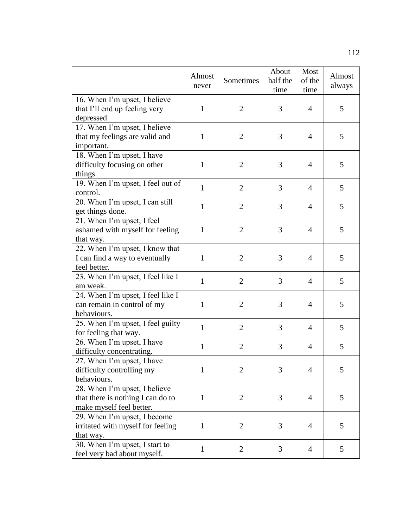|                                                                                                | Almost<br>never | Sometimes      | About<br>half the<br>time | Most<br>of the<br>time | Almost<br>always |
|------------------------------------------------------------------------------------------------|-----------------|----------------|---------------------------|------------------------|------------------|
| 16. When I'm upset, I believe<br>that I'll end up feeling very<br>depressed.                   | $\mathbf{1}$    | $\overline{2}$ | 3                         | 4                      | 5                |
| 17. When I'm upset, I believe<br>that my feelings are valid and<br>important.                  | $\mathbf{1}$    | $\overline{2}$ | 3                         | 4                      | 5                |
| 18. When I'm upset, I have<br>difficulty focusing on other<br>things.                          | $\mathbf{1}$    | $\overline{2}$ | 3                         | 4                      | 5                |
| 19. When I'm upset, I feel out of<br>control.                                                  | $\mathbf{1}$    | $\overline{2}$ | 3                         | $\overline{4}$         | 5                |
| 20. When I'm upset, I can still<br>get things done.                                            | $\mathbf{1}$    | $\overline{2}$ | 3                         | 4                      | 5                |
| 21. When I'm upset, I feel<br>ashamed with myself for feeling<br>that way.                     | $\mathbf{1}$    | $\overline{2}$ | 3                         | 4                      | 5                |
| 22. When I'm upset, I know that<br>I can find a way to eventually<br>feel better.              | $\mathbf{1}$    | $\overline{2}$ | 3                         | $\overline{4}$         | 5                |
| 23. When I'm upset, I feel like I<br>am weak.                                                  | $\mathbf{1}$    | $\overline{2}$ | 3                         | $\overline{4}$         | 5                |
| 24. When I'm upset, I feel like I<br>can remain in control of my<br>behaviours.                | $\mathbf{1}$    | $\overline{2}$ | 3                         | 4                      | 5                |
| 25. When I'm upset, I feel guilty<br>for feeling that way.                                     | $\mathbf{1}$    | $\overline{2}$ | 3                         | $\overline{4}$         | 5                |
| 26. When I'm upset, I have<br>difficulty concentrating.                                        | $\mathbf{1}$    | $\overline{2}$ | 3                         | 4                      | 5                |
| 27. When I'm upset, I have<br>difficulty controlling my<br>behaviours.                         | 1               | $\overline{2}$ | 3                         | 4                      | 5                |
| 28. When I'm upset, I believe<br>that there is nothing I can do to<br>make myself feel better. | $\mathbf{1}$    | $\overline{2}$ | 3                         | $\overline{4}$         | 5                |
| 29. When I'm upset, I become<br>irritated with myself for feeling<br>that way.                 | $\mathbf{1}$    | $\overline{2}$ | 3                         | $\overline{4}$         | 5                |
| 30. When I'm upset, I start to<br>feel very bad about myself.                                  | $\mathbf{1}$    | $\overline{2}$ | 3                         | $\overline{4}$         | 5                |